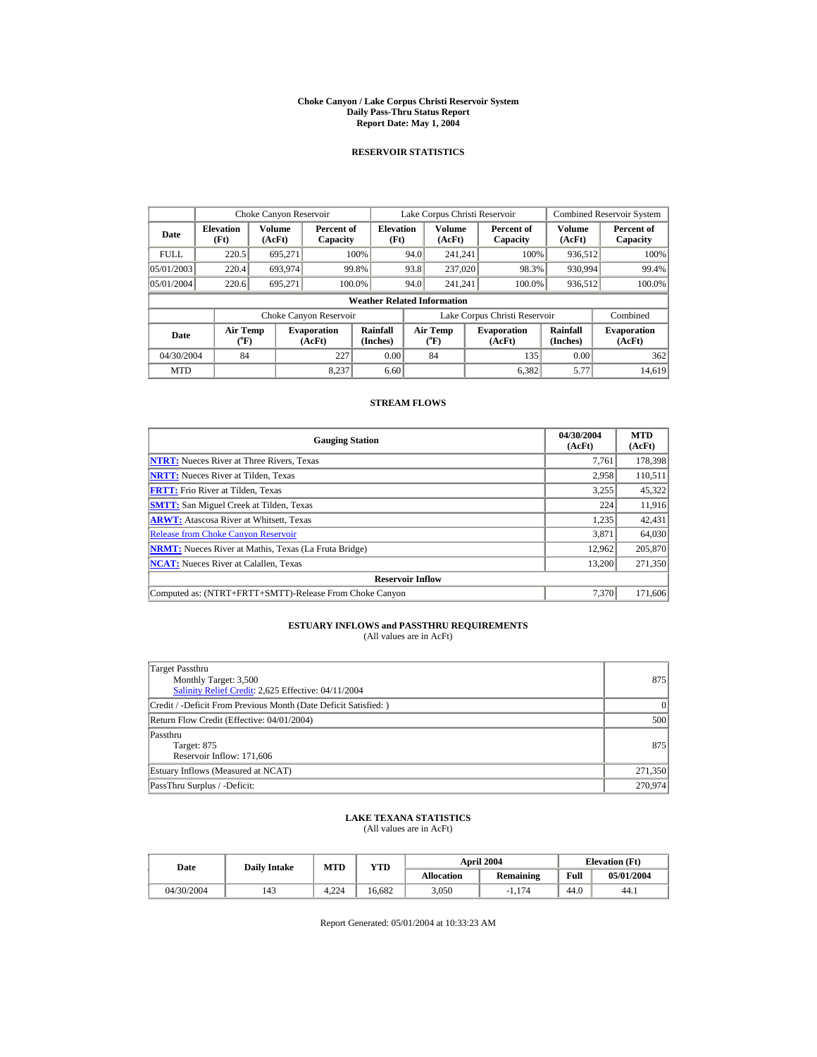#### **Choke Canyon / Lake Corpus Christi Reservoir System Daily Pass-Thru Status Report Report Date: May 1, 2004**

## **RESERVOIR STATISTICS**

|             | Choke Canyon Reservoir                |                  |                              |                                    | Lake Corpus Christi Reservoir |                              |                                                             |                               |                              | <b>Combined Reservoir System</b> |
|-------------|---------------------------------------|------------------|------------------------------|------------------------------------|-------------------------------|------------------------------|-------------------------------------------------------------|-------------------------------|------------------------------|----------------------------------|
| Date        | <b>Elevation</b><br>(Ft)              | Volume<br>(AcFt) | Percent of<br>Capacity       | <b>Elevation</b><br>(Ft)           |                               | <b>Volume</b><br>(AcFt)      |                                                             | Percent of<br>Capacity        | <b>Volume</b><br>(AcFt)      | Percent of<br>Capacity           |
| <b>FULL</b> | 220.5                                 | 695.271          |                              | 100%                               | 94.0                          | 241.241                      |                                                             | 100%                          | 936,512                      | 100%                             |
| 05/01/2003  | 220.4                                 | 693.974          |                              | 99.8%                              | 93.8                          | 237,020                      |                                                             | 98.3%                         | 930,994                      | 99.4%                            |
| 05/01/2004  | 220.6                                 | 695.271          |                              | 100.0%                             | 94.0                          | 241.241                      |                                                             | 100.0%                        | 936,512                      | 100.0%                           |
|             |                                       |                  |                              | <b>Weather Related Information</b> |                               |                              |                                                             |                               |                              |                                  |
|             |                                       |                  | Choke Canyon Reservoir       |                                    |                               |                              |                                                             | Lake Corpus Christi Reservoir |                              | Combined                         |
| Date        | <b>Air Temp</b><br>$({}^o\mathrm{F})$ |                  | <b>Evaporation</b><br>(AcFt) | Rainfall<br>(Inches)               |                               | <b>Air Temp</b><br>$(^{o}F)$ | <b>Rainfall</b><br><b>Evaporation</b><br>(AcFt)<br>(Inches) |                               | <b>Evaporation</b><br>(AcFt) |                                  |
| 04/30/2004  | 84                                    |                  | 227                          | 0.00                               |                               | 84                           |                                                             | 135                           | 0.00                         | 362                              |
| <b>MTD</b>  |                                       |                  | 8.237                        | 6.60                               |                               |                              |                                                             | 6,382                         | 5.77                         | 14,619                           |

### **STREAM FLOWS**

| <b>Gauging Station</b>                                       | 04/30/2004<br>(AcFt) | <b>MTD</b><br>(AcFt) |
|--------------------------------------------------------------|----------------------|----------------------|
| <b>NTRT:</b> Nueces River at Three Rivers, Texas             | 7.761                | 178,398              |
| <b>NRTT:</b> Nueces River at Tilden, Texas                   | 2.958                | 110,511              |
| <b>FRTT:</b> Frio River at Tilden, Texas                     | 3,255                | 45,322               |
| <b>SMTT:</b> San Miguel Creek at Tilden, Texas               | 224                  | 11,916               |
| <b>ARWT:</b> Atascosa River at Whitsett, Texas               | 1,235                | 42,431               |
| <b>Release from Choke Canyon Reservoir</b>                   | 3.871                | 64,030               |
| <b>NRMT:</b> Nueces River at Mathis, Texas (La Fruta Bridge) | 12.962               | 205,870              |
| <b>NCAT:</b> Nueces River at Calallen. Texas                 | 13.200               | 271.350              |
| <b>Reservoir Inflow</b>                                      |                      |                      |
| Computed as: (NTRT+FRTT+SMTT)-Release From Choke Canyon      | 7.370                | 171,606              |

## **ESTUARY INFLOWS and PASSTHRU REQUIREMENTS**<br>(All values are in AcFt)

| Target Passthru<br>Monthly Target: 3,500<br>Salinity Relief Credit: 2,625 Effective: 04/11/2004 | 875      |
|-------------------------------------------------------------------------------------------------|----------|
| Credit / -Deficit From Previous Month (Date Deficit Satisfied:)                                 | $\Omega$ |
| Return Flow Credit (Effective: 04/01/2004)                                                      | 500      |
| Passthru<br>Target: 875<br>Reservoir Inflow: 171,606                                            | 875      |
| Estuary Inflows (Measured at NCAT)                                                              | 271,350  |
| PassThru Surplus / -Deficit:                                                                    | 270,974  |

# **LAKE TEXANA STATISTICS** (All values are in AcFt)

| Date       | <b>Daily Intake</b> | <b>MTD</b> | YTD    |                   | <b>April 2004</b> |      | <b>Elevation</b> (Ft) |
|------------|---------------------|------------|--------|-------------------|-------------------|------|-----------------------|
|            |                     |            |        | <b>Allocation</b> | <b>Remaining</b>  | Full | 05/01/2004            |
| 04/30/2004 | 143                 | 4.224      | 16.682 | 3.050             | $-1.174$          | 44.0 | 44.1                  |

Report Generated: 05/01/2004 at 10:33:23 AM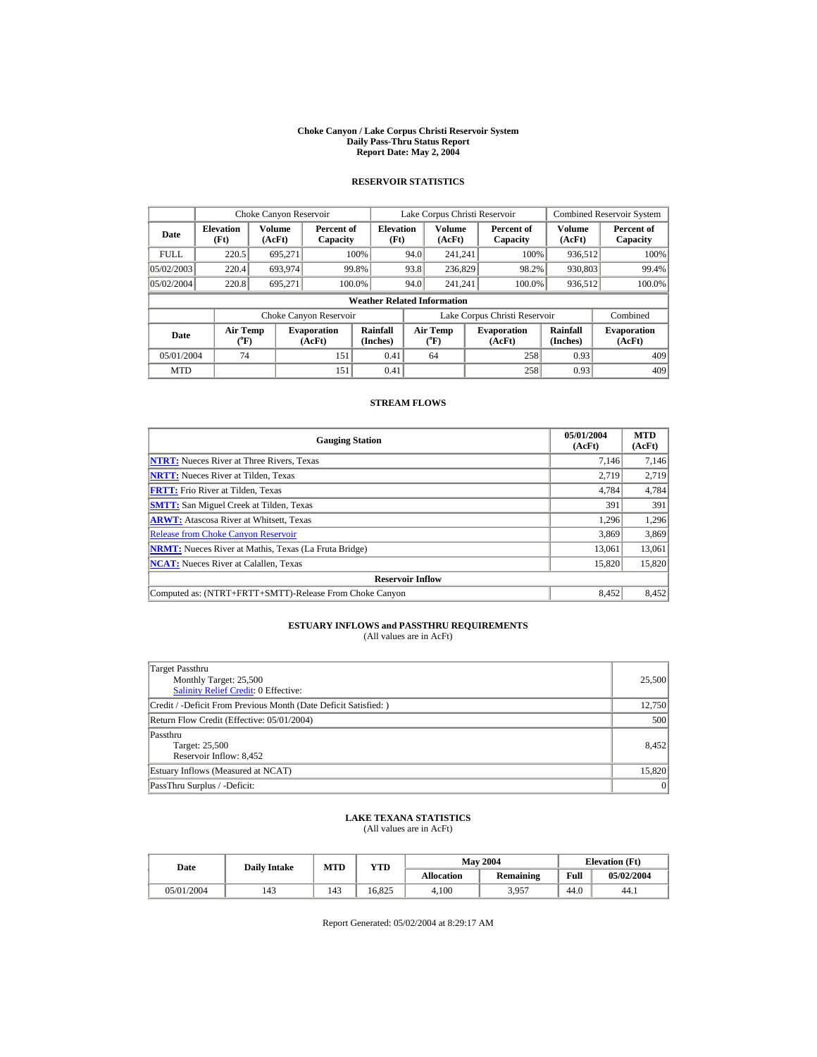#### **Choke Canyon / Lake Corpus Christi Reservoir System Daily Pass-Thru Status Report Report Date: May 2, 2004**

## **RESERVOIR STATISTICS**

|             | Choke Canyon Reservoir                |                         | Lake Corpus Christi Reservoir |                                    |                                                                               |                         |  | <b>Combined Reservoir System</b> |                         |                        |
|-------------|---------------------------------------|-------------------------|-------------------------------|------------------------------------|-------------------------------------------------------------------------------|-------------------------|--|----------------------------------|-------------------------|------------------------|
| Date        | <b>Elevation</b><br>(Ft)              | <b>Volume</b><br>(AcFt) | Percent of<br>Capacity        | <b>Elevation</b><br>(Ft)           |                                                                               | <b>Volume</b><br>(AcFt) |  | Percent of<br>Capacity           | <b>Volume</b><br>(AcFt) | Percent of<br>Capacity |
| <b>FULL</b> | 220.5                                 | 695.271                 |                               | 100%                               | 94.0                                                                          | 241.241                 |  | 100%                             | 936.512                 | 100%                   |
| 05/02/2003  | 220.4                                 | 693.974                 |                               | 99.8%                              | 93.8                                                                          | 236,829                 |  | 98.2%                            | 930,803                 | 99.4%                  |
| 05/02/2004  | 220.8                                 | 695.271                 |                               | 100.0%                             | 94.0                                                                          | 241.241                 |  | 100.0%                           | 936,512                 | 100.0%                 |
|             |                                       |                         |                               | <b>Weather Related Information</b> |                                                                               |                         |  |                                  |                         |                        |
|             |                                       |                         | Choke Canyon Reservoir        |                                    |                                                                               |                         |  | Lake Corpus Christi Reservoir    |                         | Combined               |
| <b>Date</b> | <b>Air Temp</b><br>$({}^o\mathrm{F})$ |                         | <b>Evaporation</b><br>(AcFt)  | Rainfall<br>(Inches)               | Rainfall<br>Air Temp<br><b>Evaporation</b><br>$(^{o}F)$<br>(Inches)<br>(AcFt) |                         |  | <b>Evaporation</b><br>(AcFt)     |                         |                        |
| 05/01/2004  | 74                                    |                         | 151                           | 0.41                               |                                                                               | 64                      |  | 258                              | 0.93                    | 409                    |
| <b>MTD</b>  |                                       |                         | 151                           | 0.41                               |                                                                               |                         |  | 258                              | 0.93                    | 409                    |

### **STREAM FLOWS**

| <b>Gauging Station</b>                                       | 05/01/2004<br>(AcFt) | <b>MTD</b><br>(AcFt) |
|--------------------------------------------------------------|----------------------|----------------------|
| <b>NTRT:</b> Nueces River at Three Rivers, Texas             | 7.146                | 7,146                |
| <b>NRTT:</b> Nueces River at Tilden, Texas                   | 2.719                | 2,719                |
| <b>FRTT:</b> Frio River at Tilden, Texas                     | 4,784                | 4,784                |
| <b>SMTT:</b> San Miguel Creek at Tilden, Texas               | 391                  | 391                  |
| <b>ARWT:</b> Atascosa River at Whitsett, Texas               | 1,296                | 1,296                |
| <b>Release from Choke Canyon Reservoir</b>                   | 3.869                | 3,869                |
| <b>NRMT:</b> Nueces River at Mathis, Texas (La Fruta Bridge) | 13.061               | 13,061               |
| <b>NCAT:</b> Nueces River at Calallen, Texas                 | 15,820               | 15,820               |
| <b>Reservoir Inflow</b>                                      |                      |                      |
| Computed as: (NTRT+FRTT+SMTT)-Release From Choke Canyon      | 8,452                | 8,452                |

# **ESTUARY INFLOWS and PASSTHRU REQUIREMENTS**<br>(All values are in AcFt)

| Target Passthru<br>Monthly Target: 25,500<br><b>Salinity Relief Credit: 0 Effective:</b> | 25,500 |
|------------------------------------------------------------------------------------------|--------|
| Credit / -Deficit From Previous Month (Date Deficit Satisfied: )                         | 12.750 |
| Return Flow Credit (Effective: 05/01/2004)                                               | 500    |
| Passthru<br>Target: 25,500<br>Reservoir Inflow: 8,452                                    | 8,452  |
| Estuary Inflows (Measured at NCAT)                                                       | 15,820 |
| PassThru Surplus / -Deficit:                                                             | 0      |

# **LAKE TEXANA STATISTICS** (All values are in AcFt)

| Date       | <b>Daily Intake</b> | <b>MTD</b> | YTD    |                   | <b>May 2004</b>  |      | <b>Elevation</b> (Ft) |
|------------|---------------------|------------|--------|-------------------|------------------|------|-----------------------|
|            |                     |            |        | <b>Allocation</b> | <b>Remaining</b> | Full | 05/02/2004            |
| 05/01/2004 | 143                 | 143        | 16.825 | 4.100             | 3,957            | 44.0 | 44.1                  |

Report Generated: 05/02/2004 at 8:29:17 AM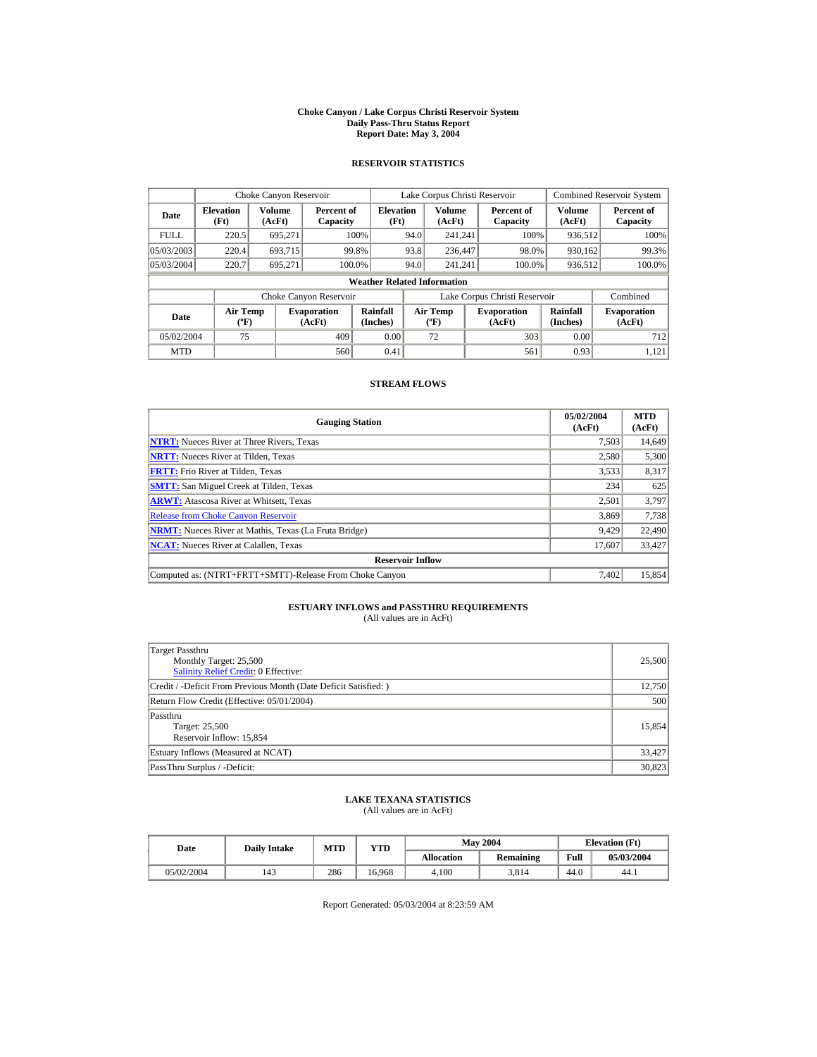#### **Choke Canyon / Lake Corpus Christi Reservoir System Daily Pass-Thru Status Report Report Date: May 3, 2004**

## **RESERVOIR STATISTICS**

|             | Choke Canyon Reservoir   |                         |                              |                                    |      | Lake Corpus Christi Reservoir               |                               |                      | <b>Combined Reservoir System</b> |
|-------------|--------------------------|-------------------------|------------------------------|------------------------------------|------|---------------------------------------------|-------------------------------|----------------------|----------------------------------|
| Date        | <b>Elevation</b><br>(Ft) | <b>Volume</b><br>(AcFt) | Percent of<br>Capacity       | <b>Elevation</b><br>(Ft)           |      | <b>Volume</b><br>(AcFt)                     | Percent of<br>Capacity        | Volume<br>(AcFt)     | Percent of<br>Capacity           |
| <b>FULL</b> | 220.5                    | 695.271                 | 100%                         |                                    | 94.0 | 241,241                                     | 100%                          | 936,512              | 100%                             |
| 05/03/2003  | 220.4                    | 693.715                 | 99.8%                        |                                    | 93.8 | 236,447                                     | 98.0%                         | 930.162              | 99.3%                            |
| 05/03/2004  | 220.7                    | 695.271                 | 100.0%                       |                                    | 94.0 | 241.241                                     | 100.0%                        | 936.512              | 100.0%                           |
|             |                          |                         |                              | <b>Weather Related Information</b> |      |                                             |                               |                      |                                  |
|             |                          |                         | Choke Canyon Reservoir       |                                    |      |                                             | Lake Corpus Christi Reservoir |                      | Combined                         |
| Date        | <b>Air Temp</b><br>(°F)  |                         | <b>Evaporation</b><br>(AcFt) | Rainfall<br>(Inches)               |      | <b>Air Temp</b><br>$({}^{\circ}\mathrm{F})$ | <b>Evaporation</b><br>(AcFt)  | Rainfall<br>(Inches) | <b>Evaporation</b><br>(AcFt)     |
| 05/02/2004  | 75                       |                         | 409                          | 0.00                               |      | 72                                          | 303                           | 0.00                 | 712                              |
| <b>MTD</b>  |                          |                         | 560                          | 0.41                               |      |                                             | 561                           | 0.93                 | 1.121                            |

### **STREAM FLOWS**

| <b>Gauging Station</b>                                       | 05/02/2004<br>(AcFt) | <b>MTD</b><br>(AcFt) |
|--------------------------------------------------------------|----------------------|----------------------|
| <b>NTRT:</b> Nueces River at Three Rivers, Texas             | 7,503                | 14,649               |
| <b>NRTT:</b> Nueces River at Tilden, Texas                   | 2.580                | 5,300                |
| <b>FRTT:</b> Frio River at Tilden, Texas                     | 3,533                | 8,317                |
| <b>SMTT:</b> San Miguel Creek at Tilden, Texas               | 234                  | 625                  |
| <b>ARWT:</b> Atascosa River at Whitsett, Texas               | 2,501                | 3,797                |
| <b>Release from Choke Canyon Reservoir</b>                   | 3,869                | 7,738                |
| <b>NRMT:</b> Nueces River at Mathis, Texas (La Fruta Bridge) | 9.429                | 22,490               |
| <b>NCAT:</b> Nueces River at Calallen, Texas                 | 17.607               | 33,427               |
| <b>Reservoir Inflow</b>                                      |                      |                      |
| Computed as: (NTRT+FRTT+SMTT)-Release From Choke Canyon      | 7.402                | 15,854               |

# **ESTUARY INFLOWS and PASSTHRU REQUIREMENTS**<br>(All values are in AcFt)

| Target Passthru<br>Monthly Target: 25,500<br>Salinity Relief Credit: 0 Effective: | 25,500 |
|-----------------------------------------------------------------------------------|--------|
| Credit / -Deficit From Previous Month (Date Deficit Satisfied: )                  | 12.750 |
| Return Flow Credit (Effective: 05/01/2004)                                        | 500    |
| Passthru<br>Target: 25,500<br>Reservoir Inflow: 15,854                            | 15.854 |
| Estuary Inflows (Measured at NCAT)                                                | 33,427 |
| PassThru Surplus / -Deficit:                                                      | 30,823 |

# **LAKE TEXANA STATISTICS** (All values are in AcFt)

| Date       |  | <b>Daily Intake</b> | <b>MTD</b> | YTD    |                   | <b>May 2004</b>  | <b>Elevation</b> (Ft) |            |
|------------|--|---------------------|------------|--------|-------------------|------------------|-----------------------|------------|
|            |  |                     |            |        | <b>Allocation</b> | <b>Remaining</b> | Full                  | 05/03/2004 |
| 05/02/2004 |  | 143                 | 286        | 16.968 | 4.100             | 3.814            | 44.0                  | 44.1       |

Report Generated: 05/03/2004 at 8:23:59 AM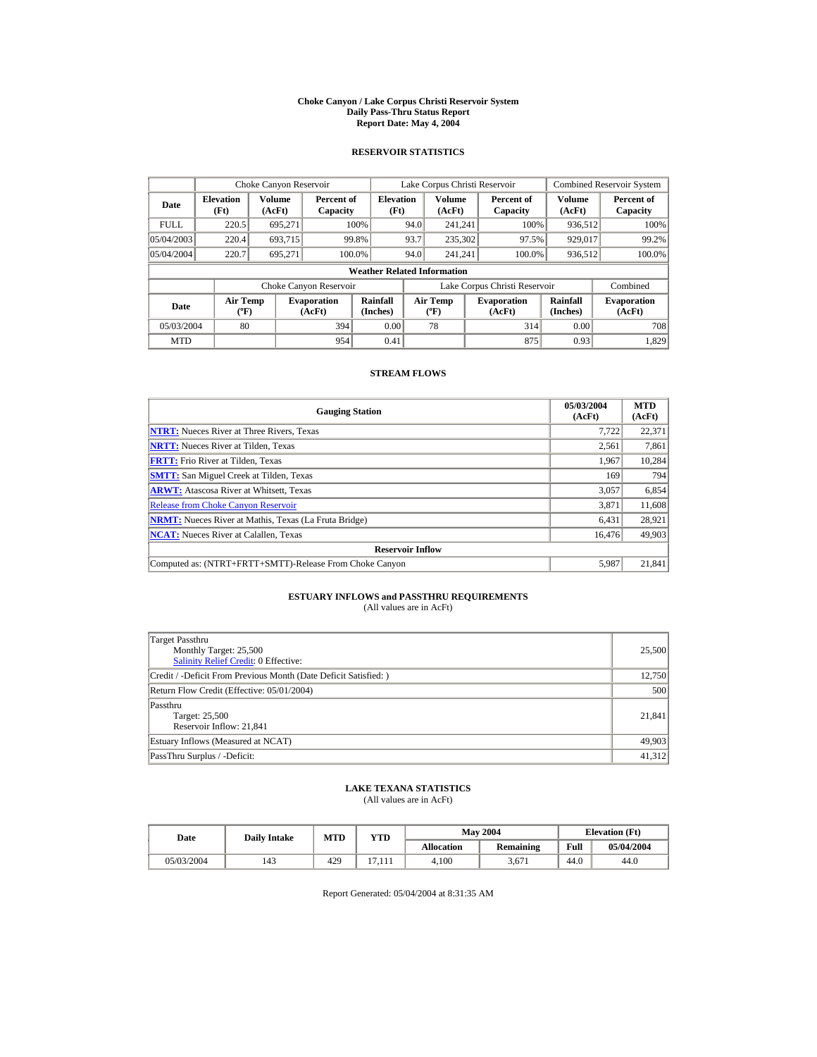#### **Choke Canyon / Lake Corpus Christi Reservoir System Daily Pass-Thru Status Report Report Date: May 4, 2004**

## **RESERVOIR STATISTICS**

|             | Choke Canyon Reservoir                      |                  |                              |                          | Lake Corpus Christi Reservoir |                                             |  |                               |                      | <b>Combined Reservoir System</b> |  |  |
|-------------|---------------------------------------------|------------------|------------------------------|--------------------------|-------------------------------|---------------------------------------------|--|-------------------------------|----------------------|----------------------------------|--|--|
| Date        | <b>Elevation</b><br>(Ft)                    | Volume<br>(AcFt) | Percent of<br>Capacity       | <b>Elevation</b><br>(Ft) |                               | Volume<br>(AcFt)                            |  | Percent of<br>Capacity        | Volume<br>(AcFt)     | Percent of<br>Capacity           |  |  |
| <b>FULL</b> | 220.5                                       | 695.271          |                              | 100%                     | 94.0                          | 241.241                                     |  | 100%                          | 936,512              | 100%                             |  |  |
| 05/04/2003  | 220.4                                       | 693.715          | 99.8%                        |                          | 93.7                          | 235,302                                     |  | 97.5%                         | 929,017              | 99.2%                            |  |  |
| 05/04/2004  | 220.7                                       | 695.271          | 100.0%                       |                          | 94.0                          | 241.241                                     |  | 100.0%                        | 936,512              | 100.0%                           |  |  |
|             | <b>Weather Related Information</b>          |                  |                              |                          |                               |                                             |  |                               |                      |                                  |  |  |
|             |                                             |                  | Choke Canyon Reservoir       |                          |                               |                                             |  | Lake Corpus Christi Reservoir |                      | Combined                         |  |  |
| Date        | <b>Air Temp</b><br>$({}^{\circ}\mathrm{F})$ |                  | <b>Evaporation</b><br>(AcFt) | Rainfall<br>(Inches)     |                               | <b>Air Temp</b><br>$({}^{\circ}\mathrm{F})$ |  | <b>Evaporation</b><br>(AcFt)  | Rainfall<br>(Inches) | <b>Evaporation</b><br>(AcFt)     |  |  |
| 05/03/2004  | 80                                          |                  | 394                          | 0.00                     |                               | 78                                          |  | 314                           | 0.00                 | 708                              |  |  |
| <b>MTD</b>  |                                             |                  | 954                          | 0.41                     |                               |                                             |  | 875                           | 0.93                 | 1,829                            |  |  |

## **STREAM FLOWS**

| <b>Gauging Station</b>                                       | 05/03/2004<br>(AcFt) | <b>MTD</b><br>(AcFt) |
|--------------------------------------------------------------|----------------------|----------------------|
| <b>NTRT:</b> Nueces River at Three Rivers, Texas             | 7.722                | 22,371               |
| <b>NRTT:</b> Nueces River at Tilden, Texas                   | 2,561                | 7,861                |
| <b>FRTT:</b> Frio River at Tilden, Texas                     | 1.967                | 10,284               |
| <b>SMTT:</b> San Miguel Creek at Tilden, Texas               | 169                  | 794                  |
| <b>ARWT:</b> Atascosa River at Whitsett, Texas               | 3,057                | 6,854                |
| <b>Release from Choke Canyon Reservoir</b>                   | 3.871                | 11,608               |
| <b>NRMT:</b> Nueces River at Mathis, Texas (La Fruta Bridge) | 6,431                | 28,921               |
| <b>NCAT:</b> Nueces River at Calallen, Texas                 | 16,476               | 49,903               |
| <b>Reservoir Inflow</b>                                      |                      |                      |
| Computed as: (NTRT+FRTT+SMTT)-Release From Choke Canyon      | 5.987                | 21,841               |

# **ESTUARY INFLOWS and PASSTHRU REQUIREMENTS**<br>(All values are in AcFt)

| Target Passthru<br>Monthly Target: 25,500<br><b>Salinity Relief Credit: 0 Effective:</b> | 25,500 |
|------------------------------------------------------------------------------------------|--------|
| Credit / -Deficit From Previous Month (Date Deficit Satisfied:)                          | 12,750 |
| Return Flow Credit (Effective: 05/01/2004)                                               | 500    |
| Passthru<br>Target: 25,500<br>Reservoir Inflow: 21,841                                   | 21,841 |
| Estuary Inflows (Measured at NCAT)                                                       | 49,903 |
| PassThru Surplus / -Deficit:                                                             | 41.312 |

## **LAKE TEXANA STATISTICS**

(All values are in AcFt)

| Date       | <b>Daily Intake</b> | <b>MTD</b> | YTD                 |                   | <b>May 2004</b> | <b>Elevation</b> (Ft) |            |
|------------|---------------------|------------|---------------------|-------------------|-----------------|-----------------------|------------|
|            |                     |            |                     | <b>Allocation</b> | Remaining       | Full                  | 05/04/2004 |
| 05/03/2004 | 143                 | 429        | $\overline{ }$<br>. | 4.100             | 3.671           | 44.0                  | 44.0       |

Report Generated: 05/04/2004 at 8:31:35 AM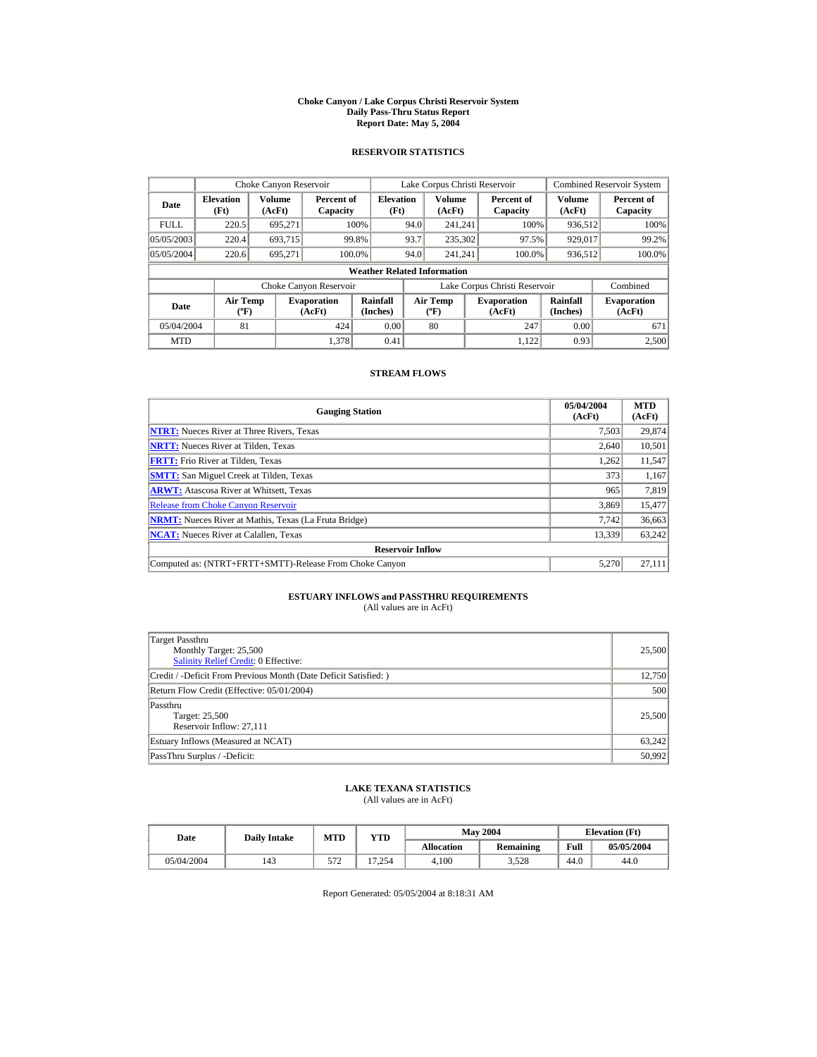#### **Choke Canyon / Lake Corpus Christi Reservoir System Daily Pass-Thru Status Report Report Date: May 5, 2004**

## **RESERVOIR STATISTICS**

|             | Choke Canyon Reservoir                |                  |                              |                          | Lake Corpus Christi Reservoir |                                   |  |                               |                         | <b>Combined Reservoir System</b> |  |  |
|-------------|---------------------------------------|------------------|------------------------------|--------------------------|-------------------------------|-----------------------------------|--|-------------------------------|-------------------------|----------------------------------|--|--|
| Date        | <b>Elevation</b><br>(Ft)              | Volume<br>(AcFt) | Percent of<br>Capacity       | <b>Elevation</b><br>(Ft) |                               | <b>Volume</b><br>(AcFt)           |  | Percent of<br>Capacity        | <b>Volume</b><br>(AcFt) | Percent of<br>Capacity           |  |  |
| <b>FULL</b> | 220.5                                 | 695,271          |                              | 100%                     | 94.0                          | 241.241                           |  | 100%                          | 936,512                 | 100%                             |  |  |
| 05/05/2003  | 220.4                                 | 693.715          |                              | 99.8%                    | 93.7                          | 235,302                           |  | 97.5%                         | 929,017                 | 99.2%                            |  |  |
| 05/05/2004  | 220.6                                 | 695.271          |                              | 100.0%                   | 94.0                          | 241.241                           |  | 100.0%                        | 936,512                 | 100.0%                           |  |  |
|             | <b>Weather Related Information</b>    |                  |                              |                          |                               |                                   |  |                               |                         |                                  |  |  |
|             |                                       |                  | Choke Canyon Reservoir       |                          |                               |                                   |  | Lake Corpus Christi Reservoir |                         | Combined                         |  |  |
| Date        | <b>Air Temp</b><br>$({}^o\mathrm{F})$ |                  | <b>Evaporation</b><br>(AcFt) | Rainfall<br>(Inches)     |                               | Air Temp<br>$({}^{\circ}{\rm F})$ |  | <b>Evaporation</b><br>(AcFt)  | Rainfall<br>(Inches)    | <b>Evaporation</b><br>(AcFt)     |  |  |
| 05/04/2004  | 81                                    |                  | 424                          | 0.00                     |                               | 80                                |  | 247                           | 0.00                    | 671                              |  |  |
| <b>MTD</b>  |                                       |                  | 1.378                        | 0.41                     |                               |                                   |  | 1.122                         | 0.93                    | 2,500                            |  |  |

## **STREAM FLOWS**

| <b>Gauging Station</b>                                       | 05/04/2004<br>(AcFt) | <b>MTD</b><br>(AcFt) |
|--------------------------------------------------------------|----------------------|----------------------|
| <b>NTRT:</b> Nueces River at Three Rivers, Texas             | 7,503                | 29,874               |
| <b>NRTT:</b> Nueces River at Tilden, Texas                   | 2,640                | 10,501               |
| <b>FRTT:</b> Frio River at Tilden, Texas                     | 1,262                | 11,547               |
| <b>SMTT:</b> San Miguel Creek at Tilden, Texas               | 373                  | 1,167                |
| <b>ARWT:</b> Atascosa River at Whitsett, Texas               | 965                  | 7,819                |
| <b>Release from Choke Canyon Reservoir</b>                   | 3.869                | 15,477               |
| <b>NRMT:</b> Nueces River at Mathis, Texas (La Fruta Bridge) | 7.742                | 36,663               |
| <b>NCAT:</b> Nueces River at Calallen, Texas                 | 13,339               | 63,242               |
| <b>Reservoir Inflow</b>                                      |                      |                      |
| Computed as: (NTRT+FRTT+SMTT)-Release From Choke Canyon      | 5.270                | 27,111               |

# **ESTUARY INFLOWS and PASSTHRU REQUIREMENTS**<br>(All values are in AcFt)

| Target Passthru<br>Monthly Target: 25,500<br><b>Salinity Relief Credit: 0 Effective:</b> | 25,500 |
|------------------------------------------------------------------------------------------|--------|
| Credit / -Deficit From Previous Month (Date Deficit Satisfied:)                          | 12,750 |
| Return Flow Credit (Effective: 05/01/2004)                                               | 500    |
| Passthru<br>Target: 25,500<br>Reservoir Inflow: 27.111                                   | 25,500 |
| Estuary Inflows (Measured at NCAT)                                                       | 63,242 |
| PassThru Surplus / -Deficit:                                                             | 50,992 |

## **LAKE TEXANA STATISTICS**

(All values are in AcFt)

| Date       | <b>Daily Intake</b> | <b>MTD</b> | YTD    |                   | <b>May 2004</b> | <b>Elevation</b> (Ft) |            |
|------------|---------------------|------------|--------|-------------------|-----------------|-----------------------|------------|
|            |                     |            |        | <b>Allocation</b> | Remaining       | Full                  | 05/05/2004 |
| 05/04/2004 | 143                 | 570<br>ے ر | 17.254 | 4.100             | 3.528           | 44.0                  | 44.0       |

Report Generated: 05/05/2004 at 8:18:31 AM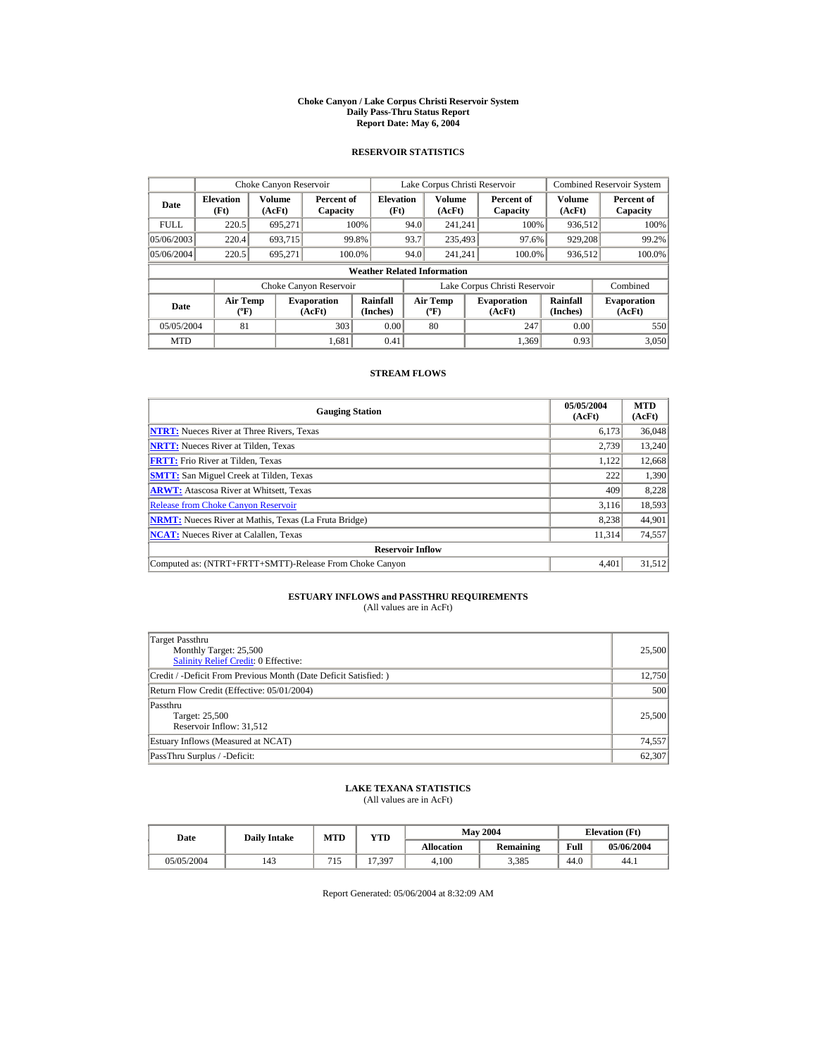#### **Choke Canyon / Lake Corpus Christi Reservoir System Daily Pass-Thru Status Report Report Date: May 6, 2004**

## **RESERVOIR STATISTICS**

|             | Choke Canyon Reservoir                |                  |                              |                          | Lake Corpus Christi Reservoir |                                   |  |                               |                         | <b>Combined Reservoir System</b> |  |  |
|-------------|---------------------------------------|------------------|------------------------------|--------------------------|-------------------------------|-----------------------------------|--|-------------------------------|-------------------------|----------------------------------|--|--|
| Date        | <b>Elevation</b><br>(Ft)              | Volume<br>(AcFt) | Percent of<br>Capacity       | <b>Elevation</b><br>(Ft) |                               | Volume<br>(AcFt)                  |  | Percent of<br>Capacity        | <b>Volume</b><br>(AcFt) | Percent of<br>Capacity           |  |  |
| <b>FULL</b> | 220.5                                 | 695,271          |                              | 100%                     | 94.0                          | 241.241                           |  | 100%                          | 936,512                 | 100%                             |  |  |
| 05/06/2003  | 220.4                                 | 693.715          |                              | 99.8%                    | 93.7                          | 235,493                           |  | 97.6%                         | 929,208                 | 99.2%                            |  |  |
| 05/06/2004  | 220.5                                 | 695.271          |                              | 100.0%                   | 94.0                          | 241.241                           |  | 100.0%                        | 936,512                 | 100.0%                           |  |  |
|             | <b>Weather Related Information</b>    |                  |                              |                          |                               |                                   |  |                               |                         |                                  |  |  |
|             |                                       |                  | Choke Canyon Reservoir       |                          |                               |                                   |  | Lake Corpus Christi Reservoir |                         | Combined                         |  |  |
| Date        | <b>Air Temp</b><br>$({}^o\mathrm{F})$ |                  | <b>Evaporation</b><br>(AcFt) | Rainfall<br>(Inches)     |                               | Air Temp<br>$({}^{\circ}{\rm F})$ |  | <b>Evaporation</b><br>(AcFt)  | Rainfall<br>(Inches)    | <b>Evaporation</b><br>(AcFt)     |  |  |
| 05/05/2004  | 81                                    |                  | 303                          | 0.00                     |                               | 80                                |  | 247                           | 0.00                    | 550                              |  |  |
| <b>MTD</b>  |                                       |                  | 1.681                        | 0.41                     |                               |                                   |  | 1.369                         | 0.93                    | 3,050                            |  |  |

## **STREAM FLOWS**

| <b>Gauging Station</b>                                       | 05/05/2004<br>(AcFt) | <b>MTD</b><br>(AcFt) |
|--------------------------------------------------------------|----------------------|----------------------|
| <b>NTRT:</b> Nueces River at Three Rivers, Texas             | 6,173                | 36,048               |
| <b>NRTT:</b> Nueces River at Tilden, Texas                   | 2,739                | 13,240               |
| <b>FRTT:</b> Frio River at Tilden, Texas                     | 1,122                | 12,668               |
| <b>SMTT:</b> San Miguel Creek at Tilden, Texas               | 222                  | 1,390                |
| <b>ARWT:</b> Atascosa River at Whitsett, Texas               | 409                  | 8,228                |
| <b>Release from Choke Canyon Reservoir</b>                   | 3.116                | 18,593               |
| <b>NRMT:</b> Nueces River at Mathis, Texas (La Fruta Bridge) | 8,238                | 44,901               |
| <b>NCAT:</b> Nueces River at Calallen, Texas                 | 11,314               | 74,557               |
| <b>Reservoir Inflow</b>                                      |                      |                      |
| Computed as: (NTRT+FRTT+SMTT)-Release From Choke Canyon      | 4.401                | 31,512               |

# **ESTUARY INFLOWS and PASSTHRU REQUIREMENTS**<br>(All values are in AcFt)

| Target Passthru<br>Monthly Target: 25,500<br><b>Salinity Relief Credit: 0 Effective:</b> | 25,500 |
|------------------------------------------------------------------------------------------|--------|
| Credit / -Deficit From Previous Month (Date Deficit Satisfied:)                          | 12,750 |
| Return Flow Credit (Effective: 05/01/2004)                                               | 500    |
| Passthru<br>Target: 25,500<br>Reservoir Inflow: 31,512                                   | 25,500 |
| Estuary Inflows (Measured at NCAT)                                                       | 74,557 |
| PassThru Surplus / -Deficit:                                                             | 62,307 |

## **LAKE TEXANA STATISTICS**

(All values are in AcFt)

| Date       | <b>Daily Intake</b> | MTD | $_{\rm VTD}$  |            | <b>May 2004</b> |      | <b>Elevation</b> (Ft) |
|------------|---------------------|-----|---------------|------------|-----------------|------|-----------------------|
|            |                     |     |               | Allocation | Remaining       | Full | 05/06/2004            |
| 05/05/2004 | 143                 | 715 | .397<br>$1 -$ | 4.100      | 3.385           | 44.0 | 44.1                  |

Report Generated: 05/06/2004 at 8:32:09 AM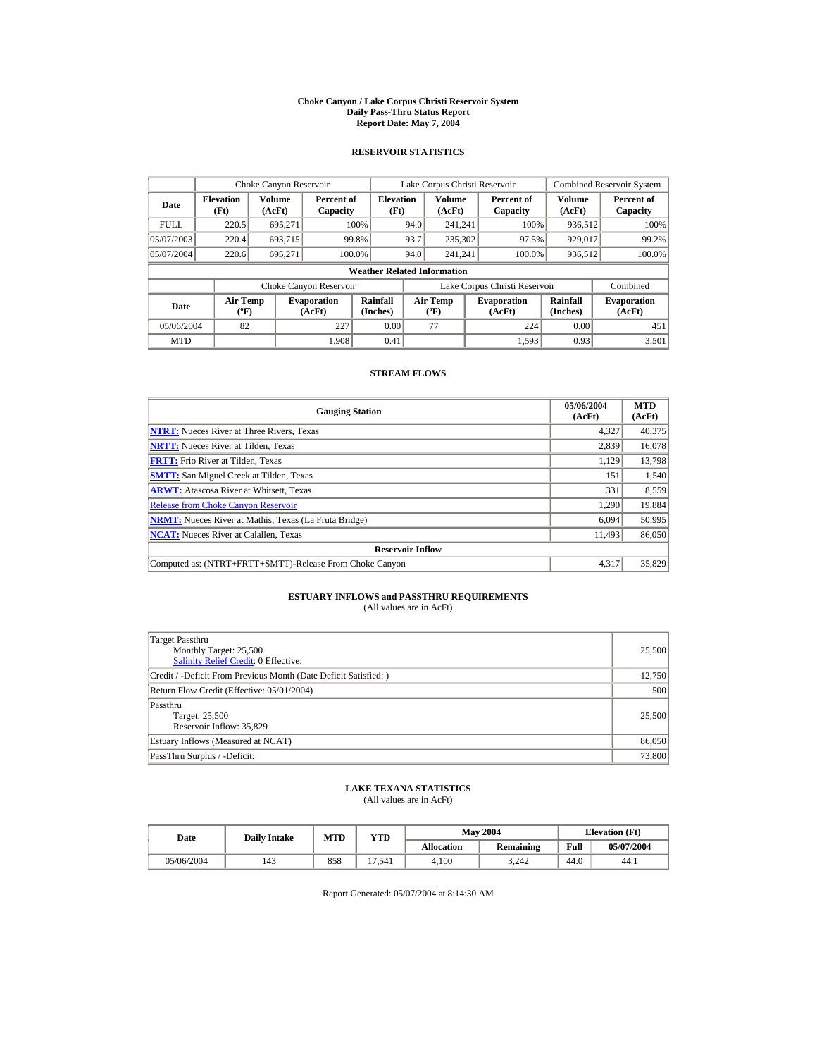#### **Choke Canyon / Lake Corpus Christi Reservoir System Daily Pass-Thru Status Report Report Date: May 7, 2004**

## **RESERVOIR STATISTICS**

|             | Choke Canyon Reservoir                |                  |                              |                          | Lake Corpus Christi Reservoir |                                   |  |                               |                         | <b>Combined Reservoir System</b> |  |  |
|-------------|---------------------------------------|------------------|------------------------------|--------------------------|-------------------------------|-----------------------------------|--|-------------------------------|-------------------------|----------------------------------|--|--|
| Date        | <b>Elevation</b><br>(Ft)              | Volume<br>(AcFt) | Percent of<br>Capacity       | <b>Elevation</b><br>(Ft) |                               | <b>Volume</b><br>(AcFt)           |  | Percent of<br>Capacity        | <b>Volume</b><br>(AcFt) | Percent of<br>Capacity           |  |  |
| <b>FULL</b> | 220.5                                 | 695,271          |                              | 100%                     | 94.0                          | 241.241                           |  | 100%                          | 936,512                 | 100%                             |  |  |
| 05/07/2003  | 220.4                                 | 693.715          |                              | 99.8%                    | 93.7                          | 235,302                           |  | 97.5%                         | 929,017                 | 99.2%                            |  |  |
| 05/07/2004  | 220.6                                 | 695.271          |                              | 100.0%                   | 94.0                          | 241.241                           |  | 100.0%                        | 936,512                 | 100.0%                           |  |  |
|             | <b>Weather Related Information</b>    |                  |                              |                          |                               |                                   |  |                               |                         |                                  |  |  |
|             |                                       |                  | Choke Canyon Reservoir       |                          |                               |                                   |  | Lake Corpus Christi Reservoir |                         | Combined                         |  |  |
| Date        | <b>Air Temp</b><br>$({}^o\mathrm{F})$ |                  | <b>Evaporation</b><br>(AcFt) | Rainfall<br>(Inches)     |                               | Air Temp<br>$({}^{\circ}{\rm F})$ |  | <b>Evaporation</b><br>(AcFt)  | Rainfall<br>(Inches)    | <b>Evaporation</b><br>(AcFt)     |  |  |
| 05/06/2004  | 82                                    |                  | 227                          | 0.00                     |                               | 77                                |  | 224                           | 0.00                    | 451                              |  |  |
| <b>MTD</b>  |                                       |                  | 1.908                        | 0.41                     |                               |                                   |  | 1.593                         | 0.93                    | 3,501                            |  |  |

## **STREAM FLOWS**

| <b>Gauging Station</b>                                       | 05/06/2004<br>(AcFt) | <b>MTD</b><br>(AcFt) |
|--------------------------------------------------------------|----------------------|----------------------|
| <b>NTRT:</b> Nueces River at Three Rivers, Texas             | 4,327                | 40,375               |
| <b>NRTT:</b> Nueces River at Tilden, Texas                   | 2,839                | 16,078               |
| <b>FRTT:</b> Frio River at Tilden, Texas                     | 1,129                | 13,798               |
| <b>SMTT:</b> San Miguel Creek at Tilden, Texas               | 151                  | 1,540                |
| <b>ARWT:</b> Atascosa River at Whitsett, Texas               | 331                  | 8,559                |
| <b>Release from Choke Canyon Reservoir</b>                   | 1.290                | 19,884               |
| <b>NRMT:</b> Nueces River at Mathis, Texas (La Fruta Bridge) | 6,094                | 50,995               |
| <b>NCAT:</b> Nueces River at Calallen, Texas                 | 11,493               | 86,050               |
| <b>Reservoir Inflow</b>                                      |                      |                      |
| Computed as: (NTRT+FRTT+SMTT)-Release From Choke Canyon      | 4.317                | 35,829               |

# **ESTUARY INFLOWS and PASSTHRU REQUIREMENTS**<br>(All values are in AcFt)

| Target Passthru<br>Monthly Target: 25,500<br><b>Salinity Relief Credit: 0 Effective:</b> | 25,500 |
|------------------------------------------------------------------------------------------|--------|
| Credit / -Deficit From Previous Month (Date Deficit Satisfied:)                          | 12,750 |
| Return Flow Credit (Effective: 05/01/2004)                                               | 500    |
| Passthru<br>Target: 25,500<br>Reservoir Inflow: 35,829                                   | 25,500 |
| Estuary Inflows (Measured at NCAT)                                                       | 86,050 |
| PassThru Surplus / -Deficit:                                                             | 73,800 |

## **LAKE TEXANA STATISTICS**

(All values are in AcFt)

| Date       | <b>Daily Intake</b> | MTD | $v_{\rm TD}$           |            | <b>May 2004</b> | <b>Elevation</b> (Ft) |            |
|------------|---------------------|-----|------------------------|------------|-----------------|-----------------------|------------|
|            |                     |     |                        | Allocation | Remaining       | Full                  | 05/07/2004 |
| 05/06/2004 | 143                 | 858 | .541<br>$\overline{z}$ | 4.100      | 3.242           | 44.0                  | 44.1       |

Report Generated: 05/07/2004 at 8:14:30 AM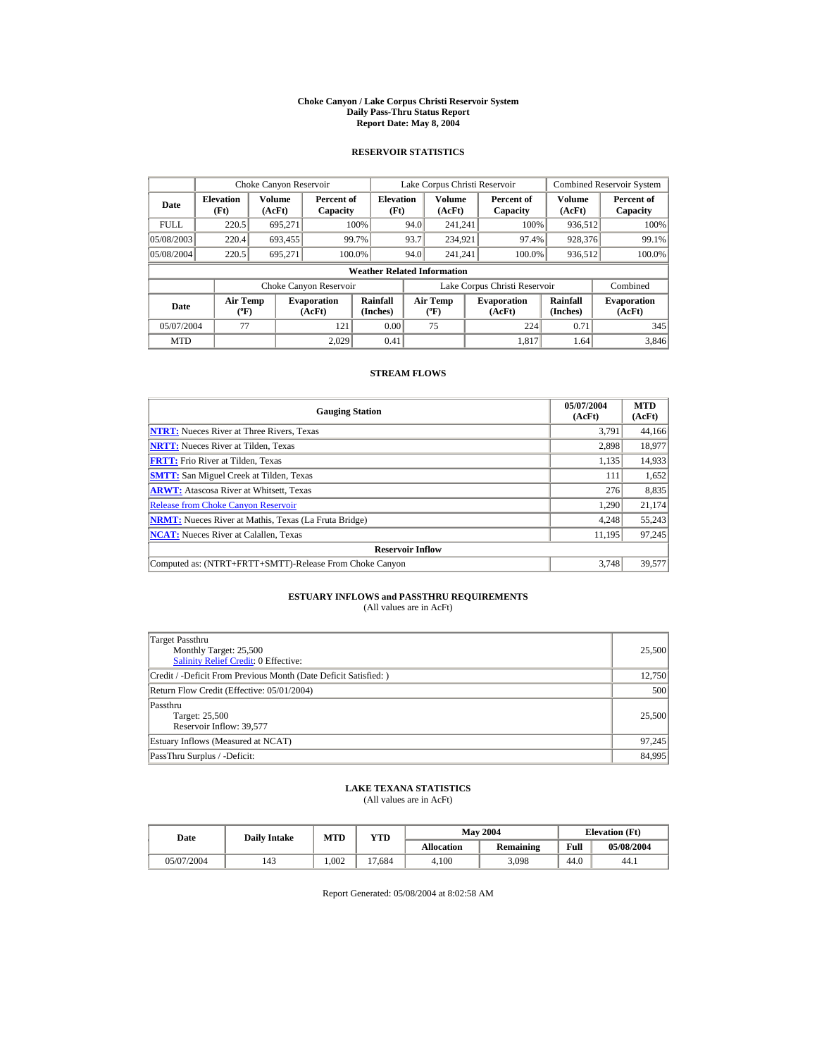#### **Choke Canyon / Lake Corpus Christi Reservoir System Daily Pass-Thru Status Report Report Date: May 8, 2004**

## **RESERVOIR STATISTICS**

|             | Choke Canyon Reservoir                      |                  |                              |                          | Lake Corpus Christi Reservoir |                                  |  |                               |                      | <b>Combined Reservoir System</b> |  |  |
|-------------|---------------------------------------------|------------------|------------------------------|--------------------------|-------------------------------|----------------------------------|--|-------------------------------|----------------------|----------------------------------|--|--|
| Date        | <b>Elevation</b><br>(Ft)                    | Volume<br>(AcFt) | Percent of<br>Capacity       | <b>Elevation</b><br>(Ft) |                               | Volume<br>(AcFt)                 |  | Percent of<br>Capacity        | Volume<br>(AcFt)     | Percent of<br>Capacity           |  |  |
| <b>FULL</b> | 220.5                                       | 695.271          |                              | 100%                     | 94.0                          | 241.241                          |  | 100%                          | 936,512              | 100%                             |  |  |
| 05/08/2003  | 220.4                                       | 693,455          |                              | 99.7%                    | 93.7                          | 234,921                          |  | 97.4%                         | 928,376              | 99.1%                            |  |  |
| 05/08/2004  | 220.5                                       | 695.271          |                              | 100.0%                   | 94.0                          | 241.241                          |  | 100.0%                        | 936,512              | 100.0%                           |  |  |
|             | <b>Weather Related Information</b>          |                  |                              |                          |                               |                                  |  |                               |                      |                                  |  |  |
|             |                                             |                  | Choke Canyon Reservoir       |                          |                               |                                  |  | Lake Corpus Christi Reservoir |                      | Combined                         |  |  |
| Date        | <b>Air Temp</b><br>$({}^{\circ}\mathrm{F})$ |                  | <b>Evaporation</b><br>(AcFt) | Rainfall<br>(Inches)     |                               | <b>Air Temp</b><br>$(^{\circ}F)$ |  | <b>Evaporation</b><br>(AcFt)  | Rainfall<br>(Inches) | <b>Evaporation</b><br>(AcFt)     |  |  |
| 05/07/2004  | 77                                          |                  | 121                          | 0.00                     |                               | 75                               |  | 224                           | 0.71                 | 345                              |  |  |
| <b>MTD</b>  |                                             |                  | 2.029                        | 0.41                     |                               |                                  |  | 1.817                         | 1.64                 | 3.846                            |  |  |

## **STREAM FLOWS**

| <b>Gauging Station</b>                                       | 05/07/2004<br>(AcFt) | <b>MTD</b><br>(AcFt) |
|--------------------------------------------------------------|----------------------|----------------------|
| <b>NTRT:</b> Nueces River at Three Rivers, Texas             | 3,791                | 44,166               |
| <b>NRTT:</b> Nueces River at Tilden, Texas                   | 2,898                | 18,977               |
| <b>FRTT:</b> Frio River at Tilden, Texas                     | 1,135                | 14,933               |
| <b>SMTT:</b> San Miguel Creek at Tilden, Texas               | 111                  | 1,652                |
| <b>ARWT:</b> Atascosa River at Whitsett, Texas               | 276                  | 8,835                |
| <b>Release from Choke Canyon Reservoir</b>                   | 1.290                | 21,174               |
| <b>NRMT:</b> Nueces River at Mathis, Texas (La Fruta Bridge) | 4.248                | 55,243               |
| <b>NCAT:</b> Nueces River at Calallen, Texas                 | 11,195               | 97,245               |
| <b>Reservoir Inflow</b>                                      |                      |                      |
| Computed as: (NTRT+FRTT+SMTT)-Release From Choke Canyon      | 3.748                | 39,577               |

# **ESTUARY INFLOWS and PASSTHRU REQUIREMENTS**<br>(All values are in AcFt)

| Target Passthru<br>Monthly Target: 25,500<br><b>Salinity Relief Credit: 0 Effective:</b> | 25,500 |
|------------------------------------------------------------------------------------------|--------|
| Credit / -Deficit From Previous Month (Date Deficit Satisfied:)                          | 12,750 |
| Return Flow Credit (Effective: 05/01/2004)                                               | 500    |
| Passthru<br>Target: 25,500<br>Reservoir Inflow: 39,577                                   | 25,500 |
| Estuary Inflows (Measured at NCAT)                                                       | 97,245 |
| PassThru Surplus / -Deficit:                                                             | 84,995 |

## **LAKE TEXANA STATISTICS**

(All values are in AcFt)

| Date       | <b>Daily Intake</b> | MTD  | $v_{\rm TD}$ |            | <b>May 2004</b> | <b>Elevation</b> (Ft) |            |
|------------|---------------------|------|--------------|------------|-----------------|-----------------------|------------|
|            |                     |      |              | Allocation | Remaining       | Full                  | 05/08/2004 |
| 05/07/2004 | 143                 | .002 | 17.684       | 4.100      | 3.098           | 44.0                  | 44.1       |

Report Generated: 05/08/2004 at 8:02:58 AM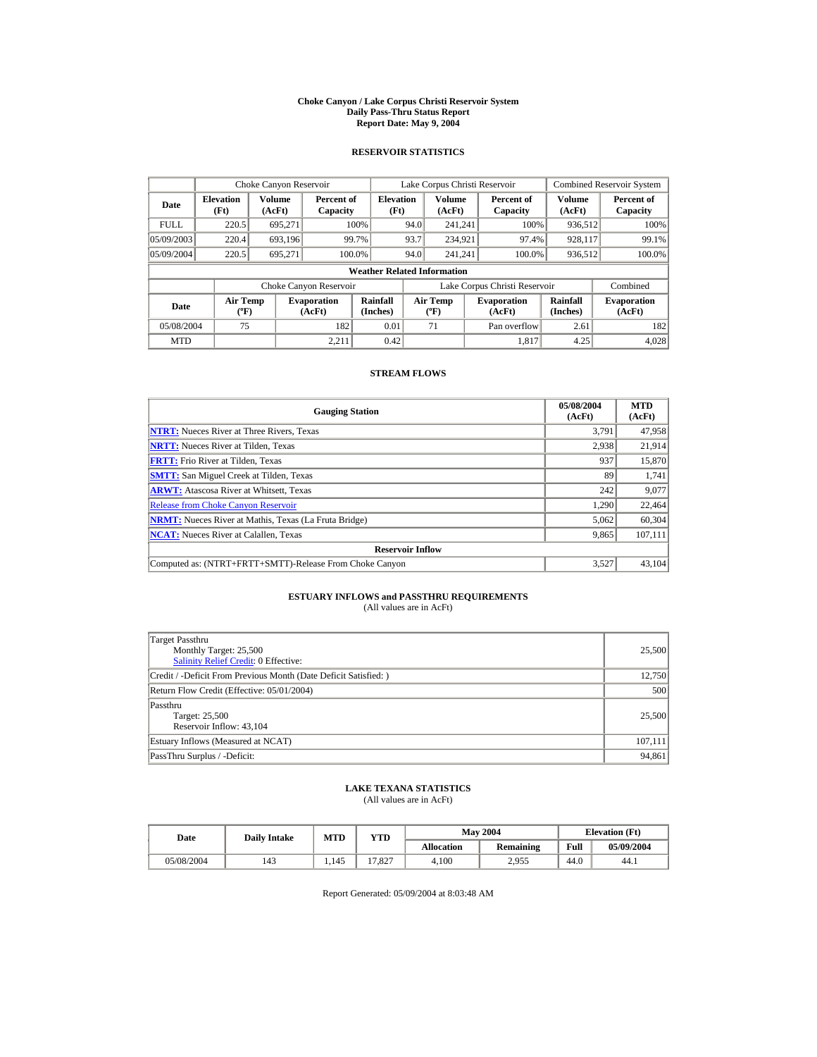#### **Choke Canyon / Lake Corpus Christi Reservoir System Daily Pass-Thru Status Report Report Date: May 9, 2004**

## **RESERVOIR STATISTICS**

|             | Choke Canyon Reservoir                      |                  |                              |                          | Lake Corpus Christi Reservoir |                                  |  |                               |                      | <b>Combined Reservoir System</b> |  |  |
|-------------|---------------------------------------------|------------------|------------------------------|--------------------------|-------------------------------|----------------------------------|--|-------------------------------|----------------------|----------------------------------|--|--|
| Date        | <b>Elevation</b><br>(Ft)                    | Volume<br>(AcFt) | Percent of<br>Capacity       | <b>Elevation</b><br>(Ft) |                               | <b>Volume</b><br>(AcFt)          |  | Percent of<br>Capacity        | Volume<br>(AcFt)     | Percent of<br>Capacity           |  |  |
| <b>FULL</b> | 220.5                                       | 695.271          |                              | 100%                     | 94.0                          | 241.241                          |  | 100%                          | 936,512              | 100%                             |  |  |
| 05/09/2003  | 220.4                                       | 693,196          |                              | 99.7%                    | 93.7                          | 234,921                          |  | 97.4%                         | 928,117              | 99.1%                            |  |  |
| 05/09/2004  | 220.5                                       | 695,271          | 100.0%                       |                          | 94.0                          | 241.241                          |  | 100.0%                        | 936,512              | 100.0%                           |  |  |
|             | <b>Weather Related Information</b>          |                  |                              |                          |                               |                                  |  |                               |                      |                                  |  |  |
|             |                                             |                  | Choke Canyon Reservoir       |                          |                               |                                  |  | Lake Corpus Christi Reservoir |                      | Combined                         |  |  |
| Date        | <b>Air Temp</b><br>$({}^{\circ}\mathrm{F})$ |                  | <b>Evaporation</b><br>(AcFt) | Rainfall<br>(Inches)     |                               | <b>Air Temp</b><br>$(^{\circ}F)$ |  | <b>Evaporation</b><br>(AcFt)  | Rainfall<br>(Inches) | <b>Evaporation</b><br>(AcFt)     |  |  |
| 05/08/2004  | 75                                          |                  | 182                          | 0.01                     |                               | 71                               |  | Pan overflow                  | 2.61                 | 182                              |  |  |
| <b>MTD</b>  |                                             |                  | 2.211                        | 0.42                     |                               |                                  |  | 1.817                         | 4.25                 | 4.028                            |  |  |

## **STREAM FLOWS**

| <b>Gauging Station</b>                                       | 05/08/2004<br>(AcFt) | <b>MTD</b><br>(AcFt) |
|--------------------------------------------------------------|----------------------|----------------------|
| <b>NTRT:</b> Nueces River at Three Rivers, Texas             | 3.791                | 47,958               |
| <b>NRTT:</b> Nueces River at Tilden, Texas                   | 2.938                | 21,914               |
| <b>FRTT:</b> Frio River at Tilden, Texas                     | 937                  | 15,870               |
| <b>SMTT:</b> San Miguel Creek at Tilden, Texas               | 89                   | 1,741                |
| <b>ARWT:</b> Atascosa River at Whitsett, Texas               | 242                  | 9,077                |
| <b>Release from Choke Canvon Reservoir</b>                   | 1.290                | 22,464               |
| <b>NRMT:</b> Nueces River at Mathis, Texas (La Fruta Bridge) | 5,062                | 60,304               |
| <b>NCAT:</b> Nueces River at Calallen, Texas                 | 9,865                | 107,111              |
| <b>Reservoir Inflow</b>                                      |                      |                      |
| Computed as: (NTRT+FRTT+SMTT)-Release From Choke Canyon      | 3.527                | 43.104               |

# **ESTUARY INFLOWS and PASSTHRU REQUIREMENTS**<br>(All values are in AcFt)

| Target Passthru<br>Monthly Target: 25,500<br>Salinity Relief Credit: 0 Effective: | 25,500  |
|-----------------------------------------------------------------------------------|---------|
| Credit / -Deficit From Previous Month (Date Deficit Satisfied:)                   | 12,750  |
| Return Flow Credit (Effective: 05/01/2004)                                        | 500     |
| Passthru<br>Target: 25,500<br>Reservoir Inflow: 43,104                            | 25,500  |
| Estuary Inflows (Measured at NCAT)                                                | 107,111 |
| PassThru Surplus / -Deficit:                                                      | 94,861  |

## **LAKE TEXANA STATISTICS**

(All values are in AcFt)

| Date       | <b>Daily Intake</b> | <b>MTD</b> | YTD    |                   | <b>May 2004</b> | <b>Elevation</b> (Ft) |            |
|------------|---------------------|------------|--------|-------------------|-----------------|-----------------------|------------|
|            |                     |            |        | <b>Allocation</b> | Remaining       | Full                  | 05/09/2004 |
| 05/08/2004 | 143                 | 1.145      | 17.827 | 4.100             | 2.955           | 44.0                  | 44.1       |

Report Generated: 05/09/2004 at 8:03:48 AM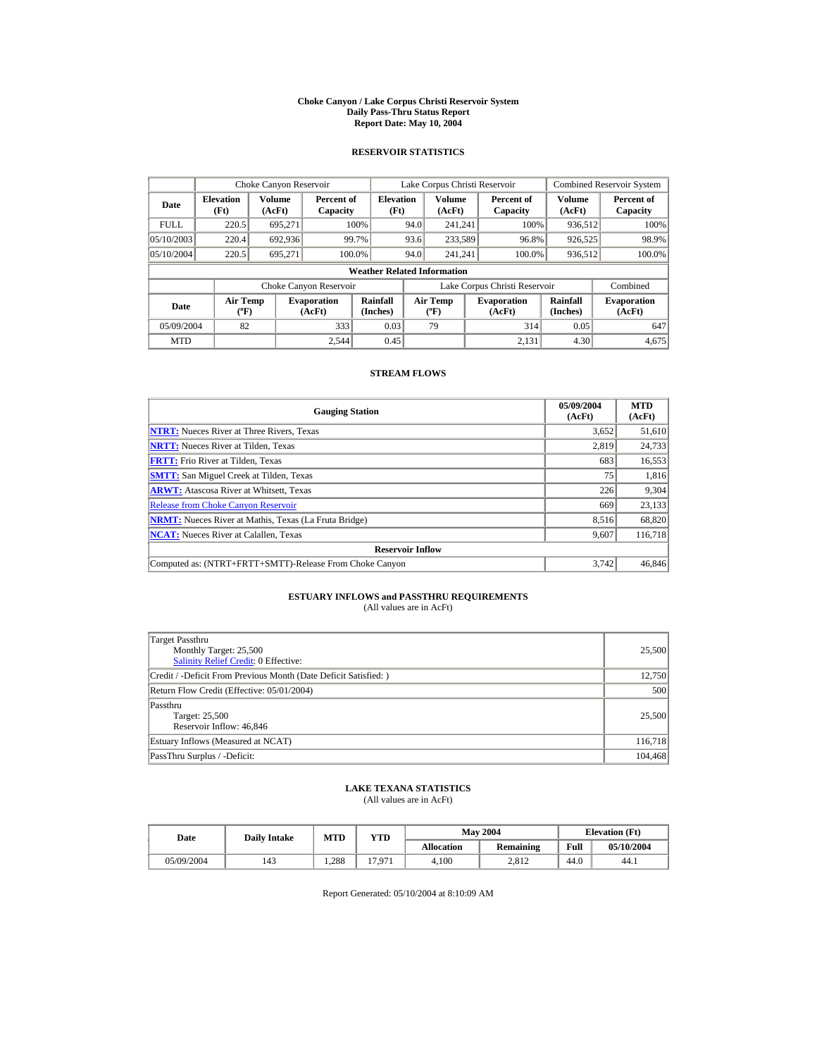#### **Choke Canyon / Lake Corpus Christi Reservoir System Daily Pass-Thru Status Report Report Date: May 10, 2004**

## **RESERVOIR STATISTICS**

|             | Choke Canyon Reservoir                      |                         |                              |                          | Lake Corpus Christi Reservoir |                                                  |  |                               |                         | <b>Combined Reservoir System</b> |  |  |
|-------------|---------------------------------------------|-------------------------|------------------------------|--------------------------|-------------------------------|--------------------------------------------------|--|-------------------------------|-------------------------|----------------------------------|--|--|
| Date        | <b>Elevation</b><br>(Ft)                    | <b>Volume</b><br>(AcFt) | Percent of<br>Capacity       | <b>Elevation</b><br>(Ft) |                               | <b>Volume</b><br>(AcFt)                          |  | Percent of<br>Capacity        | <b>Volume</b><br>(AcFt) | Percent of<br>Capacity           |  |  |
| <b>FULL</b> | 220.5                                       | 695.271                 |                              | 100%                     | 94.0                          | 241.241                                          |  | 100%                          | 936,512                 | 100%                             |  |  |
| 05/10/2003  | 220.4                                       | 692,936                 |                              | 99.7%                    | 93.6                          | 233,589                                          |  | 96.8%                         | 926,525                 | 98.9%                            |  |  |
| 05/10/2004  | 220.5                                       | 695.271                 |                              | 100.0%                   | 94.0                          | 241.241                                          |  | 100.0%                        | 936,512                 | 100.0%                           |  |  |
|             | <b>Weather Related Information</b>          |                         |                              |                          |                               |                                                  |  |                               |                         |                                  |  |  |
|             |                                             |                         | Choke Canyon Reservoir       |                          |                               |                                                  |  | Lake Corpus Christi Reservoir |                         | Combined                         |  |  |
| Date        | <b>Air Temp</b><br>$({}^{\circ}\mathrm{F})$ |                         | <b>Evaporation</b><br>(AcFt) | Rainfall<br>(Inches)     |                               | <b>Air Temp</b><br>$({}^{\mathrm{o}}\mathrm{F})$ |  | <b>Evaporation</b><br>(AcFt)  | Rainfall<br>(Inches)    | <b>Evaporation</b><br>(AcFt)     |  |  |
| 05/09/2004  | 82                                          |                         | 333                          | 0.03                     |                               | 79                                               |  | 314                           | 0.05                    | 647                              |  |  |
| <b>MTD</b>  |                                             |                         | 2.544                        | 0.45                     |                               |                                                  |  | 2.131                         | 4.30                    | 4,675                            |  |  |

## **STREAM FLOWS**

| <b>Gauging Station</b>                                       | 05/09/2004<br>(AcFt) | <b>MTD</b><br>(AcFt) |
|--------------------------------------------------------------|----------------------|----------------------|
| <b>NTRT:</b> Nueces River at Three Rivers, Texas             | 3,652                | 51,610               |
| <b>NRTT:</b> Nueces River at Tilden, Texas                   | 2.819                | 24,733               |
| <b>FRTT:</b> Frio River at Tilden, Texas                     | 683                  | 16,553               |
| <b>SMTT:</b> San Miguel Creek at Tilden, Texas               | 75                   | 1,816                |
| <b>ARWT:</b> Atascosa River at Whitsett, Texas               | 226                  | 9,304                |
| <b>Release from Choke Canyon Reservoir</b>                   | 669                  | 23,133               |
| <b>NRMT:</b> Nueces River at Mathis, Texas (La Fruta Bridge) | 8.516                | 68,820               |
| <b>NCAT:</b> Nueces River at Calallen, Texas                 | 9,607                | 116,718              |
| <b>Reservoir Inflow</b>                                      |                      |                      |
| Computed as: (NTRT+FRTT+SMTT)-Release From Choke Canyon      | 3.742                | 46,846               |

# **ESTUARY INFLOWS and PASSTHRU REQUIREMENTS**<br>(All values are in AcFt)

| Target Passthru<br>Monthly Target: 25,500<br><b>Salinity Relief Credit: 0 Effective:</b> | 25,500  |
|------------------------------------------------------------------------------------------|---------|
| Credit / -Deficit From Previous Month (Date Deficit Satisfied:)                          | 12,750  |
| Return Flow Credit (Effective: 05/01/2004)                                               | 500     |
| Passthru<br>Target: 25,500<br>Reservoir Inflow: 46,846                                   | 25,500  |
| Estuary Inflows (Measured at NCAT)                                                       | 116,718 |
| PassThru Surplus / -Deficit:                                                             | 104,468 |

## **LAKE TEXANA STATISTICS**

(All values are in AcFt)

| Date       | <b>Daily Intake</b> | <b>MTD</b> | YTD    |                   | <b>May 2004</b> | <b>Elevation</b> (Ft) |            |
|------------|---------------------|------------|--------|-------------------|-----------------|-----------------------|------------|
|            |                     |            |        | <b>Allocation</b> | Remaining       | Full                  | 05/10/2004 |
| 05/09/2004 | 143                 | 1.288      | 17.971 | 4.100             | 2.812           | 44.0                  | 44.1       |

Report Generated: 05/10/2004 at 8:10:09 AM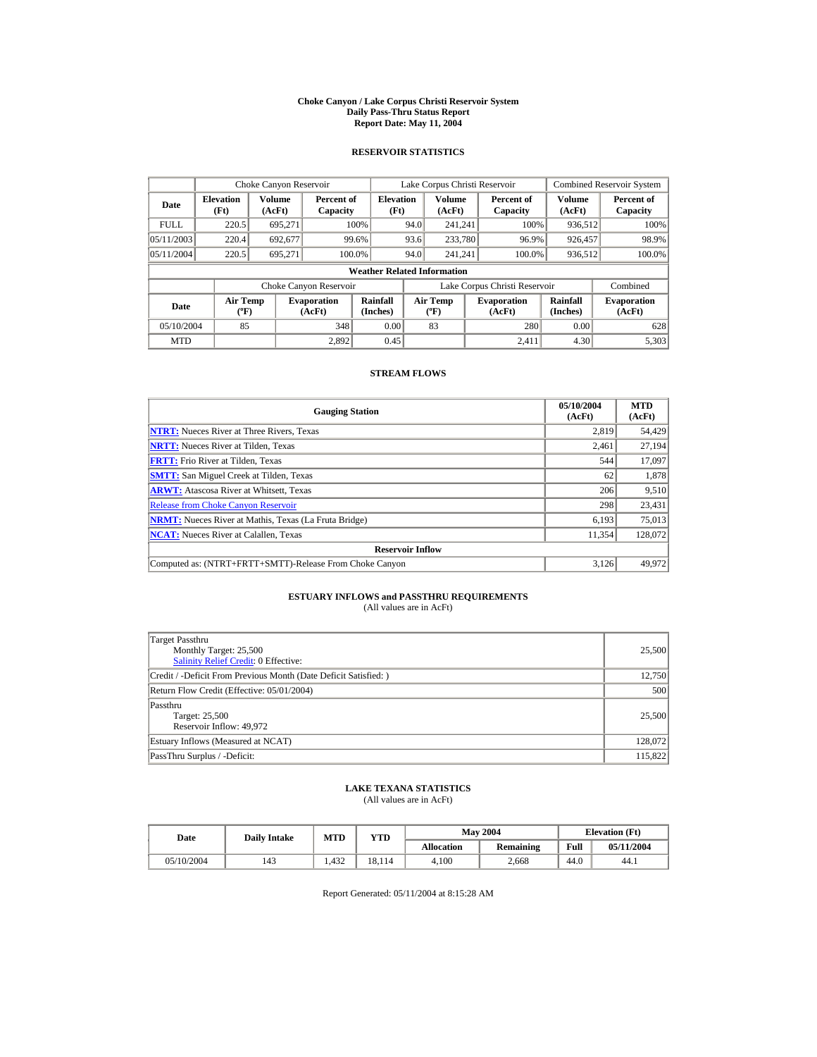#### **Choke Canyon / Lake Corpus Christi Reservoir System Daily Pass-Thru Status Report Report Date: May 11, 2004**

## **RESERVOIR STATISTICS**

|             | Choke Canyon Reservoir               |                  |                              |                          | Lake Corpus Christi Reservoir |                                             |  |                               |                      | <b>Combined Reservoir System</b> |  |  |
|-------------|--------------------------------------|------------------|------------------------------|--------------------------|-------------------------------|---------------------------------------------|--|-------------------------------|----------------------|----------------------------------|--|--|
| Date        | <b>Elevation</b><br>(Ft)             | Volume<br>(AcFt) | Percent of<br>Capacity       | <b>Elevation</b><br>(Ft) |                               | Volume<br>(AcFt)                            |  | Percent of<br>Capacity        | Volume<br>(AcFt)     | Percent of<br>Capacity           |  |  |
| <b>FULL</b> | 220.5                                | 695,271          |                              | 100%                     | 94.0                          | 241.241                                     |  | 100%                          | 936,512              | 100%                             |  |  |
| 05/11/2003  | 220.4                                | 692.677          |                              | 99.6%                    | 93.6                          | 233,780                                     |  | 96.9%                         | 926,457              | 98.9%                            |  |  |
| 05/11/2004  | 220.5                                | 695.271          | 100.0%                       |                          | 94.0                          | 241.241                                     |  | 100.0%                        | 936,512              | 100.0%                           |  |  |
|             | <b>Weather Related Information</b>   |                  |                              |                          |                               |                                             |  |                               |                      |                                  |  |  |
|             |                                      |                  | Choke Canyon Reservoir       |                          |                               |                                             |  | Lake Corpus Christi Reservoir |                      | Combined                         |  |  |
| Date        | Air Temp<br>$({}^{\circ}\mathrm{F})$ |                  | <b>Evaporation</b><br>(AcFt) | Rainfall<br>(Inches)     |                               | <b>Air Temp</b><br>$({}^{\circ}\mathrm{F})$ |  | <b>Evaporation</b><br>(AcFt)  | Rainfall<br>(Inches) | <b>Evaporation</b><br>(AcFt)     |  |  |
| 05/10/2004  | 85                                   |                  | 348                          | 0.00                     |                               | 83                                          |  | 280                           | 0.00                 | 628                              |  |  |
| <b>MTD</b>  |                                      |                  | 2.892                        | 0.45                     |                               |                                             |  | 2.411                         | 4.30                 | 5,303                            |  |  |

## **STREAM FLOWS**

| <b>Gauging Station</b>                                       | 05/10/2004<br>(AcFt) | <b>MTD</b><br>(AcFt) |
|--------------------------------------------------------------|----------------------|----------------------|
| <b>NTRT:</b> Nueces River at Three Rivers, Texas             | 2.819                | 54,429               |
| <b>NRTT:</b> Nueces River at Tilden, Texas                   | 2.461                | 27,194               |
| <b>FRTT:</b> Frio River at Tilden, Texas                     | 544                  | 17,097               |
| <b>SMTT:</b> San Miguel Creek at Tilden, Texas               | 62                   | 1,878                |
| <b>ARWT:</b> Atascosa River at Whitsett, Texas               | 206                  | 9,510                |
| <b>Release from Choke Canvon Reservoir</b>                   | 298                  | 23,431               |
| <b>NRMT:</b> Nueces River at Mathis, Texas (La Fruta Bridge) | 6,193                | 75,013               |
| <b>NCAT:</b> Nueces River at Calallen, Texas                 | 11,354               | 128,072              |
| <b>Reservoir Inflow</b>                                      |                      |                      |
| Computed as: (NTRT+FRTT+SMTT)-Release From Choke Canyon      | 3.126                | 49.972               |

# **ESTUARY INFLOWS and PASSTHRU REQUIREMENTS**<br>(All values are in AcFt)

| Target Passthru<br>Monthly Target: 25,500<br><b>Salinity Relief Credit: 0 Effective:</b> | 25,500  |
|------------------------------------------------------------------------------------------|---------|
| Credit / -Deficit From Previous Month (Date Deficit Satisfied:)                          | 12,750  |
| Return Flow Credit (Effective: 05/01/2004)                                               | 500     |
| Passthru<br>Target: 25,500<br>Reservoir Inflow: 49,972                                   | 25,500  |
| Estuary Inflows (Measured at NCAT)                                                       | 128,072 |
| PassThru Surplus / -Deficit:                                                             | 115,822 |

## **LAKE TEXANA STATISTICS**

(All values are in AcFt)

| Date       | <b>Daily Intake</b> | <b>MTD</b> | YTD    |                   | <b>May 2004</b> | <b>Elevation</b> (Ft) |            |
|------------|---------------------|------------|--------|-------------------|-----------------|-----------------------|------------|
|            |                     |            |        | <b>Allocation</b> | Remaining       | Full                  | 05/11/2004 |
| 05/10/2004 | 143                 | 1.432      | 18.114 | 4.100             | 2.668           | 44.0                  | 44.1       |

Report Generated: 05/11/2004 at 8:15:28 AM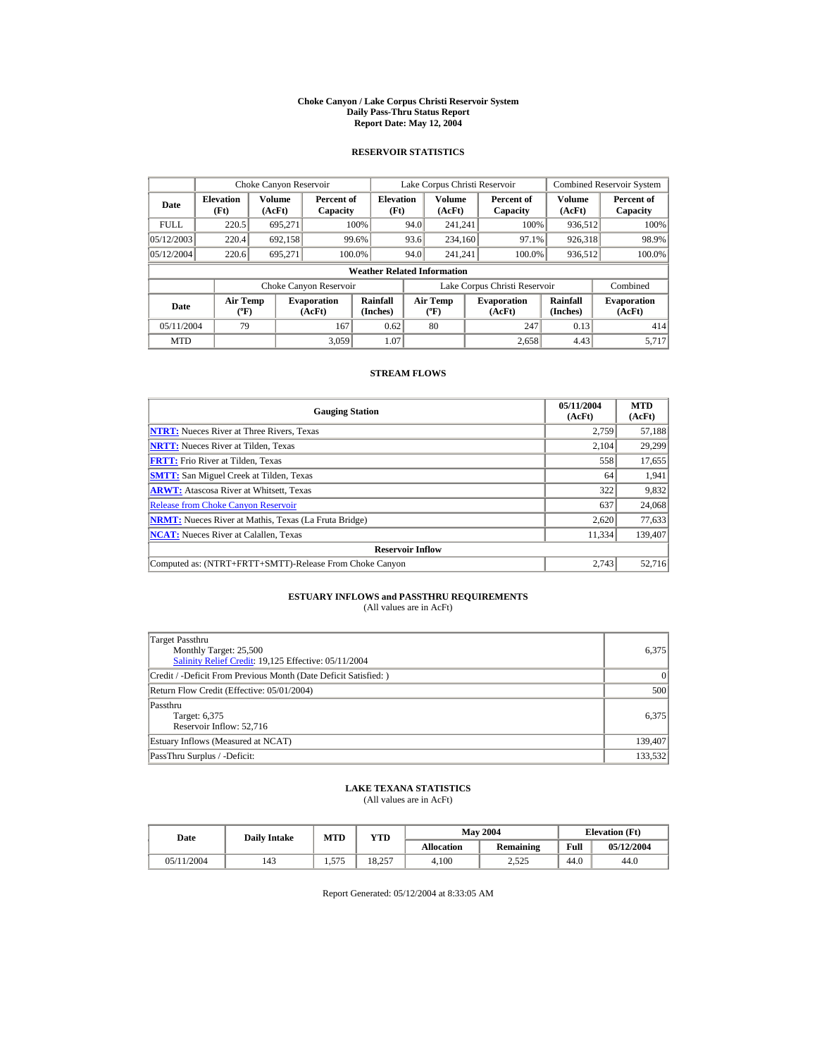#### **Choke Canyon / Lake Corpus Christi Reservoir System Daily Pass-Thru Status Report Report Date: May 12, 2004**

## **RESERVOIR STATISTICS**

|             | Choke Canyon Reservoir                      |                  |                              |                                    | Lake Corpus Christi Reservoir |                                                  |  |                               |                         | <b>Combined Reservoir System</b> |
|-------------|---------------------------------------------|------------------|------------------------------|------------------------------------|-------------------------------|--------------------------------------------------|--|-------------------------------|-------------------------|----------------------------------|
| Date        | <b>Elevation</b><br>(Ft)                    | Volume<br>(AcFt) | Percent of<br>Capacity       | <b>Elevation</b><br>(Ft)           |                               | <b>Volume</b><br>(AcFt)                          |  | Percent of<br>Capacity        | <b>Volume</b><br>(AcFt) | Percent of<br>Capacity           |
| <b>FULL</b> | 220.5                                       | 695.271          |                              | 100%                               | 94.0                          | 241.241                                          |  | 100%                          | 936.512                 | 100%                             |
| 05/12/2003  | 220.4                                       | 692,158          | 99.6%                        |                                    | 93.6                          | 234,160                                          |  | 97.1%                         | 926,318                 | 98.9%                            |
| 05/12/2004  | 220.6                                       | 695,271          | 100.0%                       |                                    | 94.0                          | 241.241                                          |  | 100.0%                        | 936,512                 | 100.0%                           |
|             |                                             |                  |                              | <b>Weather Related Information</b> |                               |                                                  |  |                               |                         |                                  |
|             |                                             |                  | Choke Canyon Reservoir       |                                    |                               |                                                  |  | Lake Corpus Christi Reservoir |                         | Combined                         |
| Date        | <b>Air Temp</b><br>$({}^{\circ}\mathrm{F})$ |                  | <b>Evaporation</b><br>(AcFt) | Rainfall<br>(Inches)               |                               | <b>Air Temp</b><br>$({}^{\mathrm{o}}\mathrm{F})$ |  | <b>Evaporation</b><br>(AcFt)  | Rainfall<br>(Inches)    | <b>Evaporation</b><br>(AcFt)     |
| 05/11/2004  | 79                                          |                  | 167                          | 0.62                               |                               | 80                                               |  | 247                           | 0.13                    | 414                              |
| <b>MTD</b>  |                                             |                  | 3.059                        | 1.07                               |                               |                                                  |  | 2.658                         | 4.43                    | 5.717                            |

## **STREAM FLOWS**

| <b>Gauging Station</b>                                       | 05/11/2004<br>(AcFt) | <b>MTD</b><br>(AcFt) |
|--------------------------------------------------------------|----------------------|----------------------|
| <b>NTRT:</b> Nueces River at Three Rivers, Texas             | 2.759                | 57,188               |
| <b>NRTT:</b> Nueces River at Tilden, Texas                   | 2.104                | 29,299               |
| <b>FRTT:</b> Frio River at Tilden, Texas                     | 558                  | 17,655               |
| <b>SMTT:</b> San Miguel Creek at Tilden, Texas               | 64                   | 1,941                |
| <b>ARWT:</b> Atascosa River at Whitsett, Texas               | 322                  | 9,832                |
| <b>Release from Choke Canyon Reservoir</b>                   | 637                  | 24,068               |
| <b>NRMT:</b> Nueces River at Mathis, Texas (La Fruta Bridge) | 2.620                | 77,633               |
| <b>NCAT:</b> Nueces River at Calallen, Texas                 | 11,334               | 139,407              |
| <b>Reservoir Inflow</b>                                      |                      |                      |
| Computed as: (NTRT+FRTT+SMTT)-Release From Choke Canyon      | 2.743                | 52.716               |

# **ESTUARY INFLOWS and PASSTHRU REQUIREMENTS**<br>(All values are in AcFt)

| Target Passthru<br>Monthly Target: 25,500<br>Salinity Relief Credit: 19,125 Effective: 05/11/2004 | 6,375     |
|---------------------------------------------------------------------------------------------------|-----------|
| Credit / -Deficit From Previous Month (Date Deficit Satisfied:)                                   | $\vert$ 0 |
| Return Flow Credit (Effective: 05/01/2004)                                                        | 500       |
| Passthru<br>Target: 6,375<br>Reservoir Inflow: 52.716                                             | 6.375     |
| Estuary Inflows (Measured at NCAT)                                                                | 139,407   |
| PassThru Surplus / -Deficit:                                                                      | 133.532   |

## **LAKE TEXANA STATISTICS**

(All values are in AcFt)

| Date       | <b>Daily Intake</b> | <b>MTD</b> | YTD    |                   | <b>May 2004</b> |      | <b>Elevation</b> (Ft) |
|------------|---------------------|------------|--------|-------------------|-----------------|------|-----------------------|
|            |                     |            |        | <b>Allocation</b> | Remaining       | Full | 05/12/2004            |
| 05/11/2004 | 143                 | 1.575      | 18.257 | 4.100             | 2.525           | 44.0 | 44.0                  |

Report Generated: 05/12/2004 at 8:33:05 AM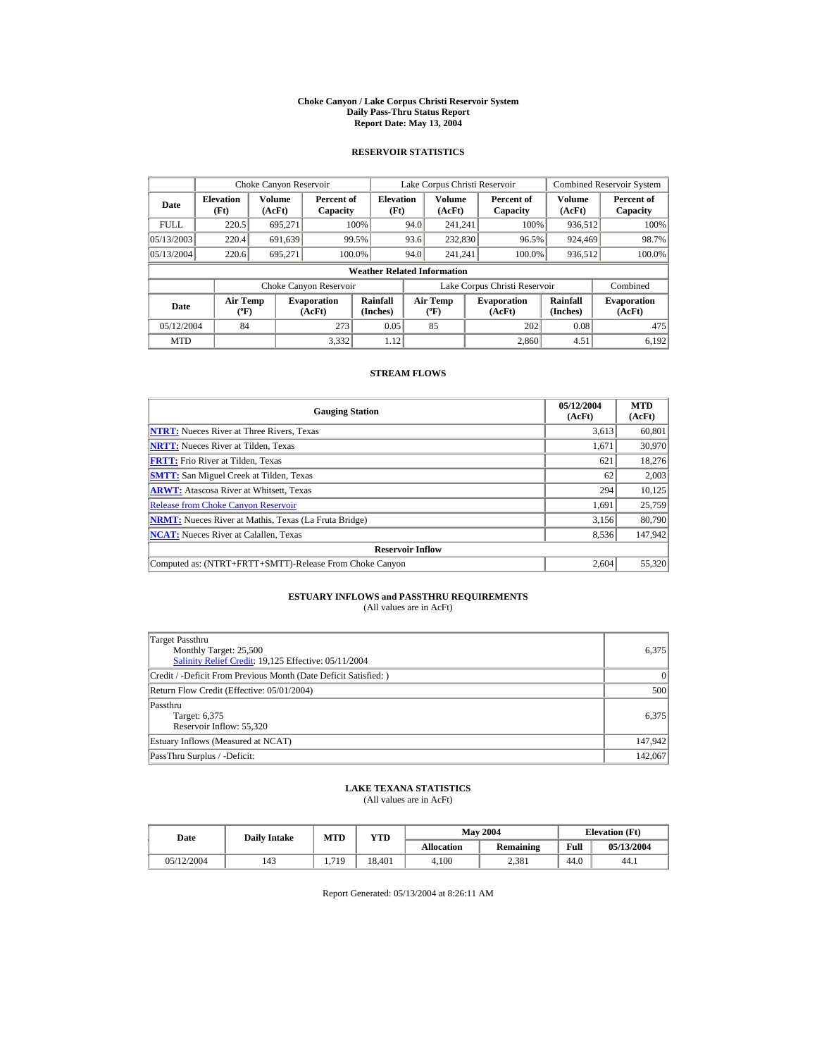#### **Choke Canyon / Lake Corpus Christi Reservoir System Daily Pass-Thru Status Report Report Date: May 13, 2004**

## **RESERVOIR STATISTICS**

|             | Choke Canyon Reservoir                      |                  |                              |                          | Lake Corpus Christi Reservoir |                                           |  |                               |                      | <b>Combined Reservoir System</b> |  |  |
|-------------|---------------------------------------------|------------------|------------------------------|--------------------------|-------------------------------|-------------------------------------------|--|-------------------------------|----------------------|----------------------------------|--|--|
| Date        | <b>Elevation</b><br>(Ft)                    | Volume<br>(AcFt) | Percent of<br>Capacity       | <b>Elevation</b><br>(Ft) |                               | Volume<br>(AcFt)                          |  | Percent of<br>Capacity        | Volume<br>(AcFt)     | Percent of<br>Capacity           |  |  |
| <b>FULL</b> | 220.5                                       | 695.271          |                              | 100%                     | 94.0                          | 241.241                                   |  | 100%                          | 936,512              | 100%                             |  |  |
| 05/13/2003  | 220.4                                       | 691,639          |                              | 99.5%                    | 93.6                          | 232,830                                   |  | 96.5%                         | 924,469              | 98.7%                            |  |  |
| 05/13/2004  | 220.6                                       | 695.271          |                              | 100.0%                   | 94.0                          | 241.241                                   |  | 100.0%                        | 936,512              | 100.0%                           |  |  |
|             | <b>Weather Related Information</b>          |                  |                              |                          |                               |                                           |  |                               |                      |                                  |  |  |
|             |                                             |                  | Choke Canyon Reservoir       |                          |                               |                                           |  | Lake Corpus Christi Reservoir |                      | Combined                         |  |  |
| Date        | <b>Air Temp</b><br>$({}^{\circ}\mathrm{F})$ |                  | <b>Evaporation</b><br>(AcFt) | Rainfall<br>(Inches)     |                               | <b>Air Temp</b><br>$({}^{\circ}\text{F})$ |  | <b>Evaporation</b><br>(AcFt)  | Rainfall<br>(Inches) | <b>Evaporation</b><br>(AcFt)     |  |  |
| 05/12/2004  | 84                                          |                  | 273                          | 0.05                     |                               | 85                                        |  | 202                           | 0.08                 | 475                              |  |  |
| <b>MTD</b>  |                                             |                  | 3.332                        | 1.12                     |                               |                                           |  | 2.860                         | 4.51                 | 6.192                            |  |  |

## **STREAM FLOWS**

| <b>Gauging Station</b>                                       | 05/12/2004<br>(AcFt) | <b>MTD</b><br>(AcFt) |
|--------------------------------------------------------------|----------------------|----------------------|
| <b>NTRT:</b> Nueces River at Three Rivers, Texas             | 3,613                | 60,801               |
| <b>NRTT:</b> Nueces River at Tilden, Texas                   | 1.671                | 30,970               |
| <b>FRTT:</b> Frio River at Tilden, Texas                     | 621                  | 18,276               |
| <b>SMTT:</b> San Miguel Creek at Tilden, Texas               | 62                   | 2,003                |
| <b>ARWT:</b> Atascosa River at Whitsett, Texas               | 294                  | 10,125               |
| <b>Release from Choke Canyon Reservoir</b>                   | 1.691                | 25,759               |
| <b>NRMT:</b> Nueces River at Mathis, Texas (La Fruta Bridge) | 3,156                | 80,790               |
| <b>NCAT:</b> Nueces River at Calallen, Texas                 | 8,536                | 147,942              |
| <b>Reservoir Inflow</b>                                      |                      |                      |
| Computed as: (NTRT+FRTT+SMTT)-Release From Choke Canyon      | 2.604                | 55,320               |

# **ESTUARY INFLOWS and PASSTHRU REQUIREMENTS**<br>(All values are in AcFt)

| Target Passthru<br>Monthly Target: 25,500<br>Salinity Relief Credit: 19,125 Effective: 05/11/2004 | 6,375     |
|---------------------------------------------------------------------------------------------------|-----------|
| Credit / -Deficit From Previous Month (Date Deficit Satisfied:)                                   | $\vert$ 0 |
| Return Flow Credit (Effective: 05/01/2004)                                                        | 500       |
| Passthru<br>Target: 6,375<br>Reservoir Inflow: 55.320                                             | 6.375     |
| Estuary Inflows (Measured at NCAT)                                                                | 147,942   |
| PassThru Surplus / -Deficit:                                                                      | 142,067   |

## **LAKE TEXANA STATISTICS**

(All values are in AcFt)

| Date       | <b>Daily Intake</b> | MTD   | VTD    |            | <b>May 2004</b> | <b>Elevation</b> (Ft) |            |
|------------|---------------------|-------|--------|------------|-----------------|-----------------------|------------|
|            |                     |       |        | Allocation | Remaining       | Full                  | 05/13/2004 |
| 05/12/2004 | 143                 | 1.719 | 18.401 | 4.100      | 2.381           | 44.0                  | 44.1       |

Report Generated: 05/13/2004 at 8:26:11 AM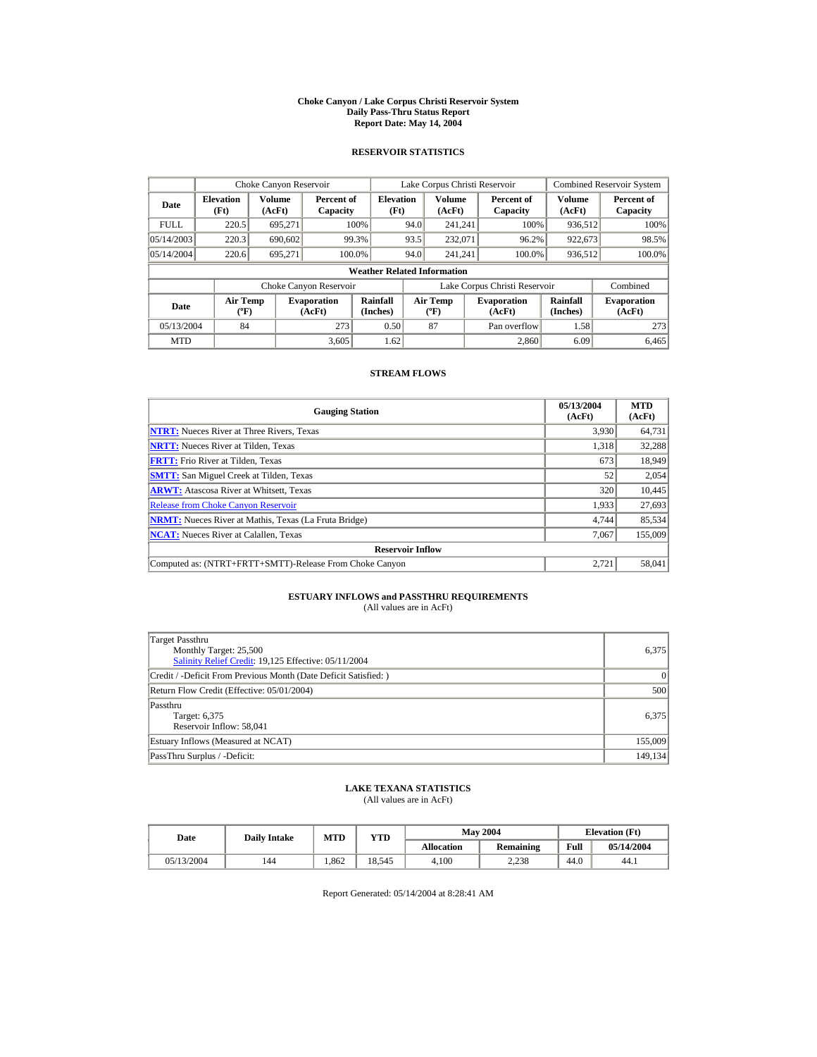#### **Choke Canyon / Lake Corpus Christi Reservoir System Daily Pass-Thru Status Report Report Date: May 14, 2004**

## **RESERVOIR STATISTICS**

|             | Choke Canyon Reservoir                      |                  |                              |                          | Lake Corpus Christi Reservoir |                           |  |                               |                      | <b>Combined Reservoir System</b> |  |  |
|-------------|---------------------------------------------|------------------|------------------------------|--------------------------|-------------------------------|---------------------------|--|-------------------------------|----------------------|----------------------------------|--|--|
| Date        | <b>Elevation</b><br>(Ft)                    | Volume<br>(AcFt) | Percent of<br>Capacity       | <b>Elevation</b><br>(Ft) |                               | Volume<br>(AcFt)          |  | Percent of<br>Capacity        | Volume<br>(AcFt)     | Percent of<br>Capacity           |  |  |
| <b>FULL</b> | 220.5                                       | 695.271          |                              | 100%                     | 94.0                          | 241.241                   |  | 100%                          | 936,512              | 100%                             |  |  |
| 05/14/2003  | 220.3                                       | 690,602          |                              | 99.3%                    | 93.5                          | 232,071                   |  | 96.2%                         | 922,673              | 98.5%                            |  |  |
| 05/14/2004  | 220.6                                       | 695.271          |                              | 100.0%                   | 94.0                          | 241.241                   |  | 100.0%                        | 936,512              | 100.0%                           |  |  |
|             | <b>Weather Related Information</b>          |                  |                              |                          |                               |                           |  |                               |                      |                                  |  |  |
|             |                                             |                  | Choke Canyon Reservoir       |                          |                               |                           |  | Lake Corpus Christi Reservoir |                      | Combined                         |  |  |
| Date        | <b>Air Temp</b><br>$({}^{\circ}\mathrm{F})$ |                  | <b>Evaporation</b><br>(AcFt) | Rainfall<br>(Inches)     |                               | Air Temp<br>$(^{\circ}F)$ |  | <b>Evaporation</b><br>(AcFt)  | Rainfall<br>(Inches) | <b>Evaporation</b><br>(AcFt)     |  |  |
| 05/13/2004  | 84                                          |                  | 273                          | 0.50                     |                               | 87                        |  | Pan overflow                  | 1.58                 | 273                              |  |  |
| <b>MTD</b>  |                                             |                  | 3.605                        | 1.62                     |                               |                           |  | 2.860                         | 6.09                 | 6.465                            |  |  |

## **STREAM FLOWS**

| <b>Gauging Station</b>                                       | 05/13/2004<br>(AcFt) | <b>MTD</b><br>(AcFt) |
|--------------------------------------------------------------|----------------------|----------------------|
| <b>NTRT:</b> Nueces River at Three Rivers, Texas             | 3,930                | 64,731               |
| <b>NRTT:</b> Nueces River at Tilden, Texas                   | 1.318                | 32,288               |
| <b>FRTT:</b> Frio River at Tilden, Texas                     | 673                  | 18,949               |
| <b>SMTT:</b> San Miguel Creek at Tilden, Texas               | 52                   | 2,054                |
| <b>ARWT:</b> Atascosa River at Whitsett, Texas               | 320                  | 10,445               |
| <b>Release from Choke Canyon Reservoir</b>                   | 1.933                | 27,693               |
| <b>NRMT:</b> Nueces River at Mathis, Texas (La Fruta Bridge) | 4.744                | 85,534               |
| <b>NCAT:</b> Nueces River at Calallen, Texas                 | 7,067                | 155,009              |
| <b>Reservoir Inflow</b>                                      |                      |                      |
| Computed as: (NTRT+FRTT+SMTT)-Release From Choke Canyon      | 2.721                | 58,041               |

# **ESTUARY INFLOWS and PASSTHRU REQUIREMENTS**<br>(All values are in AcFt)

| Target Passthru<br>Monthly Target: 25,500<br>Salinity Relief Credit: 19,125 Effective: 05/11/2004 | 6,375     |
|---------------------------------------------------------------------------------------------------|-----------|
| Credit / -Deficit From Previous Month (Date Deficit Satisfied:)                                   | $\vert$ 0 |
| Return Flow Credit (Effective: 05/01/2004)                                                        | 500       |
| Passthru<br>Target: 6,375<br>Reservoir Inflow: 58,041                                             | 6.375     |
| Estuary Inflows (Measured at NCAT)                                                                | 155,009   |
| PassThru Surplus / -Deficit:                                                                      | 149,134   |

## **LAKE TEXANA STATISTICS**

(All values are in AcFt)

| Date       | <b>Daily Intake</b> | MTD  | VTD    |            | <b>May 2004</b> | <b>Elevation</b> (Ft) |            |
|------------|---------------------|------|--------|------------|-----------------|-----------------------|------------|
|            |                     |      |        | Allocation | Remaining       | Full                  | 05/14/2004 |
| 05/13/2004 | 144                 | .862 | 18.545 | 4.100      | 2.238           | 44.0                  | 44.1       |

Report Generated: 05/14/2004 at 8:28:41 AM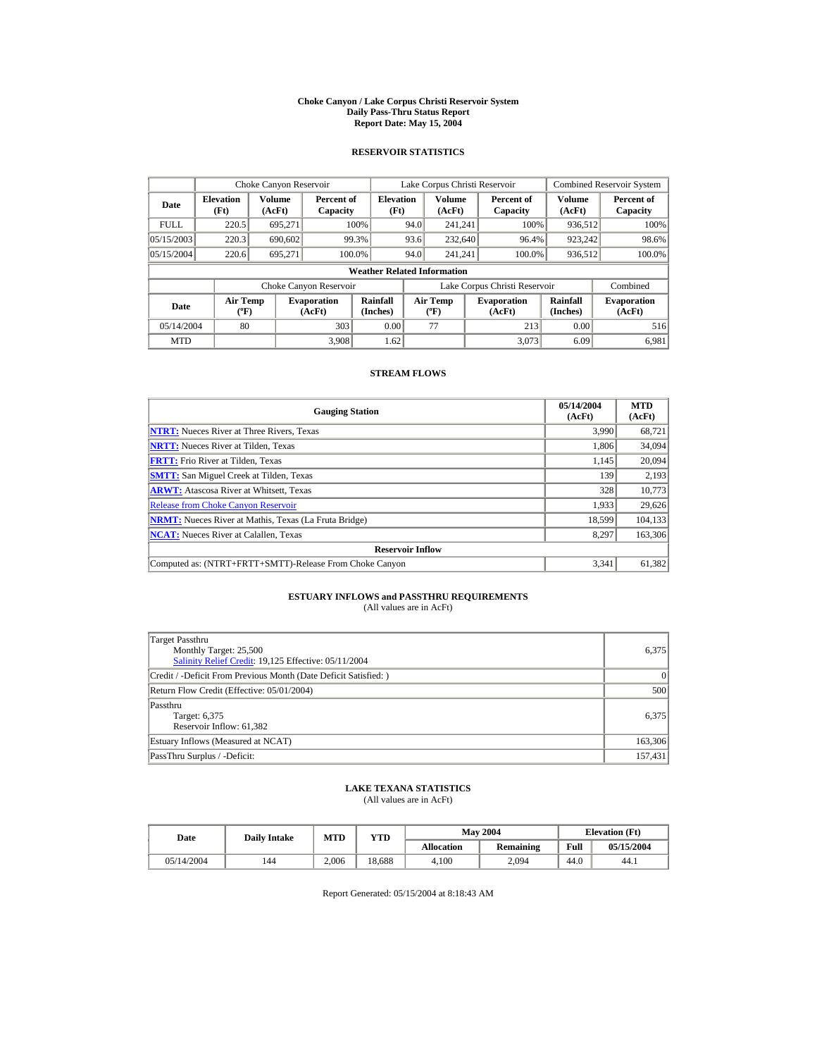#### **Choke Canyon / Lake Corpus Christi Reservoir System Daily Pass-Thru Status Report Report Date: May 15, 2004**

## **RESERVOIR STATISTICS**

|             | Choke Canyon Reservoir                      |                  |                              |                          | Lake Corpus Christi Reservoir |                                          |  |                               |                      | <b>Combined Reservoir System</b> |  |  |
|-------------|---------------------------------------------|------------------|------------------------------|--------------------------|-------------------------------|------------------------------------------|--|-------------------------------|----------------------|----------------------------------|--|--|
| Date        | <b>Elevation</b><br>(Ft)                    | Volume<br>(AcFt) | Percent of<br>Capacity       | <b>Elevation</b><br>(Ft) |                               | <b>Volume</b><br>(AcFt)                  |  | Percent of<br>Capacity        | Volume<br>(AcFt)     | Percent of<br>Capacity           |  |  |
| <b>FULL</b> | 220.5                                       | 695.271          |                              | 100%                     | 94.0                          | 241.241                                  |  | 100%                          | 936,512              | 100%                             |  |  |
| 05/15/2003  | 220.3                                       | 690,602          |                              | 99.3%                    | 93.6                          | 232,640                                  |  | 96.4%                         | 923,242              | 98.6%                            |  |  |
| 05/15/2004  | 220.6                                       | 695,271          | 100.0%                       |                          | 94.0                          | 241.241                                  |  | 100.0%                        | 936,512              | 100.0%                           |  |  |
|             | <b>Weather Related Information</b>          |                  |                              |                          |                               |                                          |  |                               |                      |                                  |  |  |
|             |                                             |                  | Choke Canyon Reservoir       |                          |                               |                                          |  | Lake Corpus Christi Reservoir |                      | Combined                         |  |  |
| Date        | <b>Air Temp</b><br>$({}^{\circ}\mathrm{F})$ |                  | <b>Evaporation</b><br>(AcFt) | Rainfall<br>(Inches)     |                               | <b>Air Temp</b><br>$({}^{\circ}{\rm F})$ |  | <b>Evaporation</b><br>(AcFt)  | Rainfall<br>(Inches) | <b>Evaporation</b><br>(AcFt)     |  |  |
| 05/14/2004  | 80                                          |                  | 303                          | 0.00                     |                               | 77                                       |  | 213                           | 0.00                 | 516                              |  |  |
| <b>MTD</b>  |                                             |                  | 3.908                        | 1.62                     |                               |                                          |  | 3.073                         | 6.09                 | 6.981                            |  |  |

## **STREAM FLOWS**

| <b>Gauging Station</b>                                       | 05/14/2004<br>(AcFt) | <b>MTD</b><br>(AcFt) |
|--------------------------------------------------------------|----------------------|----------------------|
| <b>NTRT:</b> Nueces River at Three Rivers, Texas             | 3,990                | 68,721               |
| <b>NRTT:</b> Nueces River at Tilden, Texas                   | 1.806                | 34,094               |
| <b>FRTT:</b> Frio River at Tilden, Texas                     | 1.145                | 20,094               |
| <b>SMTT:</b> San Miguel Creek at Tilden, Texas               | 139                  | 2,193                |
| <b>ARWT:</b> Atascosa River at Whitsett, Texas               | 328                  | 10,773               |
| <b>Release from Choke Canyon Reservoir</b>                   | 1.933                | 29,626               |
| <b>NRMT:</b> Nueces River at Mathis, Texas (La Fruta Bridge) | 18.599               | 104,133              |
| <b>NCAT:</b> Nueces River at Calallen, Texas                 | 8,297                | 163,306              |
| <b>Reservoir Inflow</b>                                      |                      |                      |
| Computed as: (NTRT+FRTT+SMTT)-Release From Choke Canyon      | 3.341                | 61,382               |

# **ESTUARY INFLOWS and PASSTHRU REQUIREMENTS**<br>(All values are in AcFt)

| Target Passthru<br>Monthly Target: 25,500<br>Salinity Relief Credit: 19,125 Effective: 05/11/2004 | 6.375     |
|---------------------------------------------------------------------------------------------------|-----------|
| Credit / -Deficit From Previous Month (Date Deficit Satisfied: )                                  | $\vert$ 0 |
| Return Flow Credit (Effective: 05/01/2004)                                                        | 500       |
| Passthru<br>Target: 6,375<br>Reservoir Inflow: 61,382                                             | 6.375     |
| Estuary Inflows (Measured at NCAT)                                                                | 163,306   |
| PassThru Surplus / -Deficit:                                                                      | 157,431   |

## **LAKE TEXANA STATISTICS**

(All values are in AcFt)

| Date       | <b>Daily Intake</b> | <b>MTD</b> | YTD    |                   | <b>May 2004</b> |      | <b>Elevation</b> (Ft) |
|------------|---------------------|------------|--------|-------------------|-----------------|------|-----------------------|
|            |                     |            |        | <b>Allocation</b> | Remaining       | Full | 05/15/2004            |
| 05/14/2004 | 144                 | 2.006      | 18.688 | 4.100             | 2.094           | 44.0 | 44.1                  |

Report Generated: 05/15/2004 at 8:18:43 AM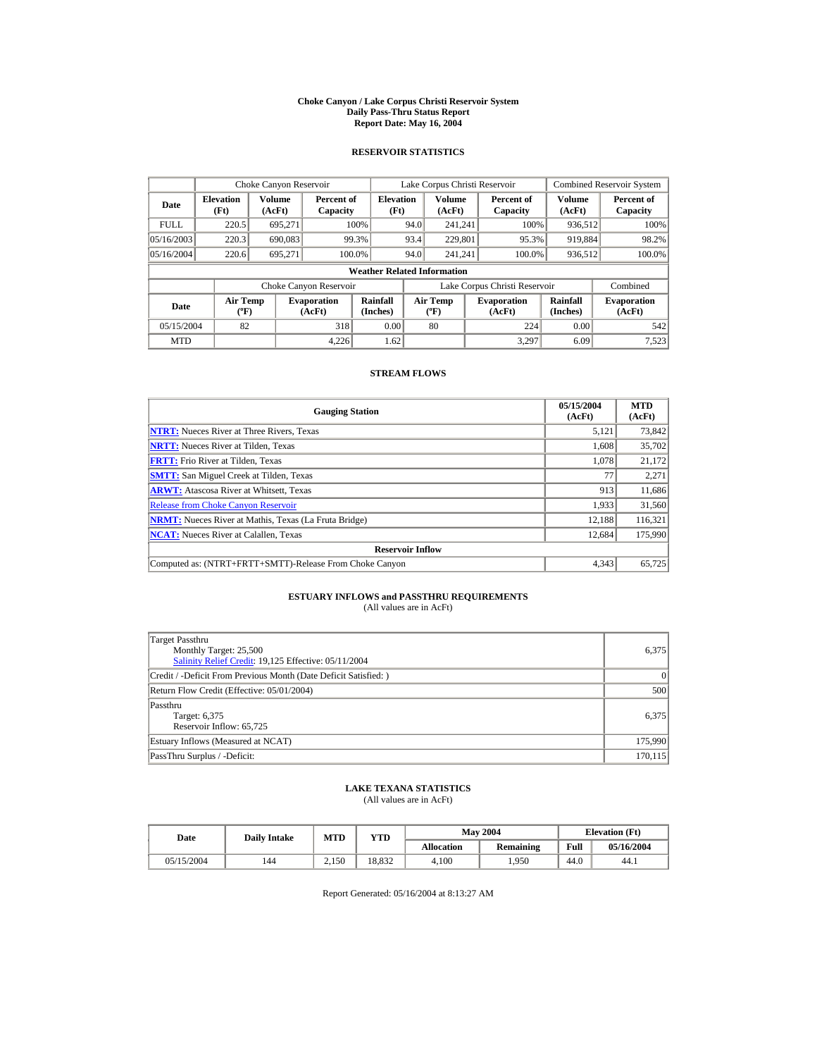#### **Choke Canyon / Lake Corpus Christi Reservoir System Daily Pass-Thru Status Report Report Date: May 16, 2004**

## **RESERVOIR STATISTICS**

|             | Choke Canyon Reservoir                      |                  |                              |                          | Lake Corpus Christi Reservoir |                                           |  |                               |                      | <b>Combined Reservoir System</b> |  |  |
|-------------|---------------------------------------------|------------------|------------------------------|--------------------------|-------------------------------|-------------------------------------------|--|-------------------------------|----------------------|----------------------------------|--|--|
| Date        | <b>Elevation</b><br>(Ft)                    | Volume<br>(AcFt) | Percent of<br>Capacity       | <b>Elevation</b><br>(Ft) |                               | Volume<br>(AcFt)                          |  | Percent of<br>Capacity        | Volume<br>(AcFt)     | Percent of<br>Capacity           |  |  |
| <b>FULL</b> | 220.5                                       | 695.271          |                              | 100%                     | 94.0                          | 241.241                                   |  | 100%                          | 936,512              | 100%                             |  |  |
| 05/16/2003  | 220.3                                       | 690,083          |                              | 99.3%                    | 93.4                          | 229,801                                   |  | 95.3%                         | 919,884              | 98.2%                            |  |  |
| 05/16/2004  | 220.6                                       | 695.271          | 100.0%                       |                          | 94.0                          | 241.241                                   |  | 100.0%                        | 936,512              | 100.0%                           |  |  |
|             | <b>Weather Related Information</b>          |                  |                              |                          |                               |                                           |  |                               |                      |                                  |  |  |
|             |                                             |                  | Choke Canyon Reservoir       |                          |                               |                                           |  | Lake Corpus Christi Reservoir |                      | Combined                         |  |  |
| Date        | <b>Air Temp</b><br>$({}^{\circ}\mathrm{F})$ |                  | <b>Evaporation</b><br>(AcFt) | Rainfall<br>(Inches)     |                               | <b>Air Temp</b><br>$({}^{\circ}\text{F})$ |  | <b>Evaporation</b><br>(AcFt)  | Rainfall<br>(Inches) | <b>Evaporation</b><br>(AcFt)     |  |  |
| 05/15/2004  | 82                                          |                  | 318                          | 0.00                     |                               | 80                                        |  | 224                           | 0.00                 | 542                              |  |  |
| <b>MTD</b>  |                                             |                  | 4.226                        | 1.62                     |                               |                                           |  | 3.297                         | 6.09                 | 7,523                            |  |  |

## **STREAM FLOWS**

| <b>Gauging Station</b>                                       | 05/15/2004<br>(AcFt) | <b>MTD</b><br>(AcFt) |
|--------------------------------------------------------------|----------------------|----------------------|
| <b>NTRT:</b> Nueces River at Three Rivers, Texas             | 5,121                | 73,842               |
| <b>NRTT:</b> Nueces River at Tilden, Texas                   | 1.608                | 35,702               |
| <b>FRTT:</b> Frio River at Tilden, Texas                     | 1.078                | 21,172               |
| <b>SMTT:</b> San Miguel Creek at Tilden, Texas               | 77                   | 2,271                |
| <b>ARWT:</b> Atascosa River at Whitsett, Texas               | 913                  | 11,686               |
| <b>Release from Choke Canvon Reservoir</b>                   | 1.933                | 31,560               |
| <b>NRMT:</b> Nueces River at Mathis, Texas (La Fruta Bridge) | 12.188               | 116,321              |
| <b>NCAT:</b> Nueces River at Calallen, Texas                 | 12,684               | 175,990              |
| <b>Reservoir Inflow</b>                                      |                      |                      |
| Computed as: (NTRT+FRTT+SMTT)-Release From Choke Canyon      | 4.343                | 65,725               |

# **ESTUARY INFLOWS and PASSTHRU REQUIREMENTS**<br>(All values are in AcFt)

| Target Passthru<br>Monthly Target: 25,500<br>Salinity Relief Credit: 19,125 Effective: 05/11/2004 | 6.375     |
|---------------------------------------------------------------------------------------------------|-----------|
| Credit / -Deficit From Previous Month (Date Deficit Satisfied: )                                  | $\vert$ 0 |
| Return Flow Credit (Effective: 05/01/2004)                                                        | 500       |
| Passthru<br>Target: 6,375<br>Reservoir Inflow: 65,725                                             | 6.375     |
| Estuary Inflows (Measured at NCAT)                                                                | 175,990   |
| PassThru Surplus / -Deficit:                                                                      | 170, 115  |

## **LAKE TEXANA STATISTICS**

(All values are in AcFt)

| Date       | <b>Daily Intake</b> | <b>MTD</b> | YTD    |                   | <b>May 2004</b> | <b>Elevation</b> (Ft) |            |
|------------|---------------------|------------|--------|-------------------|-----------------|-----------------------|------------|
|            |                     |            |        | <b>Allocation</b> | Remaining       | Full                  | 05/16/2004 |
| 05/15/2004 | 144                 | 2.150      | 18.832 | 4.100             | .950            | 44.0                  | 44.1       |

Report Generated: 05/16/2004 at 8:13:27 AM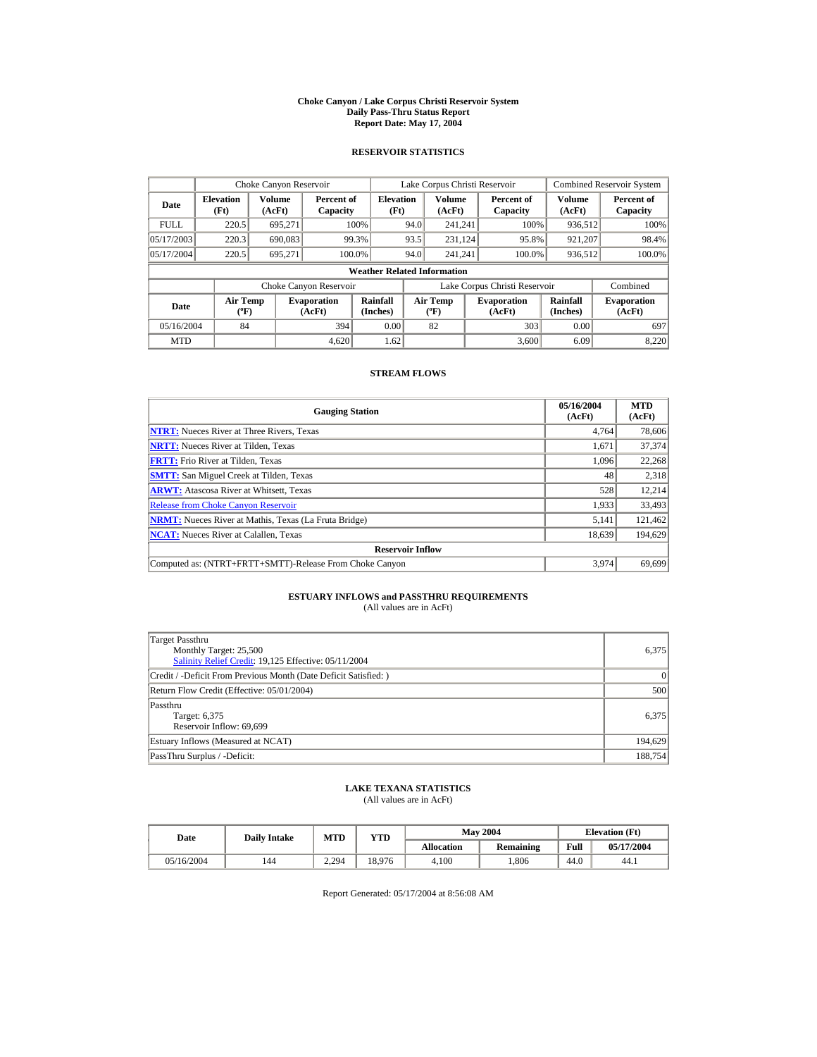#### **Choke Canyon / Lake Corpus Christi Reservoir System Daily Pass-Thru Status Report Report Date: May 17, 2004**

## **RESERVOIR STATISTICS**

|             | Choke Canyon Reservoir                      |                  |                              |                          | Lake Corpus Christi Reservoir |                                           |  |                               |                      | <b>Combined Reservoir System</b> |  |  |
|-------------|---------------------------------------------|------------------|------------------------------|--------------------------|-------------------------------|-------------------------------------------|--|-------------------------------|----------------------|----------------------------------|--|--|
| Date        | <b>Elevation</b><br>(Ft)                    | Volume<br>(AcFt) | Percent of<br>Capacity       | <b>Elevation</b><br>(Ft) |                               | Volume<br>(AcFt)                          |  | Percent of<br>Capacity        | Volume<br>(AcFt)     | Percent of<br>Capacity           |  |  |
| <b>FULL</b> | 220.5                                       | 695.271          |                              | 100%                     | 94.0                          | 241.241                                   |  | 100%                          | 936,512              | 100%                             |  |  |
| 05/17/2003  | 220.3                                       | 690,083          |                              | 99.3%                    | 93.5                          | 231.124                                   |  | 95.8%                         | 921,207              | 98.4%                            |  |  |
| 05/17/2004  | 220.5                                       | 695.271          | 100.0%                       |                          | 94.0                          | 241.241                                   |  | 100.0%                        | 936,512              | 100.0%                           |  |  |
|             | <b>Weather Related Information</b>          |                  |                              |                          |                               |                                           |  |                               |                      |                                  |  |  |
|             |                                             |                  | Choke Canyon Reservoir       |                          |                               |                                           |  | Lake Corpus Christi Reservoir |                      | Combined                         |  |  |
| Date        | <b>Air Temp</b><br>$({}^{\circ}\mathrm{F})$ |                  | <b>Evaporation</b><br>(AcFt) | Rainfall<br>(Inches)     |                               | <b>Air Temp</b><br>$({}^{\circ}\text{F})$ |  | <b>Evaporation</b><br>(AcFt)  | Rainfall<br>(Inches) | <b>Evaporation</b><br>(AcFt)     |  |  |
| 05/16/2004  | 84                                          |                  | 394                          | 0.00                     |                               | 82                                        |  | 303                           | 0.00                 | 697                              |  |  |
| <b>MTD</b>  |                                             |                  | 4.620                        | 1.62                     |                               |                                           |  | 3.600                         | 6.09                 | 8,220                            |  |  |

## **STREAM FLOWS**

| <b>Gauging Station</b>                                       | 05/16/2004<br>(AcFt) | <b>MTD</b><br>(AcFt) |
|--------------------------------------------------------------|----------------------|----------------------|
| <b>NTRT:</b> Nueces River at Three Rivers, Texas             | 4,764                | 78,606               |
| <b>NRTT:</b> Nueces River at Tilden, Texas                   | 1,671                | 37,374               |
| <b>FRTT:</b> Frio River at Tilden, Texas                     | 1,096                | 22,268               |
| <b>SMTT:</b> San Miguel Creek at Tilden, Texas               | 48                   | 2,318                |
| <b>ARWT:</b> Atascosa River at Whitsett, Texas               | 528                  | 12,214               |
| <b>Release from Choke Canyon Reservoir</b>                   | 1,933                | 33,493               |
| <b>NRMT:</b> Nueces River at Mathis, Texas (La Fruta Bridge) | 5.141                | 121,462              |
| <b>NCAT:</b> Nueces River at Calallen, Texas                 | 18,639               | 194,629              |
| <b>Reservoir Inflow</b>                                      |                      |                      |
| Computed as: (NTRT+FRTT+SMTT)-Release From Choke Canyon      | 3.974                | 69.699               |

# **ESTUARY INFLOWS and PASSTHRU REQUIREMENTS**<br>(All values are in AcFt)

| Target Passthru<br>Monthly Target: 25,500<br>Salinity Relief Credit: 19,125 Effective: 05/11/2004 | 6,375     |
|---------------------------------------------------------------------------------------------------|-----------|
| Credit / -Deficit From Previous Month (Date Deficit Satisfied:)                                   | $\vert$ 0 |
| Return Flow Credit (Effective: 05/01/2004)                                                        | 500       |
| Passthru<br>Target: 6,375<br>Reservoir Inflow: 69.699                                             | 6.375     |
| Estuary Inflows (Measured at NCAT)                                                                | 194,629   |
| PassThru Surplus / -Deficit:                                                                      | 188,754   |

## **LAKE TEXANA STATISTICS**

(All values are in AcFt)

| Date       | <b>Daily Intake</b> | MTD   | VTD    |            | <b>May 2004</b> | <b>Elevation</b> (Ft) |            |
|------------|---------------------|-------|--------|------------|-----------------|-----------------------|------------|
|            |                     |       |        | Allocation | Remaining       | Full                  | 05/17/2004 |
| 05/16/2004 | 144                 | 2.294 | 18.976 | 4.100      | .806            | 44.0                  | 44.1       |

Report Generated: 05/17/2004 at 8:56:08 AM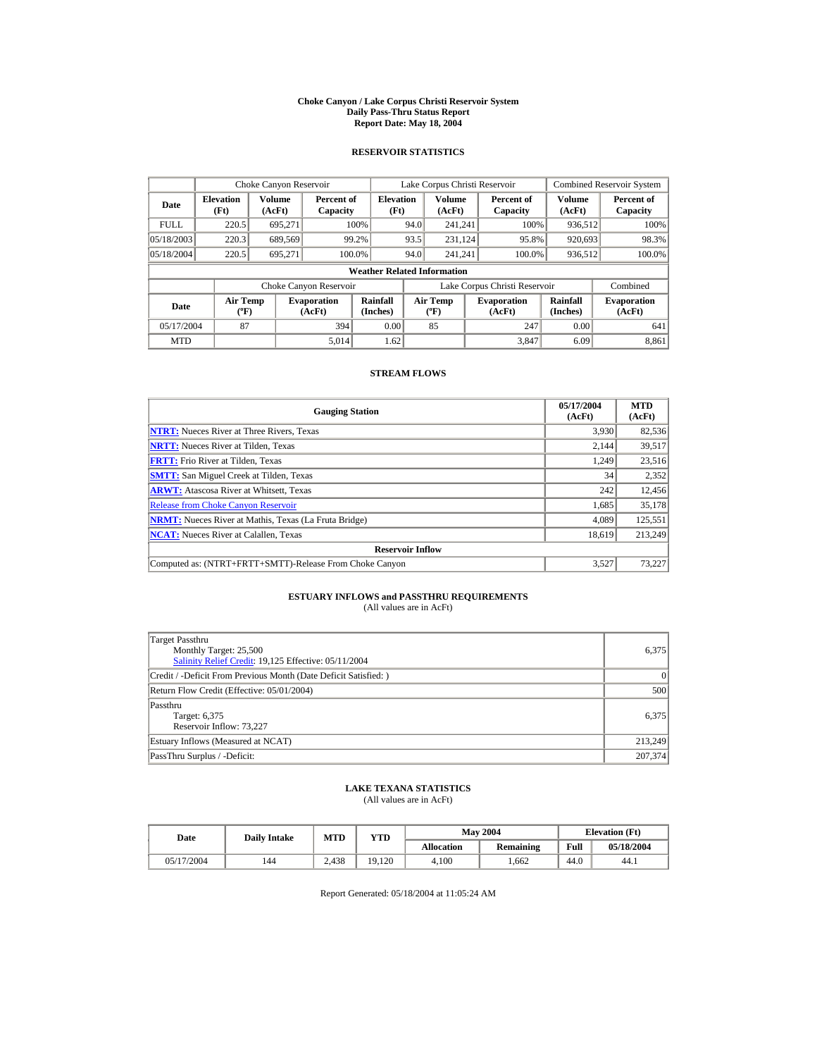#### **Choke Canyon / Lake Corpus Christi Reservoir System Daily Pass-Thru Status Report Report Date: May 18, 2004**

## **RESERVOIR STATISTICS**

|             | Choke Canyon Reservoir                      |                  |                              |                          | Lake Corpus Christi Reservoir |                                           |  |                               |                      | <b>Combined Reservoir System</b> |  |  |
|-------------|---------------------------------------------|------------------|------------------------------|--------------------------|-------------------------------|-------------------------------------------|--|-------------------------------|----------------------|----------------------------------|--|--|
| Date        | <b>Elevation</b><br>(Ft)                    | Volume<br>(AcFt) | Percent of<br>Capacity       | <b>Elevation</b><br>(Ft) |                               | Volume<br>(AcFt)                          |  | Percent of<br>Capacity        | Volume<br>(AcFt)     | Percent of<br>Capacity           |  |  |
| <b>FULL</b> | 220.5                                       | 695.271          |                              | 100%                     | 94.0                          | 241.241                                   |  | 100%                          | 936,512              | 100%                             |  |  |
| 05/18/2003  | 220.3                                       | 689,569          |                              | 99.2%                    | 93.5                          | 231.124                                   |  | 95.8%                         | 920,693              | 98.3%                            |  |  |
| 05/18/2004  | 220.5                                       | 695.271          | 100.0%                       |                          | 94.0                          | 241.241                                   |  | 100.0%                        | 936,512              | 100.0%                           |  |  |
|             | <b>Weather Related Information</b>          |                  |                              |                          |                               |                                           |  |                               |                      |                                  |  |  |
|             |                                             |                  | Choke Canyon Reservoir       |                          |                               |                                           |  | Lake Corpus Christi Reservoir |                      | Combined                         |  |  |
| Date        | <b>Air Temp</b><br>$({}^{\circ}\mathrm{F})$ |                  | <b>Evaporation</b><br>(AcFt) | Rainfall<br>(Inches)     |                               | <b>Air Temp</b><br>$({}^{\circ}\text{F})$ |  | <b>Evaporation</b><br>(AcFt)  | Rainfall<br>(Inches) | <b>Evaporation</b><br>(AcFt)     |  |  |
| 05/17/2004  | 87                                          |                  | 394                          | 0.00                     |                               | 85                                        |  | 247                           | 0.00                 | 641                              |  |  |
| <b>MTD</b>  |                                             |                  | 5.014                        | 1.62                     |                               |                                           |  | 3.847                         | 6.09                 | 8,861                            |  |  |

## **STREAM FLOWS**

| <b>Gauging Station</b>                                       | 05/17/2004<br>(AcFt) | <b>MTD</b><br>(AcFt) |
|--------------------------------------------------------------|----------------------|----------------------|
| <b>NTRT:</b> Nueces River at Three Rivers, Texas             | 3,930                | 82,536               |
| <b>NRTT:</b> Nueces River at Tilden, Texas                   | 2.144                | 39,517               |
| <b>FRTT:</b> Frio River at Tilden, Texas                     | 1,249                | 23,516               |
| <b>SMTT:</b> San Miguel Creek at Tilden, Texas               | 34                   | 2,352                |
| <b>ARWT:</b> Atascosa River at Whitsett, Texas               | 242                  | 12,456               |
| <b>Release from Choke Canyon Reservoir</b>                   | 1.685                | 35,178               |
| <b>NRMT:</b> Nueces River at Mathis, Texas (La Fruta Bridge) | 4.089                | 125,551              |
| <b>NCAT:</b> Nueces River at Calallen, Texas                 | 18,619               | 213,249              |
| <b>Reservoir Inflow</b>                                      |                      |                      |
| Computed as: (NTRT+FRTT+SMTT)-Release From Choke Canyon      | 3.527                | 73.227               |

# **ESTUARY INFLOWS and PASSTHRU REQUIREMENTS**<br>(All values are in AcFt)

| Target Passthru<br>Monthly Target: 25,500<br>Salinity Relief Credit: 19,125 Effective: 05/11/2004 | 6,375     |
|---------------------------------------------------------------------------------------------------|-----------|
| Credit / -Deficit From Previous Month (Date Deficit Satisfied:)                                   | $\vert$ 0 |
| Return Flow Credit (Effective: 05/01/2004)                                                        | 500       |
| Passthru<br>Target: 6,375<br>Reservoir Inflow: 73,227                                             | 6.375     |
| Estuary Inflows (Measured at NCAT)                                                                | 213,249   |
| PassThru Surplus / -Deficit:                                                                      | 207,374   |

## **LAKE TEXANA STATISTICS**

(All values are in AcFt)

| Date       | <b>Daily Intake</b> | <b>MTD</b> | YTD    |                   | <b>May 2004</b> | <b>Elevation</b> (Ft) |            |
|------------|---------------------|------------|--------|-------------------|-----------------|-----------------------|------------|
|            |                     |            |        | <b>Allocation</b> | Remaining       | Full                  | 05/18/2004 |
| 05/17/2004 | 144                 | 2.438      | 19.120 | 4.100             | .662            | 44.0                  | 44.1       |

Report Generated: 05/18/2004 at 11:05:24 AM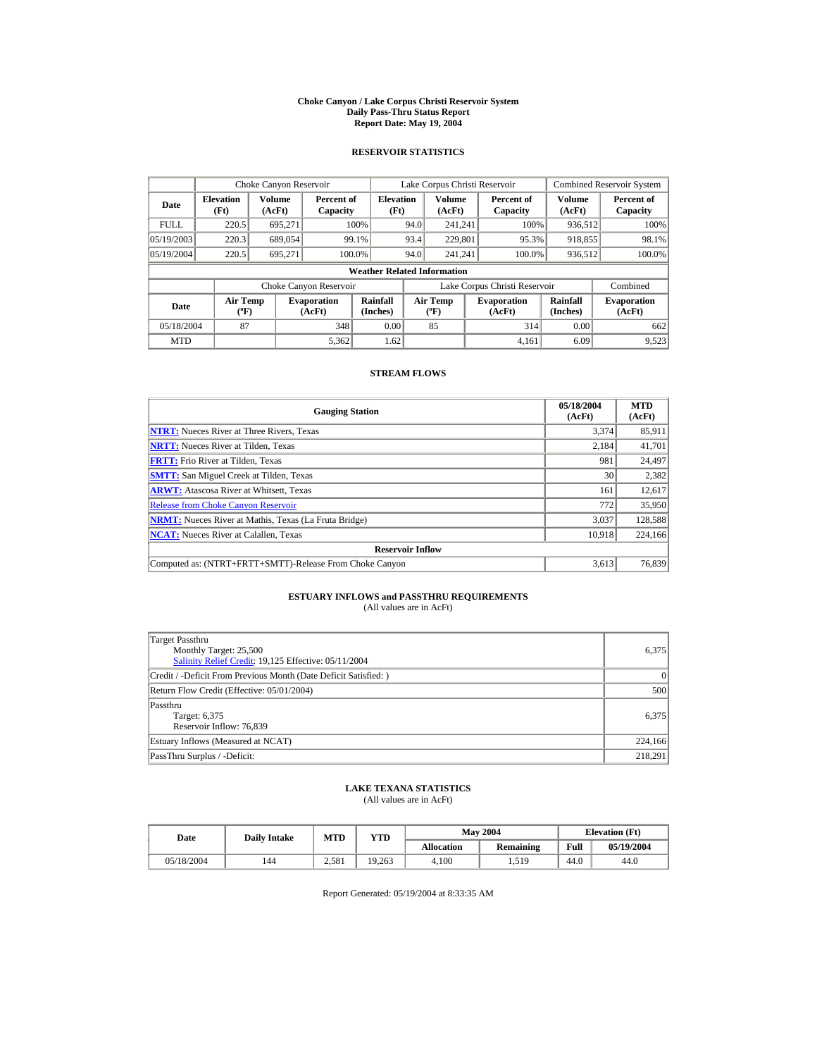#### **Choke Canyon / Lake Corpus Christi Reservoir System Daily Pass-Thru Status Report Report Date: May 19, 2004**

## **RESERVOIR STATISTICS**

|             | Choke Canyon Reservoir             |                  |                              |                          | Lake Corpus Christi Reservoir |                                                  |  |                               |                         | <b>Combined Reservoir System</b> |  |  |
|-------------|------------------------------------|------------------|------------------------------|--------------------------|-------------------------------|--------------------------------------------------|--|-------------------------------|-------------------------|----------------------------------|--|--|
| Date        | <b>Elevation</b><br>(Ft)           | Volume<br>(AcFt) | Percent of<br>Capacity       | <b>Elevation</b><br>(Ft) |                               | <b>Volume</b><br>(AcFt)                          |  | Percent of<br>Capacity        | <b>Volume</b><br>(AcFt) | Percent of<br>Capacity           |  |  |
| <b>FULL</b> | 220.5                              | 695.271          | 100%                         |                          | 94.0                          | 241.241                                          |  | 100%                          | 936.512                 | 100%                             |  |  |
| 05/19/2003  | 220.3                              | 689,054          | 99.1%                        |                          | 93.4                          | 229,801                                          |  | 95.3%                         | 918,855                 | 98.1%                            |  |  |
| 05/19/2004  | 220.5                              | 695,271          | 100.0%                       |                          | 94.0                          | 241.241                                          |  | 100.0%                        | 936,512                 | 100.0%                           |  |  |
|             | <b>Weather Related Information</b> |                  |                              |                          |                               |                                                  |  |                               |                         |                                  |  |  |
|             |                                    |                  | Choke Canyon Reservoir       |                          |                               |                                                  |  | Lake Corpus Christi Reservoir |                         | Combined                         |  |  |
| Date        | <b>Air Temp</b><br>$({}^{\circ}F)$ |                  | <b>Evaporation</b><br>(AcFt) | Rainfall<br>(Inches)     |                               | <b>Air Temp</b><br>$({}^{\mathrm{o}}\mathrm{F})$ |  | <b>Evaporation</b><br>(AcFt)  | Rainfall<br>(Inches)    | <b>Evaporation</b><br>(AcFt)     |  |  |
| 05/18/2004  | 87                                 |                  | 348                          | 0.00                     |                               | 85                                               |  | 314                           | 0.00                    | 662                              |  |  |
| <b>MTD</b>  |                                    |                  | 5.362                        | 1.62                     |                               |                                                  |  | 4.161                         | 6.09                    | 9.523                            |  |  |

## **STREAM FLOWS**

| <b>Gauging Station</b>                                       | 05/18/2004<br>(AcFt) | <b>MTD</b><br>(AcFt) |
|--------------------------------------------------------------|----------------------|----------------------|
| <b>NTRT:</b> Nueces River at Three Rivers, Texas             | 3.374                | 85,911               |
| <b>NRTT:</b> Nueces River at Tilden, Texas                   | 2.184                | 41,701               |
| <b>FRTT:</b> Frio River at Tilden, Texas                     | 981                  | 24,497               |
| <b>SMTT:</b> San Miguel Creek at Tilden, Texas               | 30                   | 2,382                |
| <b>ARWT:</b> Atascosa River at Whitsett, Texas               | 161                  | 12,617               |
| <b>Release from Choke Canvon Reservoir</b>                   | 772                  | 35,950               |
| <b>NRMT:</b> Nueces River at Mathis, Texas (La Fruta Bridge) | 3,037                | 128,588              |
| <b>NCAT:</b> Nueces River at Calallen, Texas                 | 10,918               | 224,166              |
| <b>Reservoir Inflow</b>                                      |                      |                      |
| Computed as: (NTRT+FRTT+SMTT)-Release From Choke Canyon      | 3.613                | 76,839               |

# **ESTUARY INFLOWS and PASSTHRU REQUIREMENTS**<br>(All values are in AcFt)

| Target Passthru<br>Monthly Target: 25,500<br>Salinity Relief Credit: 19,125 Effective: 05/11/2004 | 6.375     |
|---------------------------------------------------------------------------------------------------|-----------|
| Credit / -Deficit From Previous Month (Date Deficit Satisfied:)                                   | $\vert$ 0 |
| Return Flow Credit (Effective: 05/01/2004)                                                        | 500       |
| Passthru<br>Target: 6,375<br>Reservoir Inflow: 76,839                                             | 6.375     |
| Estuary Inflows (Measured at NCAT)                                                                | 224,166   |
| PassThru Surplus / -Deficit:                                                                      | 218.291   |

## **LAKE TEXANA STATISTICS**

(All values are in AcFt)

| Date       | <b>Daily Intake</b> | <b>MTD</b> | YTD    |                   | <b>May 2004</b> | <b>Elevation</b> (Ft) |            |
|------------|---------------------|------------|--------|-------------------|-----------------|-----------------------|------------|
|            |                     |            |        | <b>Allocation</b> | Remaining       | Full                  | 05/19/2004 |
| 05/18/2004 | 144                 | 2.581      | 19.263 | 4.100             | 1,519           | 44.0                  | 44.0       |

Report Generated: 05/19/2004 at 8:33:35 AM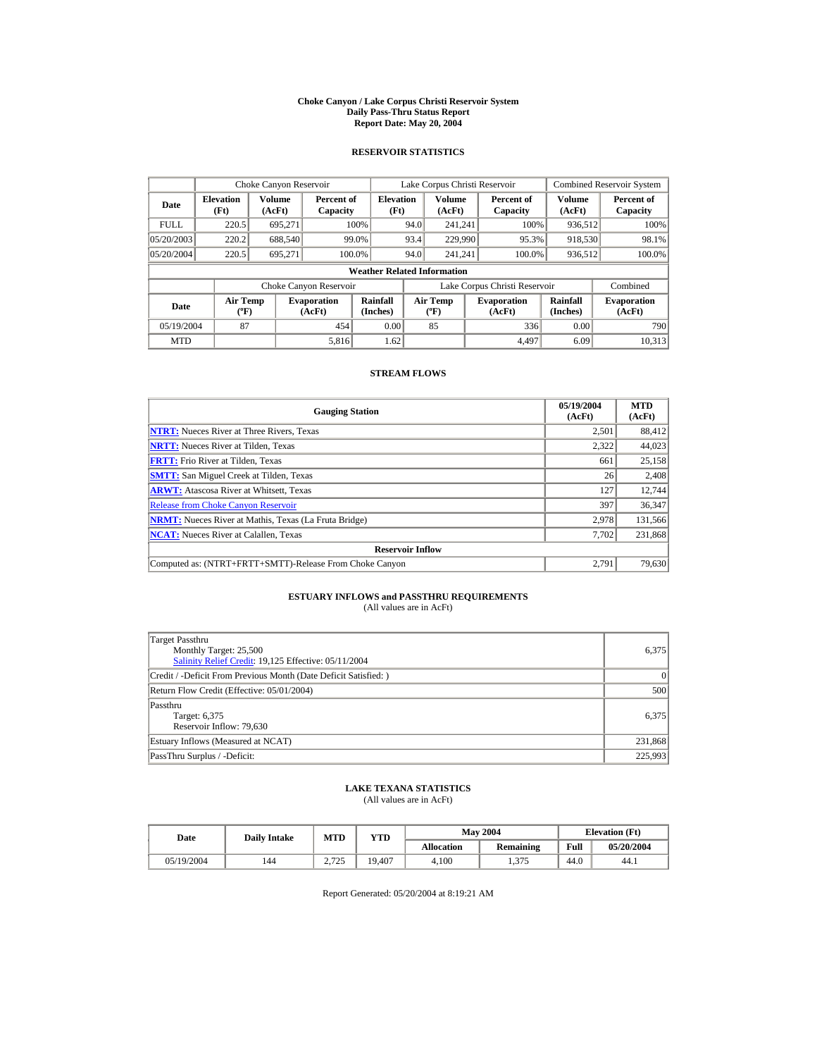#### **Choke Canyon / Lake Corpus Christi Reservoir System Daily Pass-Thru Status Report Report Date: May 20, 2004**

## **RESERVOIR STATISTICS**

|             | Choke Canyon Reservoir                      |                  |                              |                          | Lake Corpus Christi Reservoir |                                           |  |                               |                      | <b>Combined Reservoir System</b> |  |  |
|-------------|---------------------------------------------|------------------|------------------------------|--------------------------|-------------------------------|-------------------------------------------|--|-------------------------------|----------------------|----------------------------------|--|--|
| Date        | <b>Elevation</b><br>(Ft)                    | Volume<br>(AcFt) | Percent of<br>Capacity       | <b>Elevation</b><br>(Ft) |                               | Volume<br>(AcFt)                          |  | Percent of<br>Capacity        | Volume<br>(AcFt)     | Percent of<br>Capacity           |  |  |
| <b>FULL</b> | 220.5                                       | 695.271          |                              | 100%                     | 94.0                          | 241.241                                   |  | 100%                          | 936,512              | 100%                             |  |  |
| 05/20/2003  | 220.2                                       | 688,540          |                              | 99.0%                    | 93.4                          | 229,990                                   |  | 95.3%                         | 918,530              | 98.1%                            |  |  |
| 05/20/2004  | 220.5                                       | 695.271          | 100.0%                       |                          | 94.0                          | 241.241                                   |  | 100.0%                        | 936,512              | 100.0%                           |  |  |
|             | <b>Weather Related Information</b>          |                  |                              |                          |                               |                                           |  |                               |                      |                                  |  |  |
|             |                                             |                  | Choke Canyon Reservoir       |                          |                               |                                           |  | Lake Corpus Christi Reservoir |                      | Combined                         |  |  |
| Date        | <b>Air Temp</b><br>$({}^{\circ}\mathrm{F})$ |                  | <b>Evaporation</b><br>(AcFt) | Rainfall<br>(Inches)     |                               | <b>Air Temp</b><br>$({}^{\circ}\text{F})$ |  | <b>Evaporation</b><br>(AcFt)  | Rainfall<br>(Inches) | <b>Evaporation</b><br>(AcFt)     |  |  |
| 05/19/2004  | 87                                          |                  | 454                          | 0.00                     |                               | 85                                        |  | 336                           | 0.00                 | 790                              |  |  |
| <b>MTD</b>  |                                             |                  | 5,816                        | 1.62                     |                               |                                           |  | 4.497                         | 6.09                 | 10.313                           |  |  |

## **STREAM FLOWS**

| <b>Gauging Station</b>                                       | 05/19/2004<br>(AcFt) | <b>MTD</b><br>(AcFt) |
|--------------------------------------------------------------|----------------------|----------------------|
| <b>NTRT:</b> Nueces River at Three Rivers, Texas             | 2,501                | 88,412               |
| <b>NRTT:</b> Nueces River at Tilden, Texas                   | 2.322                | 44,023               |
| <b>FRTT:</b> Frio River at Tilden, Texas                     | 661                  | 25,158               |
| <b>SMTT:</b> San Miguel Creek at Tilden, Texas               | 26                   | 2,408                |
| <b>ARWT:</b> Atascosa River at Whitsett, Texas               | 127                  | 12,744               |
| <b>Release from Choke Canyon Reservoir</b>                   | 397                  | 36,347               |
| <b>NRMT:</b> Nueces River at Mathis, Texas (La Fruta Bridge) | 2.978                | 131,566              |
| <b>NCAT:</b> Nueces River at Calallen, Texas                 | 7,702                | 231,868              |
| <b>Reservoir Inflow</b>                                      |                      |                      |
| Computed as: (NTRT+FRTT+SMTT)-Release From Choke Canyon      | 2.791                | 79,630               |

# **ESTUARY INFLOWS and PASSTHRU REQUIREMENTS**<br>(All values are in AcFt)

| Target Passthru<br>Monthly Target: 25,500<br>Salinity Relief Credit: 19,125 Effective: 05/11/2004 | 6,375     |
|---------------------------------------------------------------------------------------------------|-----------|
| Credit / -Deficit From Previous Month (Date Deficit Satisfied:)                                   | $\vert$ 0 |
| Return Flow Credit (Effective: 05/01/2004)                                                        | 500       |
| Passthru<br>Target: 6,375<br>Reservoir Inflow: 79,630                                             | 6.375     |
| Estuary Inflows (Measured at NCAT)                                                                | 231,868   |
| PassThru Surplus / -Deficit:                                                                      | 225,993   |

## **LAKE TEXANA STATISTICS**

(All values are in AcFt)

| Date       | <b>Daily Intake</b> | <b>MTD</b>    | YTD    |                   | <b>May 2004</b> | <b>Elevation</b> (Ft) |            |
|------------|---------------------|---------------|--------|-------------------|-----------------|-----------------------|------------|
|            |                     |               |        | <b>Allocation</b> | Remaining       | Full                  | 05/20/2004 |
| 05/19/2004 | 144                 | 2725<br>رے رے | 19.407 | 4.100             | 1.375           | 44.0                  | 44.1       |

Report Generated: 05/20/2004 at 8:19:21 AM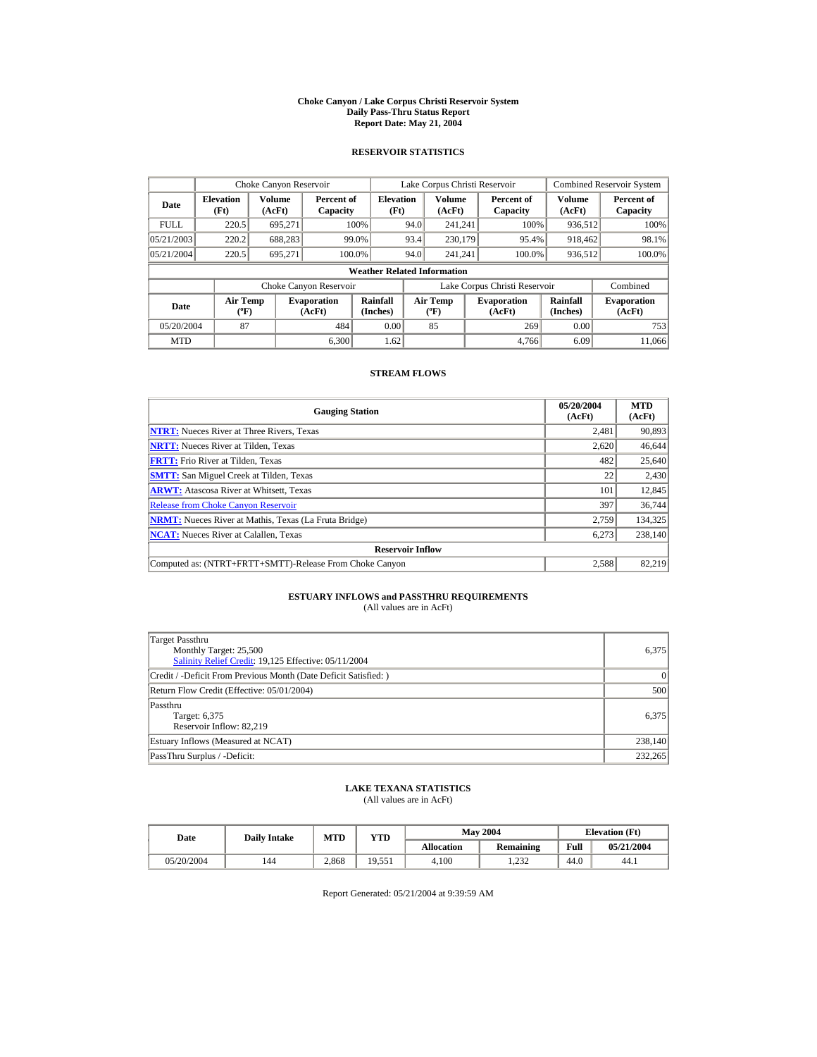#### **Choke Canyon / Lake Corpus Christi Reservoir System Daily Pass-Thru Status Report Report Date: May 21, 2004**

## **RESERVOIR STATISTICS**

|             | Choke Canyon Reservoir                      |                  |                              |                                    | Lake Corpus Christi Reservoir |                                           |  |                               |                      | <b>Combined Reservoir System</b> |
|-------------|---------------------------------------------|------------------|------------------------------|------------------------------------|-------------------------------|-------------------------------------------|--|-------------------------------|----------------------|----------------------------------|
| Date        | <b>Elevation</b><br>(Ft)                    | Volume<br>(AcFt) | Percent of<br>Capacity       | <b>Elevation</b><br>(Ft)           |                               | Volume<br>(AcFt)                          |  | Percent of<br>Capacity        | Volume<br>(AcFt)     | Percent of<br>Capacity           |
| <b>FULL</b> | 220.5                                       | 695.271          |                              | 100%                               | 94.0                          | 241.241                                   |  | 100%                          | 936,512              | 100%                             |
| 05/21/2003  | 220.2                                       | 688,283          |                              | 99.0%                              | 93.4                          | 230,179                                   |  | 95.4%                         | 918,462              | 98.1%                            |
| 05/21/2004  | 220.5                                       | 695.271          |                              | 100.0%                             | 94.0                          | 241.241                                   |  | 100.0%                        | 936,512              | 100.0%                           |
|             |                                             |                  |                              | <b>Weather Related Information</b> |                               |                                           |  |                               |                      |                                  |
|             |                                             |                  | Choke Canyon Reservoir       |                                    |                               |                                           |  | Lake Corpus Christi Reservoir |                      | Combined                         |
| Date        | <b>Air Temp</b><br>$({}^{\circ}\mathrm{F})$ |                  | <b>Evaporation</b><br>(AcFt) | Rainfall<br>(Inches)               |                               | <b>Air Temp</b><br>$({}^{\circ}\text{F})$ |  | <b>Evaporation</b><br>(AcFt)  | Rainfall<br>(Inches) | <b>Evaporation</b><br>(AcFt)     |
| 05/20/2004  | 87                                          |                  | 484                          | 0.00                               |                               | 85                                        |  | 269                           | 0.00                 | 753                              |
| <b>MTD</b>  |                                             |                  | 6.300                        | 1.62                               |                               |                                           |  | 4.766                         | 6.09                 | 11,066                           |

## **STREAM FLOWS**

| <b>Gauging Station</b>                                       | 05/20/2004<br>(AcFt) | <b>MTD</b><br>(AcFt) |
|--------------------------------------------------------------|----------------------|----------------------|
| <b>NTRT:</b> Nueces River at Three Rivers, Texas             | 2,481                | 90,893               |
| <b>NRTT:</b> Nueces River at Tilden, Texas                   | 2.620                | 46,644               |
| <b>FRTT:</b> Frio River at Tilden, Texas                     | 482                  | 25,640               |
| <b>SMTT:</b> San Miguel Creek at Tilden, Texas               | 22                   | 2,430                |
| <b>ARWT:</b> Atascosa River at Whitsett, Texas               | 101                  | 12,845               |
| <b>Release from Choke Canyon Reservoir</b>                   | 397                  | 36,744               |
| <b>NRMT:</b> Nueces River at Mathis, Texas (La Fruta Bridge) | 2.759                | 134,325              |
| <b>NCAT:</b> Nueces River at Calallen, Texas                 | 6,273                | 238,140              |
| <b>Reservoir Inflow</b>                                      |                      |                      |
| Computed as: (NTRT+FRTT+SMTT)-Release From Choke Canyon      | 2.588                | 82.219               |

# **ESTUARY INFLOWS and PASSTHRU REQUIREMENTS**<br>(All values are in AcFt)

| Target Passthru<br>Monthly Target: 25,500<br>Salinity Relief Credit: 19,125 Effective: 05/11/2004 | 6.375     |
|---------------------------------------------------------------------------------------------------|-----------|
| Credit / -Deficit From Previous Month (Date Deficit Satisfied:)                                   | $\vert$ 0 |
| Return Flow Credit (Effective: 05/01/2004)                                                        | 500       |
| Passthru<br>Target: 6,375<br>Reservoir Inflow: 82,219                                             | 6.375     |
| Estuary Inflows (Measured at NCAT)                                                                | 238,140   |
| PassThru Surplus / -Deficit:                                                                      | 232,265   |

## **LAKE TEXANA STATISTICS**

(All values are in AcFt)

| Date       | <b>Daily Intake</b> | MTD   | <b>VTD</b> |            | <b>May 2004</b> | <b>Elevation</b> (Ft) |            |
|------------|---------------------|-------|------------|------------|-----------------|-----------------------|------------|
|            |                     |       |            | Allocation | Remaining       | Full                  | 05/21/2004 |
| 05/20/2004 | 144                 | 2.868 | 19,551     | 4.100      | 1.232           | 44.0                  | 44.1       |

Report Generated: 05/21/2004 at 9:39:59 AM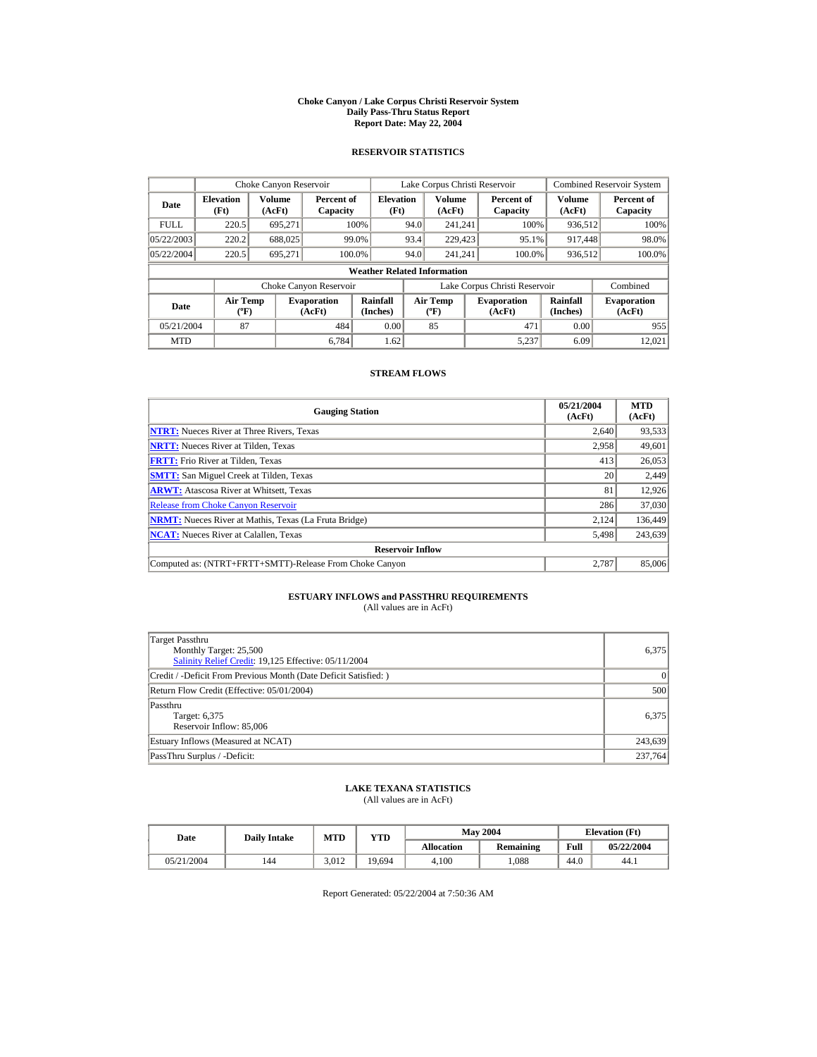#### **Choke Canyon / Lake Corpus Christi Reservoir System Daily Pass-Thru Status Report Report Date: May 22, 2004**

## **RESERVOIR STATISTICS**

|             | Choke Canyon Reservoir                      |                  |                              |                          | Lake Corpus Christi Reservoir |                                           |  |                               |                      | <b>Combined Reservoir System</b> |  |  |
|-------------|---------------------------------------------|------------------|------------------------------|--------------------------|-------------------------------|-------------------------------------------|--|-------------------------------|----------------------|----------------------------------|--|--|
| Date        | <b>Elevation</b><br>(Ft)                    | Volume<br>(AcFt) | Percent of<br>Capacity       | <b>Elevation</b><br>(Ft) |                               | Volume<br>(AcFt)                          |  | Percent of<br>Capacity        | Volume<br>(AcFt)     | Percent of<br>Capacity           |  |  |
| <b>FULL</b> | 220.5                                       | 695.271          |                              | 100%                     | 94.0                          | 241.241                                   |  | 100%                          | 936,512              | 100%                             |  |  |
| 05/22/2003  | 220.2                                       | 688,025          |                              | 99.0%                    | 93.4                          | 229,423                                   |  | 95.1%                         | 917,448              | 98.0%                            |  |  |
| 05/22/2004  | 220.5                                       | 695.271          | 100.0%                       |                          | 94.0                          | 241.241                                   |  | 100.0%                        | 936,512              | 100.0%                           |  |  |
|             | <b>Weather Related Information</b>          |                  |                              |                          |                               |                                           |  |                               |                      |                                  |  |  |
|             |                                             |                  | Choke Canyon Reservoir       |                          |                               |                                           |  | Lake Corpus Christi Reservoir |                      | Combined                         |  |  |
| Date        | <b>Air Temp</b><br>$({}^{\circ}\mathrm{F})$ |                  | <b>Evaporation</b><br>(AcFt) | Rainfall<br>(Inches)     |                               | <b>Air Temp</b><br>$({}^{\circ}\text{F})$ |  | <b>Evaporation</b><br>(AcFt)  | Rainfall<br>(Inches) | <b>Evaporation</b><br>(AcFt)     |  |  |
| 05/21/2004  | 87                                          |                  | 484                          | 0.00                     |                               | 85                                        |  | 471                           | 0.00                 | 955                              |  |  |
| <b>MTD</b>  |                                             |                  | 6.784                        | 1.62                     |                               |                                           |  | 5.237                         | 6.09                 | 12,021                           |  |  |

## **STREAM FLOWS**

| <b>Gauging Station</b>                                       | 05/21/2004<br>(AcFt) | <b>MTD</b><br>(AcFt) |
|--------------------------------------------------------------|----------------------|----------------------|
| <b>NTRT:</b> Nueces River at Three Rivers, Texas             | 2.640                | 93,533               |
| <b>NRTT:</b> Nueces River at Tilden, Texas                   | 2.958                | 49,601               |
| <b>FRTT:</b> Frio River at Tilden, Texas                     | 413                  | 26,053               |
| <b>SMTT:</b> San Miguel Creek at Tilden, Texas               | 20                   | 2,449                |
| <b>ARWT:</b> Atascosa River at Whitsett, Texas               | 81                   | 12,926               |
| <b>Release from Choke Canyon Reservoir</b>                   | 286                  | 37,030               |
| <b>NRMT:</b> Nueces River at Mathis, Texas (La Fruta Bridge) | 2.124                | 136,449              |
| <b>NCAT:</b> Nueces River at Calallen, Texas                 | 5,498                | 243,639              |
| <b>Reservoir Inflow</b>                                      |                      |                      |
| Computed as: (NTRT+FRTT+SMTT)-Release From Choke Canyon      | 2.787                | 85,006               |

# **ESTUARY INFLOWS and PASSTHRU REQUIREMENTS**<br>(All values are in AcFt)

| Target Passthru<br>Monthly Target: 25,500<br>Salinity Relief Credit: 19,125 Effective: 05/11/2004 | 6,375     |
|---------------------------------------------------------------------------------------------------|-----------|
| Credit / -Deficit From Previous Month (Date Deficit Satisfied:)                                   | $\vert$ 0 |
| Return Flow Credit (Effective: 05/01/2004)                                                        | 500       |
| Passthru<br>Target: 6,375<br>Reservoir Inflow: 85,006                                             | 6.375     |
| Estuary Inflows (Measured at NCAT)                                                                | 243,639   |
| PassThru Surplus / -Deficit:                                                                      | 237,764   |

## **LAKE TEXANA STATISTICS**

(All values are in AcFt)

| Date       | <b>Daily Intake</b> | <b>MTD</b> | YTD    |                   | <b>May 2004</b> | <b>Elevation</b> (Ft) |            |
|------------|---------------------|------------|--------|-------------------|-----------------|-----------------------|------------|
|            |                     |            |        | <b>Allocation</b> | Remaining       | Full                  | 05/22/2004 |
| 05/21/2004 | 144                 | 3.012      | 19.694 | 4.100             | .088            | 44.0                  | 44.1       |

Report Generated: 05/22/2004 at 7:50:36 AM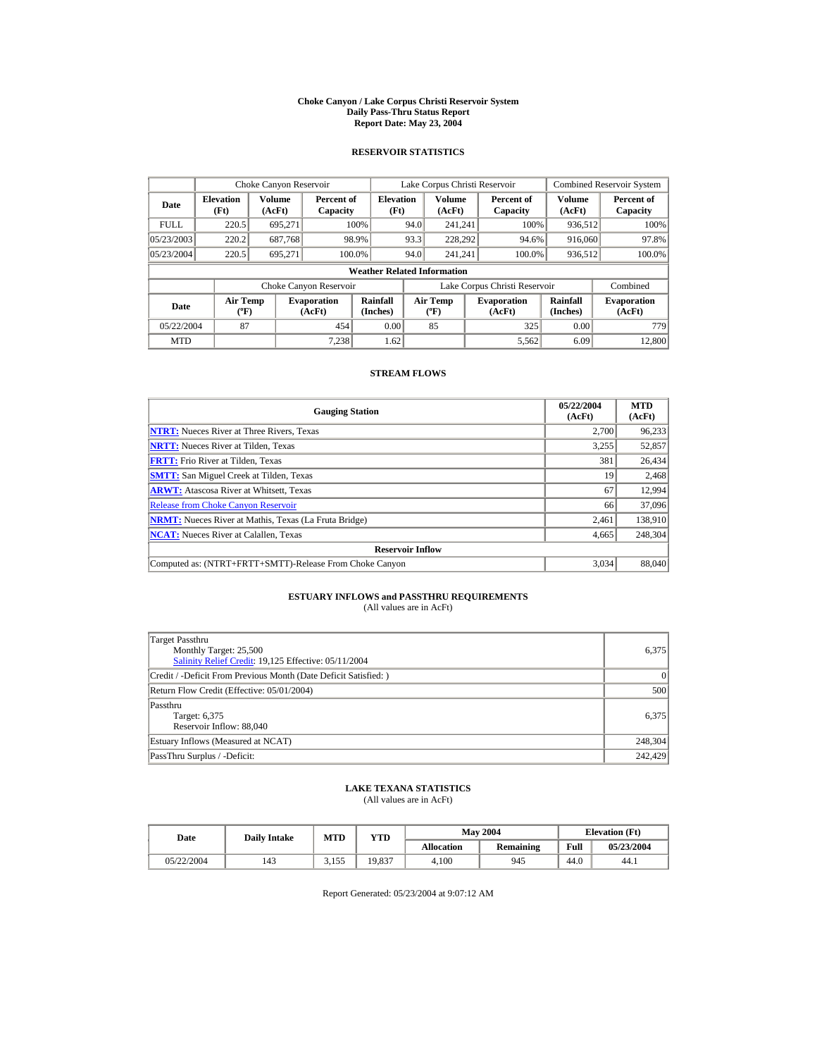#### **Choke Canyon / Lake Corpus Christi Reservoir System Daily Pass-Thru Status Report Report Date: May 23, 2004**

## **RESERVOIR STATISTICS**

|             | Choke Canyon Reservoir                      |                  |                              |                          | Lake Corpus Christi Reservoir |                                           |  |                               |                      | <b>Combined Reservoir System</b> |  |  |
|-------------|---------------------------------------------|------------------|------------------------------|--------------------------|-------------------------------|-------------------------------------------|--|-------------------------------|----------------------|----------------------------------|--|--|
| Date        | <b>Elevation</b><br>(Ft)                    | Volume<br>(AcFt) | Percent of<br>Capacity       | <b>Elevation</b><br>(Ft) |                               | Volume<br>(AcFt)                          |  | Percent of<br>Capacity        | Volume<br>(AcFt)     | Percent of<br>Capacity           |  |  |
| <b>FULL</b> | 220.5                                       | 695.271          |                              | 100%                     | 94.0                          | 241.241                                   |  | 100%                          | 936,512              | 100%                             |  |  |
| 05/23/2003  | 220.2                                       | 687,768          |                              | 98.9%                    | 93.3                          | 228,292                                   |  | 94.6%                         | 916,060              | 97.8%                            |  |  |
| 05/23/2004  | 220.5                                       | 695.271          |                              | 100.0%                   | 94.0                          | 241.241                                   |  | 100.0%                        | 936,512              | 100.0%                           |  |  |
|             | <b>Weather Related Information</b>          |                  |                              |                          |                               |                                           |  |                               |                      |                                  |  |  |
|             |                                             |                  | Choke Canyon Reservoir       |                          |                               |                                           |  | Lake Corpus Christi Reservoir |                      | Combined                         |  |  |
| Date        | <b>Air Temp</b><br>$({}^{\circ}\mathrm{F})$ |                  | <b>Evaporation</b><br>(AcFt) | Rainfall<br>(Inches)     |                               | <b>Air Temp</b><br>$({}^{\circ}\text{F})$ |  | <b>Evaporation</b><br>(AcFt)  | Rainfall<br>(Inches) | <b>Evaporation</b><br>(AcFt)     |  |  |
| 05/22/2004  | 87                                          |                  | 454                          | 0.00                     |                               | 85                                        |  | 325                           | 0.00                 | 779                              |  |  |
| <b>MTD</b>  |                                             |                  | 7.238                        | 1.62                     |                               |                                           |  | 5,562                         | 6.09                 | 12,800                           |  |  |

## **STREAM FLOWS**

| <b>Gauging Station</b>                                       | 05/22/2004<br>(AcFt) | <b>MTD</b><br>(AcFt) |
|--------------------------------------------------------------|----------------------|----------------------|
| <b>NTRT:</b> Nueces River at Three Rivers, Texas             | 2.700                | 96,233               |
| <b>NRTT:</b> Nueces River at Tilden, Texas                   | 3.255                | 52,857               |
| <b>FRTT:</b> Frio River at Tilden, Texas                     | 381                  | 26,434               |
| <b>SMTT:</b> San Miguel Creek at Tilden, Texas               | 19                   | 2,468                |
| <b>ARWT:</b> Atascosa River at Whitsett, Texas               | 67                   | 12,994               |
| <b>Release from Choke Canyon Reservoir</b>                   | 66                   | 37,096               |
| <b>NRMT:</b> Nueces River at Mathis, Texas (La Fruta Bridge) | 2.461                | 138,910              |
| <b>NCAT:</b> Nueces River at Calallen, Texas                 | 4,665                | 248,304              |
| <b>Reservoir Inflow</b>                                      |                      |                      |
| Computed as: (NTRT+FRTT+SMTT)-Release From Choke Canyon      | 3.034                | 88,040               |

# **ESTUARY INFLOWS and PASSTHRU REQUIREMENTS**<br>(All values are in AcFt)

| Target Passthru<br>Monthly Target: 25,500<br>Salinity Relief Credit: 19,125 Effective: 05/11/2004 | 6,375     |
|---------------------------------------------------------------------------------------------------|-----------|
| Credit / -Deficit From Previous Month (Date Deficit Satisfied:)                                   | $\vert$ 0 |
| Return Flow Credit (Effective: 05/01/2004)                                                        | 500       |
| Passthru<br>Target: 6,375<br>Reservoir Inflow: 88,040                                             | 6.375     |
| Estuary Inflows (Measured at NCAT)                                                                | 248,304   |
| PassThru Surplus / -Deficit:                                                                      | 242,429   |

## **LAKE TEXANA STATISTICS**

(All values are in AcFt)

| Date       | <b>Daily Intake</b> | MTD   | $_{\rm VTD}$ |            | <b>May 2004</b> | <b>Elevation</b> (Ft) |            |
|------------|---------------------|-------|--------------|------------|-----------------|-----------------------|------------|
|            |                     |       |              | Allocation | Remaining       | Full                  | 05/23/2004 |
| 05/22/2004 | 143                 | 3.155 | 19.837       | 4.100      | 945             | 44.0                  | 44.1       |

Report Generated: 05/23/2004 at 9:07:12 AM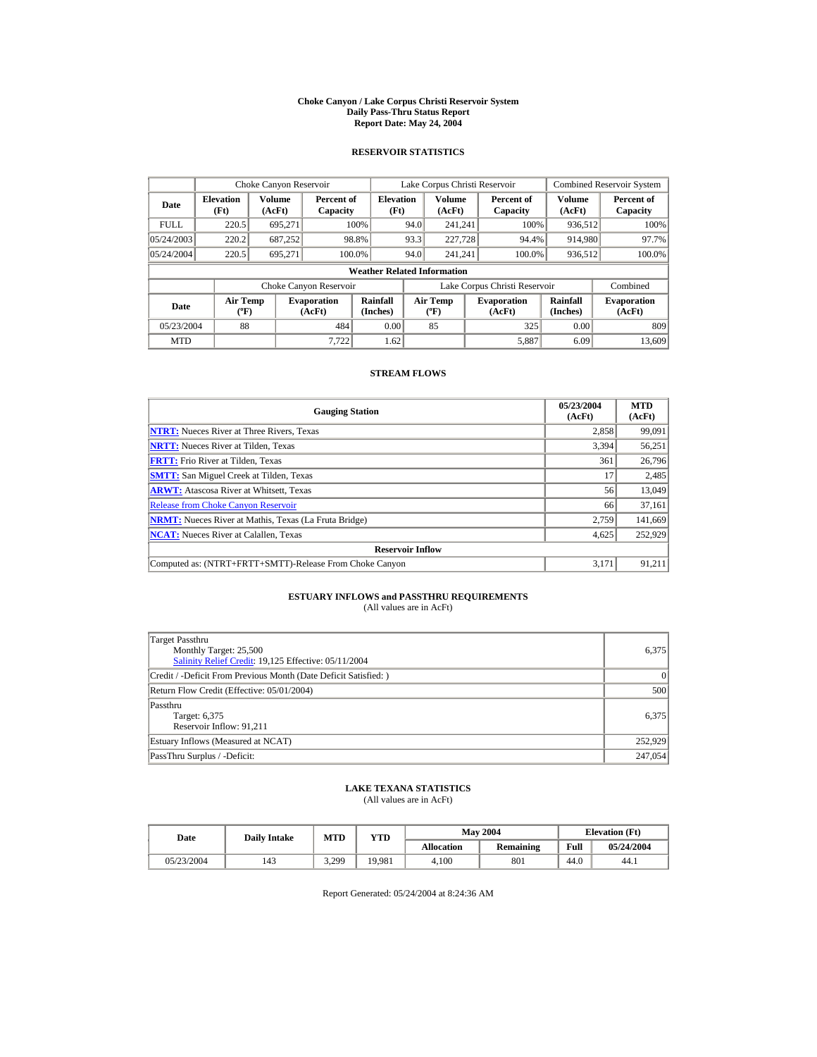#### **Choke Canyon / Lake Corpus Christi Reservoir System Daily Pass-Thru Status Report Report Date: May 24, 2004**

## **RESERVOIR STATISTICS**

|             | Choke Canyon Reservoir                      |                  |                              |                          | Lake Corpus Christi Reservoir |                                           |  |                               |                      | <b>Combined Reservoir System</b> |  |  |
|-------------|---------------------------------------------|------------------|------------------------------|--------------------------|-------------------------------|-------------------------------------------|--|-------------------------------|----------------------|----------------------------------|--|--|
| Date        | <b>Elevation</b><br>(Ft)                    | Volume<br>(AcFt) | Percent of<br>Capacity       | <b>Elevation</b><br>(Ft) |                               | Volume<br>(AcFt)                          |  | Percent of<br>Capacity        | Volume<br>(AcFt)     | Percent of<br>Capacity           |  |  |
| <b>FULL</b> | 220.5                                       | 695.271          |                              | 100%                     | 94.0                          | 241.241                                   |  | 100%                          | 936,512              | 100%                             |  |  |
| 05/24/2003  | 220.2                                       | 687,252          |                              | 98.8%                    | 93.3                          | 227,728                                   |  | 94.4%                         | 914,980              | 97.7%                            |  |  |
| 05/24/2004  | 220.5                                       | 695.271          | 100.0%                       |                          | 94.0                          | 241.241                                   |  | 100.0%                        | 936,512              | 100.0%                           |  |  |
|             | <b>Weather Related Information</b>          |                  |                              |                          |                               |                                           |  |                               |                      |                                  |  |  |
|             |                                             |                  | Choke Canyon Reservoir       |                          |                               |                                           |  | Lake Corpus Christi Reservoir |                      | Combined                         |  |  |
| Date        | <b>Air Temp</b><br>$({}^{\circ}\mathrm{F})$ |                  | <b>Evaporation</b><br>(AcFt) | Rainfall<br>(Inches)     |                               | <b>Air Temp</b><br>$({}^{\circ}\text{F})$ |  | <b>Evaporation</b><br>(AcFt)  | Rainfall<br>(Inches) | <b>Evaporation</b><br>(AcFt)     |  |  |
| 05/23/2004  | 88                                          |                  | 484                          | 0.00                     |                               | 85                                        |  | 325                           | 0.00                 | 809                              |  |  |
| <b>MTD</b>  |                                             |                  | 7.722                        | 1.62                     |                               |                                           |  | 5,887                         | 6.09                 | 13,609                           |  |  |

## **STREAM FLOWS**

| <b>Gauging Station</b>                                       | 05/23/2004<br>(AcFt) | <b>MTD</b><br>(AcFt) |
|--------------------------------------------------------------|----------------------|----------------------|
| <b>NTRT:</b> Nueces River at Three Rivers, Texas             | 2,858                | 99,091               |
| <b>NRTT:</b> Nueces River at Tilden, Texas                   | 3.394                | 56,251               |
| <b>FRTT:</b> Frio River at Tilden, Texas                     | 361                  | 26,796               |
| <b>SMTT:</b> San Miguel Creek at Tilden, Texas               | 17                   | 2,485                |
| <b>ARWT:</b> Atascosa River at Whitsett, Texas               | 56                   | 13,049               |
| <b>Release from Choke Canyon Reservoir</b>                   | 66                   | 37,161               |
| <b>NRMT:</b> Nueces River at Mathis, Texas (La Fruta Bridge) | 2.759                | 141,669              |
| <b>NCAT:</b> Nueces River at Calallen, Texas                 | 4,625                | 252,929              |
| <b>Reservoir Inflow</b>                                      |                      |                      |
| Computed as: (NTRT+FRTT+SMTT)-Release From Choke Canyon      | 3.171                | 91.211               |

# **ESTUARY INFLOWS and PASSTHRU REQUIREMENTS**<br>(All values are in AcFt)

| Target Passthru<br>Monthly Target: 25,500<br>Salinity Relief Credit: 19,125 Effective: 05/11/2004 | 6.375     |
|---------------------------------------------------------------------------------------------------|-----------|
| Credit / -Deficit From Previous Month (Date Deficit Satisfied:)                                   | $\vert$ 0 |
| Return Flow Credit (Effective: 05/01/2004)                                                        | 500       |
| Passthru<br>Target: 6,375<br>Reservoir Inflow: 91,211                                             | 6.375     |
| Estuary Inflows (Measured at NCAT)                                                                | 252,929   |
| PassThru Surplus / -Deficit:                                                                      | 247,054   |

## **LAKE TEXANA STATISTICS**

(All values are in AcFt)

| Date       | <b>Daily Intake</b> | <b>MTD</b> | YTD    |                   | <b>May 2004</b> | <b>Elevation</b> (Ft) |            |
|------------|---------------------|------------|--------|-------------------|-----------------|-----------------------|------------|
|            |                     |            |        | <b>Allocation</b> | Remaining       | Full                  | 05/24/2004 |
| 05/23/2004 | 143                 | 3.299      | 19,981 | 4.100             | 801             | 44.0                  | 44.1       |

Report Generated: 05/24/2004 at 8:24:36 AM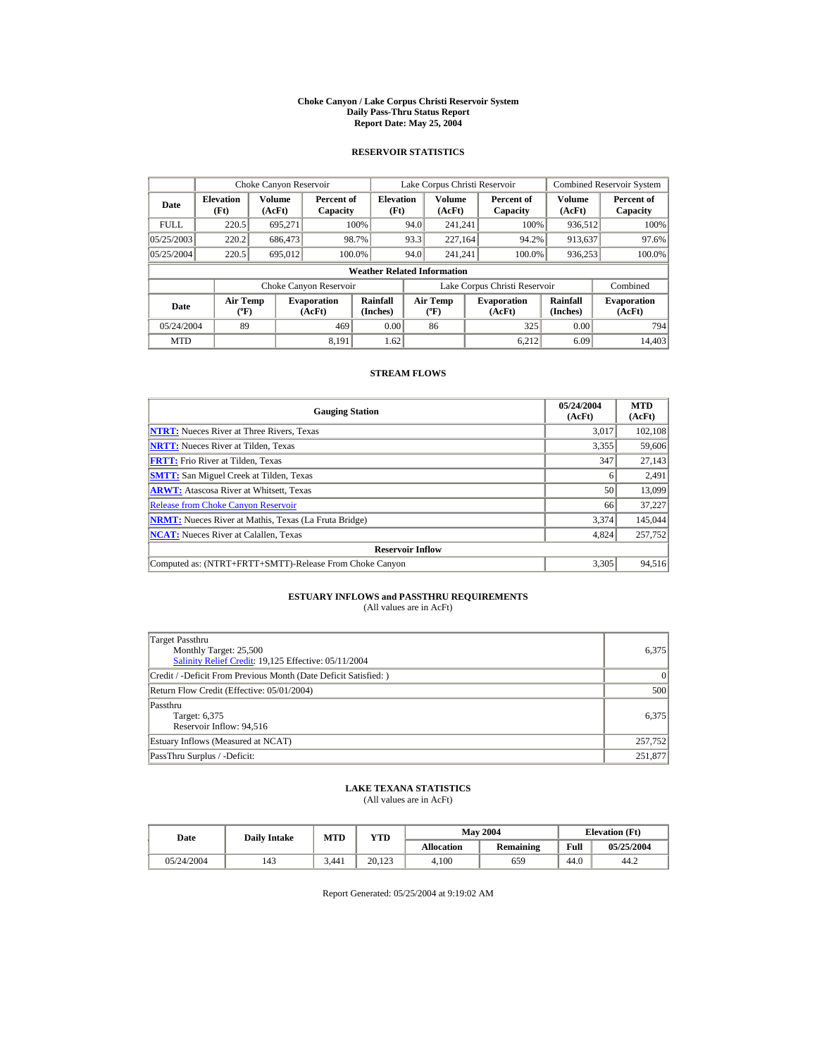#### **Choke Canyon / Lake Corpus Christi Reservoir System Daily Pass-Thru Status Report Report Date: May 25, 2004**

## **RESERVOIR STATISTICS**

|             | Choke Canyon Reservoir                      |                  |                              |                          | Lake Corpus Christi Reservoir |                                             |  |                               |                      | Combined Reservoir System    |  |  |
|-------------|---------------------------------------------|------------------|------------------------------|--------------------------|-------------------------------|---------------------------------------------|--|-------------------------------|----------------------|------------------------------|--|--|
| Date        | <b>Elevation</b><br>(Ft)                    | Volume<br>(AcFt) | Percent of<br>Capacity       | <b>Elevation</b><br>(Ft) |                               | Volume<br>(AcFt)                            |  | Percent of<br>Capacity        | Volume<br>(AcFt)     | Percent of<br>Capacity       |  |  |
| <b>FULL</b> | 220.5                                       | 695.271          |                              | 100%                     | 94.0                          | 241.241                                     |  | 100%                          | 936,512              | 100%                         |  |  |
| 05/25/2003  | 220.2                                       | 686,473          |                              | 98.7%                    | 93.3                          | 227,164                                     |  | 94.2%                         | 913,637              | 97.6%                        |  |  |
| 05/25/2004  | 220.5                                       | 695,012          | 100.0%                       |                          | 94.0                          | 241.241                                     |  | 100.0%                        | 936,253              | 100.0%                       |  |  |
|             | <b>Weather Related Information</b>          |                  |                              |                          |                               |                                             |  |                               |                      |                              |  |  |
|             |                                             |                  | Choke Canyon Reservoir       |                          |                               |                                             |  | Lake Corpus Christi Reservoir |                      | Combined                     |  |  |
| Date        | <b>Air Temp</b><br>$({}^{\circ}\mathrm{F})$ |                  | <b>Evaporation</b><br>(AcFt) | Rainfall<br>(Inches)     |                               | <b>Air Temp</b><br>$({}^{\circ}\mathbf{F})$ |  | <b>Evaporation</b><br>(AcFt)  | Rainfall<br>(Inches) | <b>Evaporation</b><br>(AcFt) |  |  |
| 05/24/2004  | 89                                          |                  | 469                          | 0.00                     |                               | 86                                          |  | 325                           | 0.00                 | 794                          |  |  |
| <b>MTD</b>  |                                             |                  | 8.191                        | 1.62                     |                               |                                             |  | 6.212                         | 6.09                 | 14.403                       |  |  |

## **STREAM FLOWS**

| <b>Gauging Station</b>                                       | 05/24/2004<br>(AcFt) | <b>MTD</b><br>(AcFt) |
|--------------------------------------------------------------|----------------------|----------------------|
| <b>NTRT:</b> Nueces River at Three Rivers, Texas             | 3,017                | 102,108              |
| <b>NRTT:</b> Nueces River at Tilden, Texas                   | 3,355                | 59,606               |
| <b>FRTT:</b> Frio River at Tilden, Texas                     | 347                  | 27,143               |
| <b>SMTT:</b> San Miguel Creek at Tilden, Texas               | 6                    | 2,491                |
| <b>ARWT:</b> Atascosa River at Whitsett, Texas               | 50                   | 13,099               |
| <b>Release from Choke Canyon Reservoir</b>                   | 66                   | 37,227               |
| <b>NRMT:</b> Nueces River at Mathis, Texas (La Fruta Bridge) | 3.374                | 145,044              |
| <b>NCAT:</b> Nueces River at Calallen, Texas                 | 4,824                | 257,752              |
| <b>Reservoir Inflow</b>                                      |                      |                      |
| Computed as: (NTRT+FRTT+SMTT)-Release From Choke Canyon      | 3.305                | 94.516               |

# **ESTUARY INFLOWS and PASSTHRU REQUIREMENTS**<br>(All values are in AcFt)

| Target Passthru<br>Monthly Target: 25,500<br>Salinity Relief Credit: 19,125 Effective: 05/11/2004 | 6,375     |
|---------------------------------------------------------------------------------------------------|-----------|
| Credit / -Deficit From Previous Month (Date Deficit Satisfied:)                                   | $\vert$ 0 |
| Return Flow Credit (Effective: 05/01/2004)                                                        | 500       |
| Passthru<br>Target: 6,375<br>Reservoir Inflow: 94,516                                             | 6.375     |
| Estuary Inflows (Measured at NCAT)                                                                | 257,752   |
| PassThru Surplus / -Deficit:                                                                      | 251,877   |

## **LAKE TEXANA STATISTICS**

(All values are in AcFt)

| Date       | <b>Daily Intake</b> | <b>MTD</b> | YTD    |                   | <b>May 2004</b> |      | <b>Elevation</b> (Ft) |  |
|------------|---------------------|------------|--------|-------------------|-----------------|------|-----------------------|--|
|            |                     |            |        | <b>Allocation</b> | Remaining       | Full | 05/25/2004            |  |
| 05/24/2004 | 143                 | 3.441      | 20.123 | 4.100             | 659             | 44.0 | 44.2                  |  |

Report Generated: 05/25/2004 at 9:19:02 AM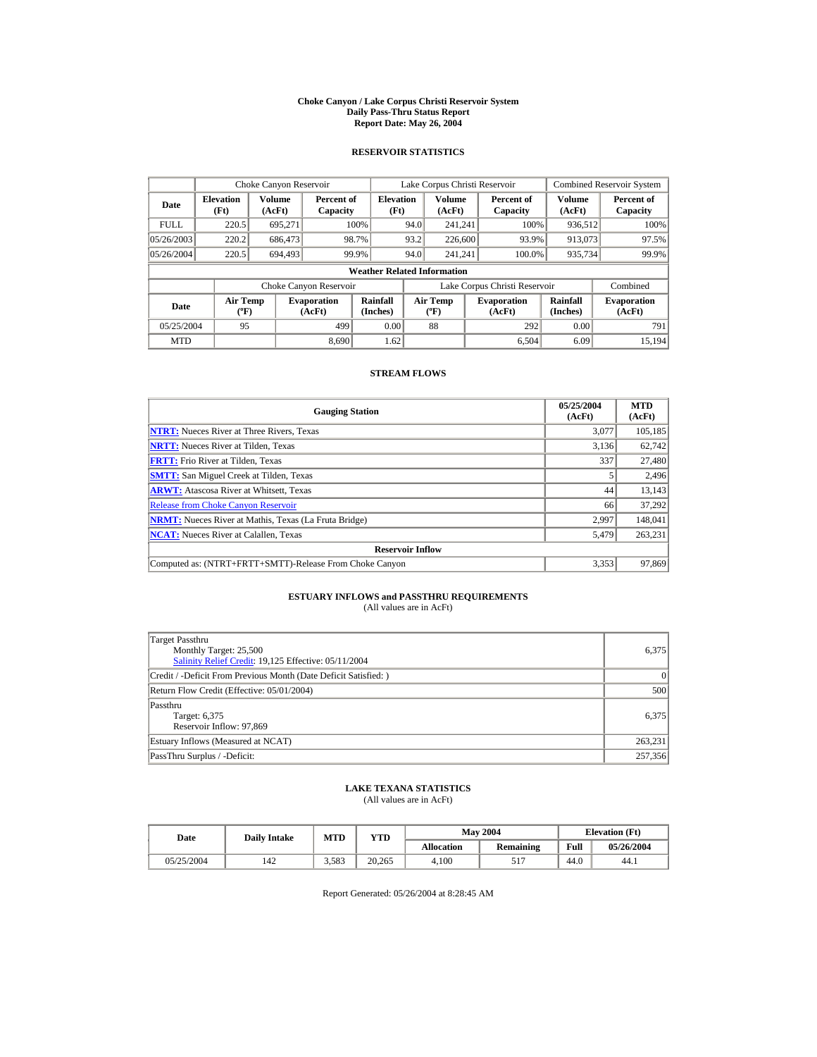#### **Choke Canyon / Lake Corpus Christi Reservoir System Daily Pass-Thru Status Report Report Date: May 26, 2004**

## **RESERVOIR STATISTICS**

|             | Choke Canyon Reservoir                      |                  |                              |                          | Lake Corpus Christi Reservoir |                                                  |  |                               |                         | <b>Combined Reservoir System</b> |  |  |
|-------------|---------------------------------------------|------------------|------------------------------|--------------------------|-------------------------------|--------------------------------------------------|--|-------------------------------|-------------------------|----------------------------------|--|--|
| Date        | <b>Elevation</b><br>(Ft)                    | Volume<br>(AcFt) | Percent of<br>Capacity       | <b>Elevation</b><br>(Ft) |                               | <b>Volume</b><br>(AcFt)                          |  | Percent of<br>Capacity        | <b>Volume</b><br>(AcFt) | Percent of<br>Capacity           |  |  |
| <b>FULL</b> | 220.5                                       | 695.271          |                              | 100%                     | 94.0                          | 241.241                                          |  | 100%                          | 936,512                 | 100%                             |  |  |
| 05/26/2003  | 220.2                                       | 686,473          |                              | 98.7%                    | 93.2                          | 226,600                                          |  | 93.9%                         | 913,073                 | 97.5%                            |  |  |
| 05/26/2004  | 220.5                                       | 694.493          |                              | 99.9%                    | 94.0                          | 241.241                                          |  | 100.0%                        | 935,734                 | 99.9%                            |  |  |
|             | <b>Weather Related Information</b>          |                  |                              |                          |                               |                                                  |  |                               |                         |                                  |  |  |
|             |                                             |                  | Choke Canyon Reservoir       |                          |                               |                                                  |  | Lake Corpus Christi Reservoir |                         | Combined                         |  |  |
| Date        | <b>Air Temp</b><br>$({}^{\circ}\mathrm{F})$ |                  | <b>Evaporation</b><br>(AcFt) | Rainfall<br>(Inches)     |                               | <b>Air Temp</b><br>$({}^{\mathrm{o}}\mathrm{F})$ |  | <b>Evaporation</b><br>(AcFt)  | Rainfall<br>(Inches)    | <b>Evaporation</b><br>(AcFt)     |  |  |
| 05/25/2004  | 95                                          |                  | 499                          | 0.00                     |                               | 88                                               |  | 292                           | 0.00                    | 791                              |  |  |
| <b>MTD</b>  |                                             |                  | 8.690                        | 1.62                     |                               |                                                  |  | 6.504                         | 6.09                    | 15.194                           |  |  |

## **STREAM FLOWS**

| <b>Gauging Station</b>                                       | 05/25/2004<br>(AcFt) | <b>MTD</b><br>(AcFt) |
|--------------------------------------------------------------|----------------------|----------------------|
| <b>NTRT:</b> Nueces River at Three Rivers, Texas             | 3.077                | 105,185              |
| <b>NRTT:</b> Nueces River at Tilden, Texas                   | 3,136                | 62,742               |
| <b>FRTT:</b> Frio River at Tilden, Texas                     | 337                  | 27,480               |
| <b>SMTT:</b> San Miguel Creek at Tilden, Texas               | 5                    | 2,496                |
| <b>ARWT:</b> Atascosa River at Whitsett, Texas               | 44                   | 13,143               |
| <b>Release from Choke Canvon Reservoir</b>                   | 66                   | 37,292               |
| <b>NRMT:</b> Nueces River at Mathis, Texas (La Fruta Bridge) | 2.997                | 148,041              |
| <b>NCAT:</b> Nueces River at Calallen, Texas                 | 5,479                | 263,231              |
| <b>Reservoir Inflow</b>                                      |                      |                      |
| Computed as: (NTRT+FRTT+SMTT)-Release From Choke Canyon      | 3.353                | 97,869               |

# **ESTUARY INFLOWS and PASSTHRU REQUIREMENTS**<br>(All values are in AcFt)

| Target Passthru<br>Monthly Target: 25,500<br>Salinity Relief Credit: 19,125 Effective: 05/11/2004 | 6.375     |
|---------------------------------------------------------------------------------------------------|-----------|
| Credit / -Deficit From Previous Month (Date Deficit Satisfied:)                                   | $\vert$ 0 |
| Return Flow Credit (Effective: 05/01/2004)                                                        | 500       |
| Passthru<br>Target: 6,375<br>Reservoir Inflow: 97,869                                             | 6.375     |
| Estuary Inflows (Measured at NCAT)                                                                | 263,231   |
| PassThru Surplus / -Deficit:                                                                      | 257,356   |

## **LAKE TEXANA STATISTICS**

(All values are in AcFt)

| Date       | <b>Daily Intake</b> | <b>MTD</b> | YTD    |                   | <b>May 2004</b> | <b>Elevation</b> (Ft) |            |
|------------|---------------------|------------|--------|-------------------|-----------------|-----------------------|------------|
|            |                     |            |        | <b>Allocation</b> | Remaining       | Full                  | 05/26/2004 |
| 05/25/2004 | 142                 | 3.583      | 20.265 | 4.100             | ◡               | 44.0                  | 44.1       |

Report Generated: 05/26/2004 at 8:28:45 AM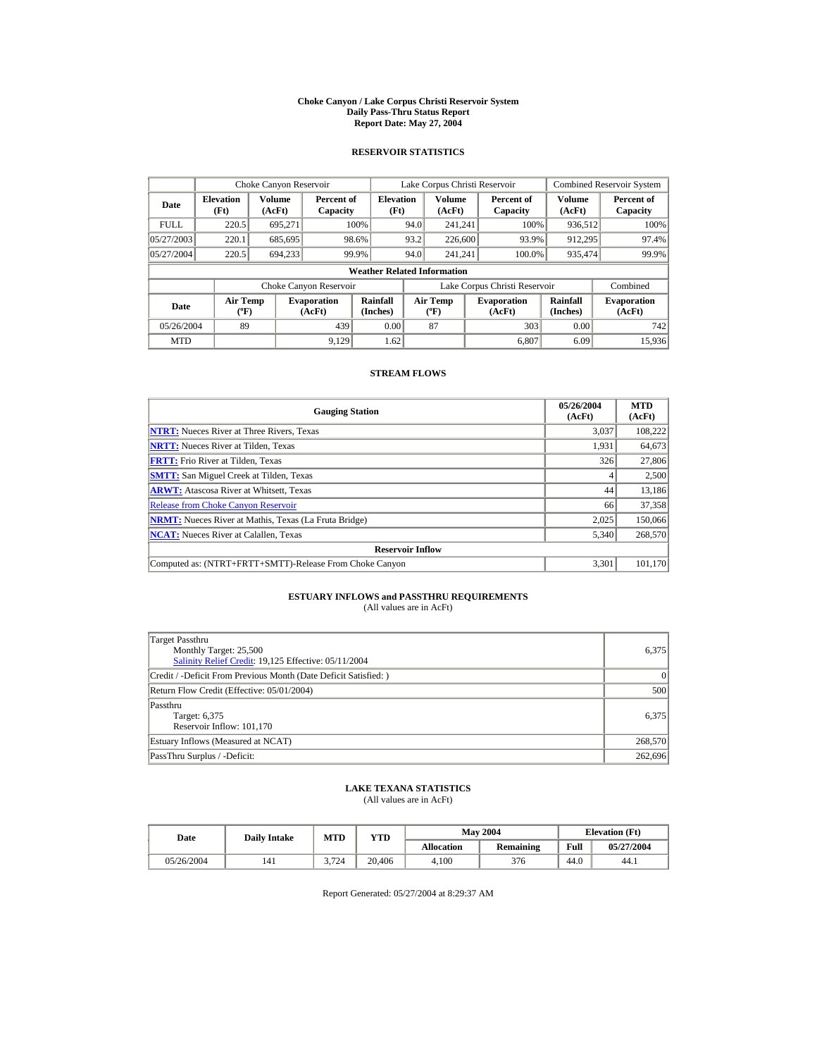#### **Choke Canyon / Lake Corpus Christi Reservoir System Daily Pass-Thru Status Report Report Date: May 27, 2004**

## **RESERVOIR STATISTICS**

|             | Choke Canyon Reservoir                      |                  |                              |                             | Lake Corpus Christi Reservoir |                                          |  |                               |                      | <b>Combined Reservoir System</b> |  |  |
|-------------|---------------------------------------------|------------------|------------------------------|-----------------------------|-------------------------------|------------------------------------------|--|-------------------------------|----------------------|----------------------------------|--|--|
| Date        | <b>Elevation</b><br>(Ft)                    | Volume<br>(AcFt) | Percent of<br>Capacity       | <b>Elevation</b><br>(Ft)    |                               | <b>Volume</b><br>(AcFt)                  |  | Percent of<br>Capacity        | Volume<br>(AcFt)     | Percent of<br>Capacity           |  |  |
| <b>FULL</b> | 220.5                                       | 695.271          |                              | 100%                        | 94.0                          | 241.241                                  |  | 100%                          | 936,512              | 100%                             |  |  |
| 05/27/2003  | 220.1                                       | 685,695          |                              | 98.6%                       | 93.2                          | 226,600                                  |  | 93.9%                         | 912,295              | 97.4%                            |  |  |
| 05/27/2004  | 220.5                                       | 694,233          |                              | 99.9%                       | 94.0                          | 241.241                                  |  | 100.0%                        | 935,474              | 99.9%                            |  |  |
|             | <b>Weather Related Information</b>          |                  |                              |                             |                               |                                          |  |                               |                      |                                  |  |  |
|             |                                             |                  | Choke Canyon Reservoir       |                             |                               |                                          |  | Lake Corpus Christi Reservoir |                      | Combined                         |  |  |
| Date        | <b>Air Temp</b><br>$({}^{\circ}\mathrm{F})$ |                  | <b>Evaporation</b><br>(AcFt) | <b>Rainfall</b><br>(Inches) |                               | <b>Air Temp</b><br>$({}^{\circ}{\rm F})$ |  | <b>Evaporation</b><br>(AcFt)  | Rainfall<br>(Inches) | <b>Evaporation</b><br>(AcFt)     |  |  |
| 05/26/2004  | 89                                          |                  | 439                          | 0.00                        |                               | 87                                       |  | 303                           | 0.00                 | 742                              |  |  |
| <b>MTD</b>  |                                             |                  | 9.129                        | 1.62                        |                               |                                          |  | 6.807                         | 6.09                 | 15.936                           |  |  |

## **STREAM FLOWS**

| <b>Gauging Station</b>                                       | 05/26/2004<br>(AcFt) | <b>MTD</b><br>(AcFt) |
|--------------------------------------------------------------|----------------------|----------------------|
| <b>NTRT:</b> Nueces River at Three Rivers, Texas             | 3,037                | 108,222              |
| <b>NRTT:</b> Nueces River at Tilden, Texas                   | 1.931                | 64,673               |
| <b>FRTT:</b> Frio River at Tilden, Texas                     | 326                  | 27,806               |
| <b>SMTT:</b> San Miguel Creek at Tilden, Texas               | 4                    | 2,500                |
| <b>ARWT:</b> Atascosa River at Whitsett, Texas               | 44                   | 13,186               |
| <b>Release from Choke Canyon Reservoir</b>                   | 66                   | 37,358               |
| <b>NRMT:</b> Nueces River at Mathis, Texas (La Fruta Bridge) | 2.025                | 150,066              |
| <b>NCAT:</b> Nueces River at Calallen, Texas                 | 5,340                | 268,570              |
| <b>Reservoir Inflow</b>                                      |                      |                      |
| Computed as: (NTRT+FRTT+SMTT)-Release From Choke Canyon      | 3.301                | 101.170              |

# **ESTUARY INFLOWS and PASSTHRU REQUIREMENTS**<br>(All values are in AcFt)

| Target Passthru<br>Monthly Target: 25,500<br>Salinity Relief Credit: 19,125 Effective: 05/11/2004 | 6.375     |
|---------------------------------------------------------------------------------------------------|-----------|
| Credit / -Deficit From Previous Month (Date Deficit Satisfied:)                                   | $\vert$ 0 |
| Return Flow Credit (Effective: 05/01/2004)                                                        | 500       |
| Passthru<br>Target: 6,375<br>Reservoir Inflow: 101,170                                            | 6.375     |
| Estuary Inflows (Measured at NCAT)                                                                | 268,570   |
| PassThru Surplus / -Deficit:                                                                      | 262,696   |

## **LAKE TEXANA STATISTICS**

(All values are in AcFt)

| Date       | <b>Daily Intake</b> | MTD   | VTD    |            | <b>May 2004</b> | <b>Elevation</b> (Ft) |            |
|------------|---------------------|-------|--------|------------|-----------------|-----------------------|------------|
|            |                     |       |        | Allocation | Remaining       | Full                  | 05/27/2004 |
| 05/26/2004 | 141                 | 3.724 | 20.406 | 4.100      | 376             | 44.0                  | 44.1       |

Report Generated: 05/27/2004 at 8:29:37 AM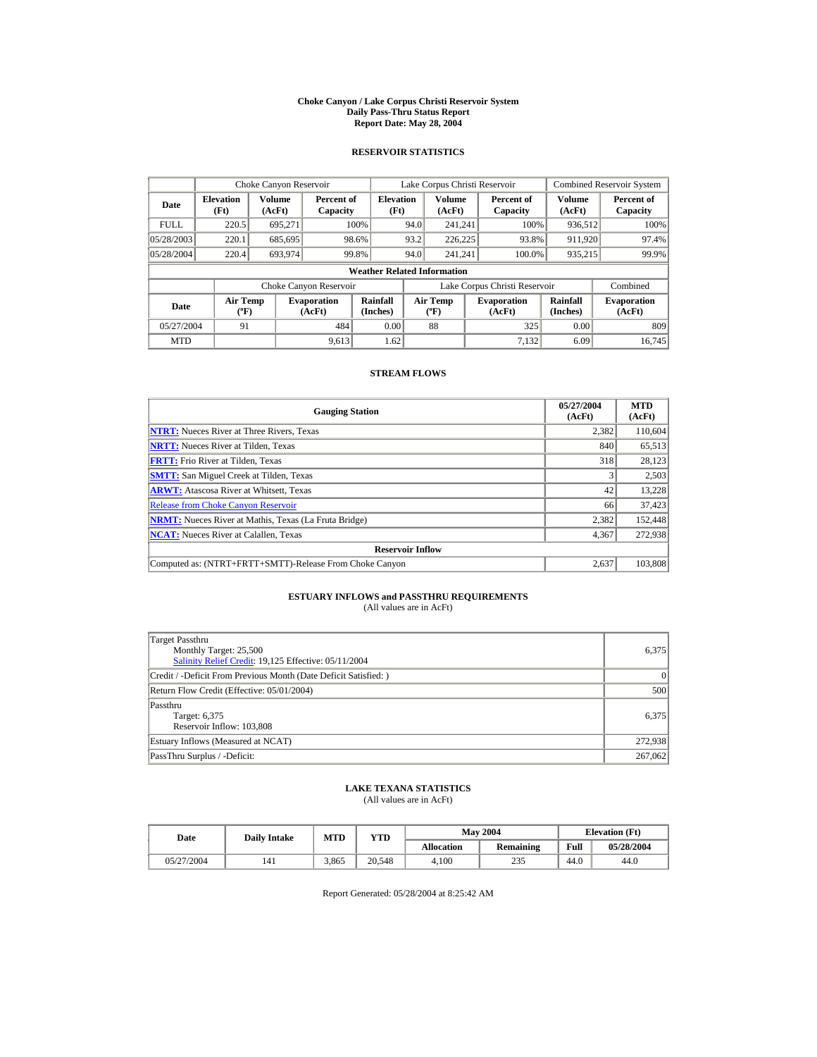#### **Choke Canyon / Lake Corpus Christi Reservoir System Daily Pass-Thru Status Report Report Date: May 28, 2004**

## **RESERVOIR STATISTICS**

|             | Choke Canyon Reservoir                      |                  |                              |                          | Lake Corpus Christi Reservoir |                                           |  |                               |                      | <b>Combined Reservoir System</b> |  |  |
|-------------|---------------------------------------------|------------------|------------------------------|--------------------------|-------------------------------|-------------------------------------------|--|-------------------------------|----------------------|----------------------------------|--|--|
| Date        | <b>Elevation</b><br>(Ft)                    | Volume<br>(AcFt) | Percent of<br>Capacity       | <b>Elevation</b><br>(Ft) |                               | Volume<br>(AcFt)                          |  | Percent of<br>Capacity        | Volume<br>(AcFt)     | Percent of<br>Capacity           |  |  |
| <b>FULL</b> | 220.5                                       | 695.271          |                              | 100%                     | 94.0                          | 241.241                                   |  | 100%                          | 936,512              | 100%                             |  |  |
| 05/28/2003  | 220.1                                       | 685,695          |                              | 98.6%                    | 93.2                          | 226,225                                   |  | 93.8%                         | 911,920              | 97.4%                            |  |  |
| 05/28/2004  | 220.4                                       | 693.974          |                              | 99.8%                    | 94.0                          | 241.241                                   |  | 100.0%                        | 935,215              | 99.9%                            |  |  |
|             | <b>Weather Related Information</b>          |                  |                              |                          |                               |                                           |  |                               |                      |                                  |  |  |
|             |                                             |                  | Choke Canyon Reservoir       |                          |                               |                                           |  | Lake Corpus Christi Reservoir |                      | Combined                         |  |  |
| Date        | <b>Air Temp</b><br>$({}^{\circ}\mathrm{F})$ |                  | <b>Evaporation</b><br>(AcFt) | Rainfall<br>(Inches)     |                               | <b>Air Temp</b><br>$({}^{\circ}\text{F})$ |  | <b>Evaporation</b><br>(AcFt)  | Rainfall<br>(Inches) | <b>Evaporation</b><br>(AcFt)     |  |  |
| 05/27/2004  | 91                                          |                  | 484                          | 0.00                     |                               | 88                                        |  | 325                           | 0.00                 | 809                              |  |  |
| <b>MTD</b>  |                                             |                  | 9,613                        | 1.62                     |                               |                                           |  | 7.132                         | 6.09                 | 16.745                           |  |  |

## **STREAM FLOWS**

| <b>Gauging Station</b>                                       | 05/27/2004<br>(AcFt) | <b>MTD</b><br>(AcFt) |
|--------------------------------------------------------------|----------------------|----------------------|
| <b>NTRT:</b> Nueces River at Three Rivers, Texas             | 2,382                | 110,604              |
| <b>NRTT:</b> Nueces River at Tilden, Texas                   | 840                  | 65,513               |
| <b>FRTT:</b> Frio River at Tilden, Texas                     | 318                  | 28,123               |
| <b>SMTT:</b> San Miguel Creek at Tilden, Texas               | 3                    | 2,503                |
| <b>ARWT:</b> Atascosa River at Whitsett, Texas               | 42                   | 13,228               |
| <b>Release from Choke Canyon Reservoir</b>                   | 66                   | 37,423               |
| <b>NRMT:</b> Nueces River at Mathis, Texas (La Fruta Bridge) | 2.382                | 152,448              |
| <b>NCAT:</b> Nueces River at Calallen, Texas                 | 4,367                | 272,938              |
| <b>Reservoir Inflow</b>                                      |                      |                      |
| Computed as: (NTRT+FRTT+SMTT)-Release From Choke Canyon      | 2.637                | 103,808              |

# **ESTUARY INFLOWS and PASSTHRU REQUIREMENTS**<br>(All values are in AcFt)

| Target Passthru<br>Monthly Target: 25,500<br>Salinity Relief Credit: 19,125 Effective: 05/11/2004 | 6,375     |
|---------------------------------------------------------------------------------------------------|-----------|
| Credit / -Deficit From Previous Month (Date Deficit Satisfied:)                                   | $\vert$ 0 |
| Return Flow Credit (Effective: 05/01/2004)                                                        | 500       |
| Passthru<br>Target: 6,375<br>Reservoir Inflow: 103,808                                            | 6.375     |
| Estuary Inflows (Measured at NCAT)                                                                | 272,938   |
| PassThru Surplus / -Deficit:                                                                      | 267,062   |

## **LAKE TEXANA STATISTICS**

(All values are in AcFt)

| Date       | <b>Daily Intake</b> |       | <b>May 2004</b><br>MTD | VTD        |           | <b>Elevation</b> (Ft) |            |
|------------|---------------------|-------|------------------------|------------|-----------|-----------------------|------------|
|            |                     |       |                        | Allocation | Remaining | Full                  | 05/28/2004 |
| 05/27/2004 | 141                 | 3.865 | 20.548                 | 4.100      | 235       | 44.0                  | 44.0       |

Report Generated: 05/28/2004 at 8:25:42 AM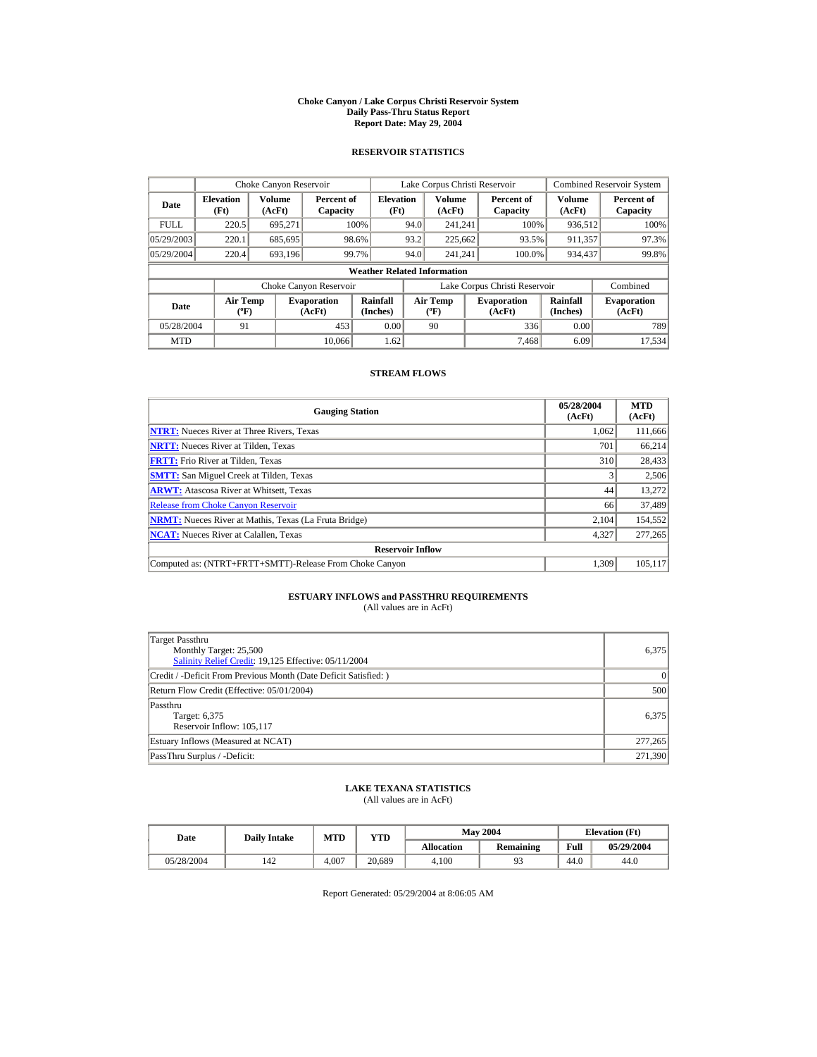#### **Choke Canyon / Lake Corpus Christi Reservoir System Daily Pass-Thru Status Report Report Date: May 29, 2004**

## **RESERVOIR STATISTICS**

|             | Choke Canyon Reservoir                      |                  |                              |                          | Lake Corpus Christi Reservoir |                                  |  |                               |                      | <b>Combined Reservoir System</b> |  |  |
|-------------|---------------------------------------------|------------------|------------------------------|--------------------------|-------------------------------|----------------------------------|--|-------------------------------|----------------------|----------------------------------|--|--|
| Date        | <b>Elevation</b><br>(Ft)                    | Volume<br>(AcFt) | Percent of<br>Capacity       | <b>Elevation</b><br>(Ft) |                               | Volume<br>(AcFt)                 |  | Percent of<br>Capacity        | Volume<br>(AcFt)     | Percent of<br>Capacity           |  |  |
| <b>FULL</b> | 220.5                                       | 695.271          |                              | 100%                     | 94.0                          | 241.241                          |  | 100%                          | 936,512              | 100%                             |  |  |
| 05/29/2003  | 220.1                                       | 685,695          |                              | 98.6%                    | 93.2                          | 225,662                          |  | 93.5%                         | 911,357              | 97.3%                            |  |  |
| 05/29/2004  | 220.4                                       | 693,196          |                              | 99.7%                    | 94.0                          | 241.241                          |  | 100.0%                        | 934,437              | 99.8%                            |  |  |
|             | <b>Weather Related Information</b>          |                  |                              |                          |                               |                                  |  |                               |                      |                                  |  |  |
|             |                                             |                  | Choke Canyon Reservoir       |                          |                               |                                  |  | Lake Corpus Christi Reservoir |                      | Combined                         |  |  |
| Date        | <b>Air Temp</b><br>$({}^{\circ}\mathrm{F})$ |                  | <b>Evaporation</b><br>(AcFt) | Rainfall<br>(Inches)     |                               | <b>Air Temp</b><br>$(^{\circ}F)$ |  | <b>Evaporation</b><br>(AcFt)  | Rainfall<br>(Inches) | <b>Evaporation</b><br>(AcFt)     |  |  |
| 05/28/2004  | 91                                          |                  | 453                          | 0.00                     |                               | 90                               |  | 336                           | 0.00                 | 789                              |  |  |
| <b>MTD</b>  |                                             |                  | 10.066                       | 1.62                     |                               |                                  |  | 7.468                         | 6.09                 | 17.534                           |  |  |

## **STREAM FLOWS**

| <b>Gauging Station</b>                                       | 05/28/2004<br>(AcFt) | <b>MTD</b><br>(AcFt) |
|--------------------------------------------------------------|----------------------|----------------------|
| <b>NTRT:</b> Nueces River at Three Rivers, Texas             | 1.062                | 111,666              |
| <b>NRTT:</b> Nueces River at Tilden, Texas                   | 701                  | 66.214               |
| <b>FRTT:</b> Frio River at Tilden, Texas                     | 310                  | 28,433               |
| <b>SMTT:</b> San Miguel Creek at Tilden, Texas               | $\overline{3}$       | 2,506                |
| <b>ARWT:</b> Atascosa River at Whitsett, Texas               | 44                   | 13,272               |
| <b>Release from Choke Canyon Reservoir</b>                   | 66                   | 37,489               |
| <b>NRMT:</b> Nueces River at Mathis, Texas (La Fruta Bridge) | 2.104                | 154,552              |
| <b>NCAT:</b> Nueces River at Calallen, Texas                 | 4,327                | 277,265              |
| <b>Reservoir Inflow</b>                                      |                      |                      |
| Computed as: (NTRT+FRTT+SMTT)-Release From Choke Canyon      | 1.309                | 105.117              |

# **ESTUARY INFLOWS and PASSTHRU REQUIREMENTS**<br>(All values are in AcFt)

| Target Passthru<br>Monthly Target: 25,500<br>Salinity Relief Credit: 19,125 Effective: 05/11/2004 | 6.375     |
|---------------------------------------------------------------------------------------------------|-----------|
| Credit / -Deficit From Previous Month (Date Deficit Satisfied: )                                  | $\vert$ 0 |
| Return Flow Credit (Effective: 05/01/2004)                                                        | 500       |
| Passthru<br>Target: 6,375<br>Reservoir Inflow: 105,117                                            | 6.375     |
| Estuary Inflows (Measured at NCAT)                                                                | 277,265   |
| PassThru Surplus / -Deficit:                                                                      | 271.390   |

## **LAKE TEXANA STATISTICS**

(All values are in AcFt)

| Date       | <b>Daily Intake</b> | <b>MTD</b> | YTD    |                   | <b>May 2004</b> | <b>Elevation</b> (Ft) |            |
|------------|---------------------|------------|--------|-------------------|-----------------|-----------------------|------------|
|            |                     |            |        | <b>Allocation</b> | Remaining       | Full                  | 05/29/2004 |
| 05/28/2004 | 142                 | 4.007      | 20.689 | 4.100             |                 | 44.0                  | 44.0       |

Report Generated: 05/29/2004 at 8:06:05 AM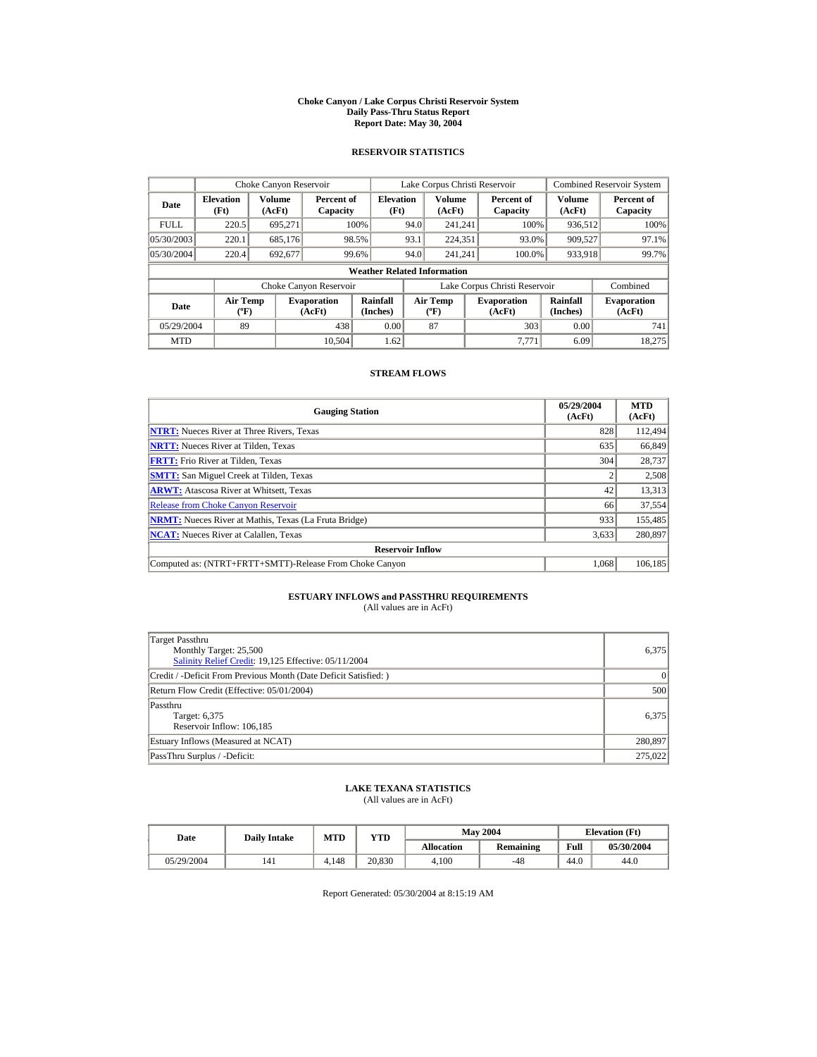#### **Choke Canyon / Lake Corpus Christi Reservoir System Daily Pass-Thru Status Report Report Date: May 30, 2004**

## **RESERVOIR STATISTICS**

|             | Choke Canyon Reservoir             |                         |                              |                          | Lake Corpus Christi Reservoir |                                   |  |                               |                         | <b>Combined Reservoir System</b> |  |  |
|-------------|------------------------------------|-------------------------|------------------------------|--------------------------|-------------------------------|-----------------------------------|--|-------------------------------|-------------------------|----------------------------------|--|--|
| Date        | <b>Elevation</b><br>(Ft)           | <b>Volume</b><br>(AcFt) | Percent of<br>Capacity       | <b>Elevation</b><br>(Ft) |                               | <b>Volume</b><br>(AcFt)           |  | Percent of<br>Capacity        | <b>Volume</b><br>(AcFt) | Percent of<br>Capacity           |  |  |
| <b>FULL</b> | 220.5                              | 695.271                 |                              | 100%                     | 94.0                          | 241.241                           |  | 100%                          | 936,512                 | 100%                             |  |  |
| 05/30/2003  | 220.1                              | 685,176                 |                              | 98.5%                    | 93.1                          | 224,351                           |  | 93.0%                         | 909,527                 | 97.1%                            |  |  |
| 05/30/2004  | 220.4                              | 692.677                 |                              | 99.6%                    | 94.0                          | 241.241                           |  | 100.0%                        | 933,918                 | 99.7%                            |  |  |
|             | <b>Weather Related Information</b> |                         |                              |                          |                               |                                   |  |                               |                         |                                  |  |  |
|             |                                    |                         | Choke Canyon Reservoir       |                          |                               |                                   |  | Lake Corpus Christi Reservoir |                         | Combined                         |  |  |
| Date        | Air Temp<br>$({}^o\mathrm{F})$     |                         | <b>Evaporation</b><br>(AcFt) | Rainfall<br>(Inches)     |                               | Air Temp<br>$({}^{\circ}{\rm F})$ |  | <b>Evaporation</b><br>(AcFt)  | Rainfall<br>(Inches)    | <b>Evaporation</b><br>(AcFt)     |  |  |
| 05/29/2004  | 89                                 |                         | 438                          | 0.00                     |                               | 87                                |  | 303                           | 0.00                    | 741                              |  |  |
| <b>MTD</b>  |                                    |                         | 10.504                       | 1.62                     |                               |                                   |  | 7.771                         | 6.09                    | 18.275                           |  |  |

## **STREAM FLOWS**

| <b>Gauging Station</b>                                       | 05/29/2004<br>(AcFt) | <b>MTD</b><br>(AcFt) |
|--------------------------------------------------------------|----------------------|----------------------|
| <b>NTRT:</b> Nueces River at Three Rivers, Texas             | 828                  | 112,494              |
| <b>NRTT:</b> Nueces River at Tilden, Texas                   | 635                  | 66.849               |
| <b>FRTT:</b> Frio River at Tilden, Texas                     | 304                  | 28,737               |
| <b>SMTT:</b> San Miguel Creek at Tilden, Texas               | $\overline{c}$       | 2,508                |
| <b>ARWT:</b> Atascosa River at Whitsett, Texas               | 42                   | 13,313               |
| <b>Release from Choke Canyon Reservoir</b>                   | 66                   | 37,554               |
| <b>NRMT:</b> Nueces River at Mathis, Texas (La Fruta Bridge) | 933                  | 155,485              |
| <b>NCAT:</b> Nueces River at Calallen, Texas                 | 3,633                | 280,897              |
| <b>Reservoir Inflow</b>                                      |                      |                      |
| Computed as: (NTRT+FRTT+SMTT)-Release From Choke Canvon      | 1.068                | 106.185              |

# **ESTUARY INFLOWS and PASSTHRU REQUIREMENTS**<br>(All values are in AcFt)

| Target Passthru<br>Monthly Target: 25,500<br>Salinity Relief Credit: 19,125 Effective: 05/11/2004 | 6.375     |
|---------------------------------------------------------------------------------------------------|-----------|
| Credit / -Deficit From Previous Month (Date Deficit Satisfied: )                                  | $\vert$ 0 |
| Return Flow Credit (Effective: 05/01/2004)                                                        | 500       |
| Passthru<br>Target: 6,375<br>Reservoir Inflow: 106,185                                            | 6.375     |
| Estuary Inflows (Measured at NCAT)                                                                | 280,897   |
| PassThru Surplus / -Deficit:                                                                      | 275,022   |

## **LAKE TEXANA STATISTICS**

(All values are in AcFt)

| Date       | <b>Daily Intake</b> | <b>MTD</b> | YTD    |                   | <b>May 2004</b> |      | <b>Elevation</b> (Ft) |
|------------|---------------------|------------|--------|-------------------|-----------------|------|-----------------------|
|            |                     |            |        | <b>Allocation</b> | Remaining       | Full | 05/30/2004            |
| 05/29/2004 | 141                 | 4.148      | 20.830 | 4.100             | $-48$           | 44.0 | 44.0                  |

Report Generated: 05/30/2004 at 8:15:19 AM